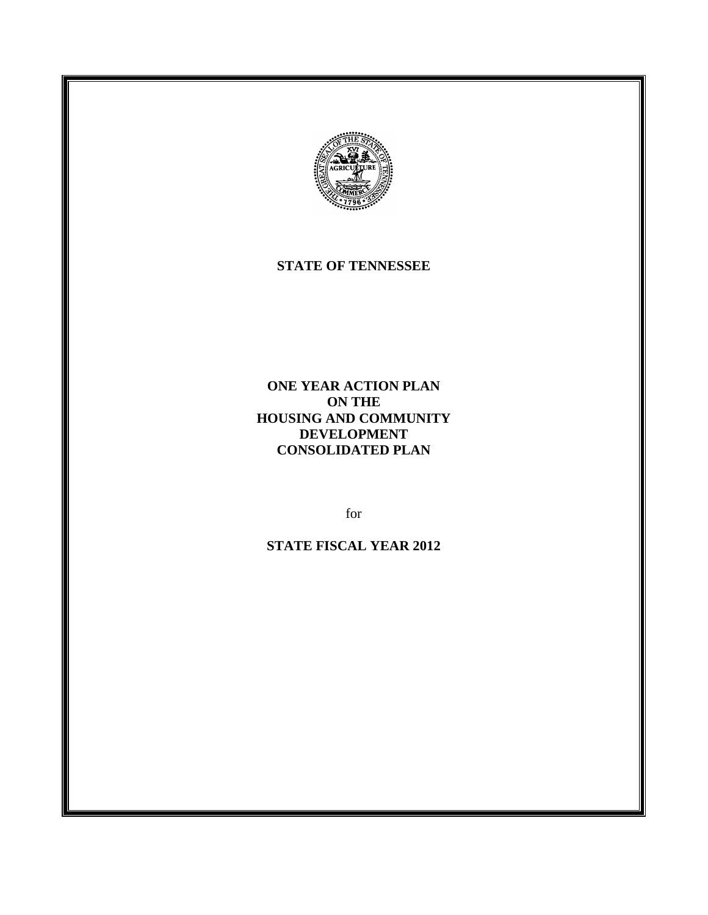

#### **STATE OF TENNESSEE**

**ONE YEAR ACTION PLAN ON THE HOUSING AND COMMUNITY DEVELOPMENT CONSOLIDATED PLAN**

for

**STATE FISCAL YEAR 2012**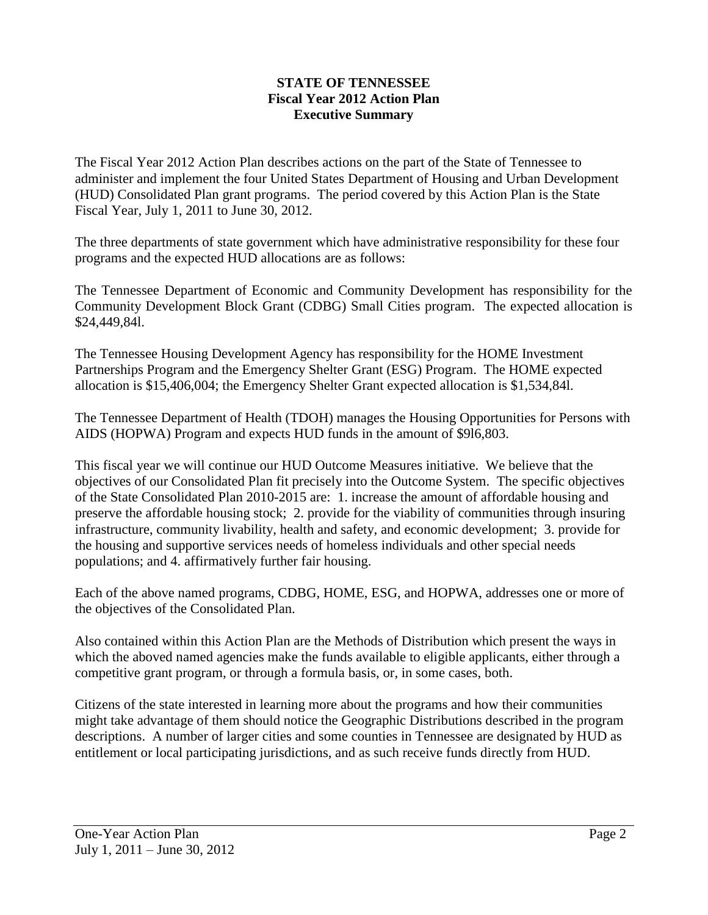#### **STATE OF TENNESSEE Fiscal Year 2012 Action Plan Executive Summary**

The Fiscal Year 2012 Action Plan describes actions on the part of the State of Tennessee to administer and implement the four United States Department of Housing and Urban Development (HUD) Consolidated Plan grant programs. The period covered by this Action Plan is the State Fiscal Year, July 1, 2011 to June 30, 2012.

The three departments of state government which have administrative responsibility for these four programs and the expected HUD allocations are as follows:

The Tennessee Department of Economic and Community Development has responsibility for the Community Development Block Grant (CDBG) Small Cities program. The expected allocation is \$24,449,84l.

The Tennessee Housing Development Agency has responsibility for the HOME Investment Partnerships Program and the Emergency Shelter Grant (ESG) Program. The HOME expected allocation is \$15,406,004; the Emergency Shelter Grant expected allocation is \$1,534,84l.

The Tennessee Department of Health (TDOH) manages the Housing Opportunities for Persons with AIDS (HOPWA) Program and expects HUD funds in the amount of \$9l6,803.

This fiscal year we will continue our HUD Outcome Measures initiative. We believe that the objectives of our Consolidated Plan fit precisely into the Outcome System. The specific objectives of the State Consolidated Plan 2010-2015 are: 1. increase the amount of affordable housing and preserve the affordable housing stock; 2. provide for the viability of communities through insuring infrastructure, community livability, health and safety, and economic development; 3. provide for the housing and supportive services needs of homeless individuals and other special needs populations; and 4. affirmatively further fair housing.

Each of the above named programs, CDBG, HOME, ESG, and HOPWA, addresses one or more of the objectives of the Consolidated Plan.

Also contained within this Action Plan are the Methods of Distribution which present the ways in which the aboved named agencies make the funds available to eligible applicants, either through a competitive grant program, or through a formula basis, or, in some cases, both.

Citizens of the state interested in learning more about the programs and how their communities might take advantage of them should notice the Geographic Distributions described in the program descriptions. A number of larger cities and some counties in Tennessee are designated by HUD as entitlement or local participating jurisdictions, and as such receive funds directly from HUD.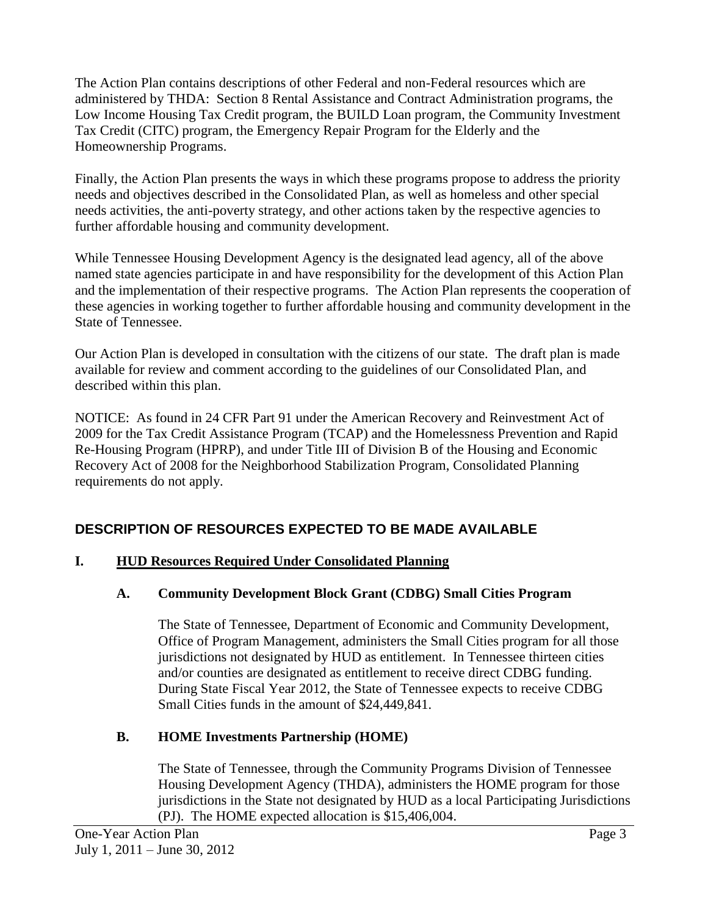The Action Plan contains descriptions of other Federal and non-Federal resources which are administered by THDA: Section 8 Rental Assistance and Contract Administration programs, the Low Income Housing Tax Credit program, the BUILD Loan program, the Community Investment Tax Credit (CITC) program, the Emergency Repair Program for the Elderly and the Homeownership Programs.

Finally, the Action Plan presents the ways in which these programs propose to address the priority needs and objectives described in the Consolidated Plan, as well as homeless and other special needs activities, the anti-poverty strategy, and other actions taken by the respective agencies to further affordable housing and community development.

While Tennessee Housing Development Agency is the designated lead agency, all of the above named state agencies participate in and have responsibility for the development of this Action Plan and the implementation of their respective programs. The Action Plan represents the cooperation of these agencies in working together to further affordable housing and community development in the State of Tennessee.

Our Action Plan is developed in consultation with the citizens of our state. The draft plan is made available for review and comment according to the guidelines of our Consolidated Plan, and described within this plan.

NOTICE: As found in 24 CFR Part 91 under the American Recovery and Reinvestment Act of 2009 for the Tax Credit Assistance Program (TCAP) and the Homelessness Prevention and Rapid Re-Housing Program (HPRP), and under Title III of Division B of the Housing and Economic Recovery Act of 2008 for the Neighborhood Stabilization Program, Consolidated Planning requirements do not apply.

# **DESCRIPTION OF RESOURCES EXPECTED TO BE MADE AVAILABLE**

# **I. HUD Resources Required Under Consolidated Planning**

# **A. Community Development Block Grant (CDBG) Small Cities Program**

The State of Tennessee, Department of Economic and Community Development, Office of Program Management, administers the Small Cities program for all those jurisdictions not designated by HUD as entitlement. In Tennessee thirteen cities and/or counties are designated as entitlement to receive direct CDBG funding. During State Fiscal Year 2012, the State of Tennessee expects to receive CDBG Small Cities funds in the amount of \$24,449,841.

# **B. HOME Investments Partnership (HOME)**

The State of Tennessee, through the Community Programs Division of Tennessee Housing Development Agency (THDA), administers the HOME program for those jurisdictions in the State not designated by HUD as a local Participating Jurisdictions (PJ). The HOME expected allocation is \$15,406,004.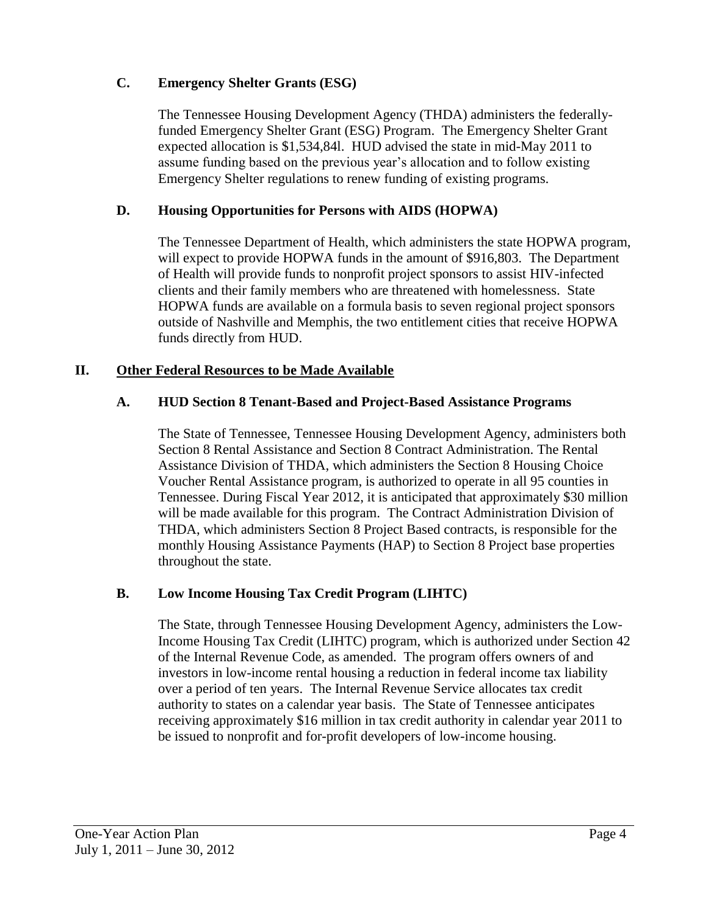# **C. Emergency Shelter Grants (ESG)**

The Tennessee Housing Development Agency (THDA) administers the federallyfunded Emergency Shelter Grant (ESG) Program. The Emergency Shelter Grant expected allocation is \$1,534,84l. HUD advised the state in mid-May 2011 to assume funding based on the previous year's allocation and to follow existing Emergency Shelter regulations to renew funding of existing programs.

# **D. Housing Opportunities for Persons with AIDS (HOPWA)**

The Tennessee Department of Health, which administers the state HOPWA program, will expect to provide HOPWA funds in the amount of \$916,803. The Department of Health will provide funds to nonprofit project sponsors to assist HIV-infected clients and their family members who are threatened with homelessness. State HOPWA funds are available on a formula basis to seven regional project sponsors outside of Nashville and Memphis, the two entitlement cities that receive HOPWA funds directly from HUD.

# **II. Other Federal Resources to be Made Available**

## **A. HUD Section 8 Tenant-Based and Project-Based Assistance Programs**

The State of Tennessee, Tennessee Housing Development Agency, administers both Section 8 Rental Assistance and Section 8 Contract Administration. The Rental Assistance Division of THDA, which administers the Section 8 Housing Choice Voucher Rental Assistance program, is authorized to operate in all 95 counties in Tennessee. During Fiscal Year 2012, it is anticipated that approximately \$30 million will be made available for this program. The Contract Administration Division of THDA, which administers Section 8 Project Based contracts, is responsible for the monthly Housing Assistance Payments (HAP) to Section 8 Project base properties throughout the state.

## **B. Low Income Housing Tax Credit Program (LIHTC)**

The State, through Tennessee Housing Development Agency, administers the Low-Income Housing Tax Credit (LIHTC) program, which is authorized under Section 42 of the Internal Revenue Code, as amended. The program offers owners of and investors in low-income rental housing a reduction in federal income tax liability over a period of ten years. The Internal Revenue Service allocates tax credit authority to states on a calendar year basis. The State of Tennessee anticipates receiving approximately \$16 million in tax credit authority in calendar year 2011 to be issued to nonprofit and for-profit developers of low-income housing.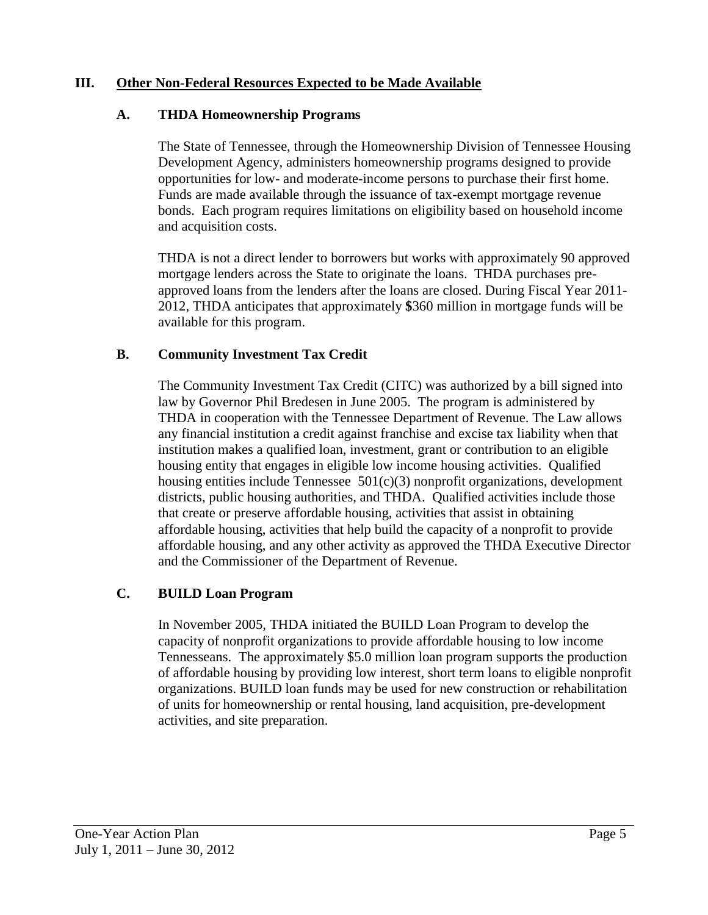## **III. Other Non-Federal Resources Expected to be Made Available**

#### **A. THDA Homeownership Programs**

The State of Tennessee, through the Homeownership Division of Tennessee Housing Development Agency, administers homeownership programs designed to provide opportunities for low- and moderate-income persons to purchase their first home. Funds are made available through the issuance of tax-exempt mortgage revenue bonds. Each program requires limitations on eligibility based on household income and acquisition costs.

THDA is not a direct lender to borrowers but works with approximately 90 approved mortgage lenders across the State to originate the loans. THDA purchases preapproved loans from the lenders after the loans are closed. During Fiscal Year 2011- 2012, THDA anticipates that approximately **\$**360 million in mortgage funds will be available for this program.

## **B. Community Investment Tax Credit**

The Community Investment Tax Credit (CITC) was authorized by a bill signed into law by Governor Phil Bredesen in June 2005. The program is administered by THDA in cooperation with the Tennessee Department of Revenue. The Law allows any financial institution a credit against franchise and excise tax liability when that institution makes a qualified loan, investment, grant or contribution to an eligible housing entity that engages in eligible low income housing activities. Qualified housing entities include Tennessee  $501(c)(3)$  nonprofit organizations, development districts, public housing authorities, and THDA. Qualified activities include those that create or preserve affordable housing, activities that assist in obtaining affordable housing, activities that help build the capacity of a nonprofit to provide affordable housing, and any other activity as approved the THDA Executive Director and the Commissioner of the Department of Revenue.

## **C. BUILD Loan Program**

In November 2005, THDA initiated the BUILD Loan Program to develop the capacity of nonprofit organizations to provide affordable housing to low income Tennesseans. The approximately \$5.0 million loan program supports the production of affordable housing by providing low interest, short term loans to eligible nonprofit organizations. BUILD loan funds may be used for new construction or rehabilitation of units for homeownership or rental housing, land acquisition, pre-development activities, and site preparation.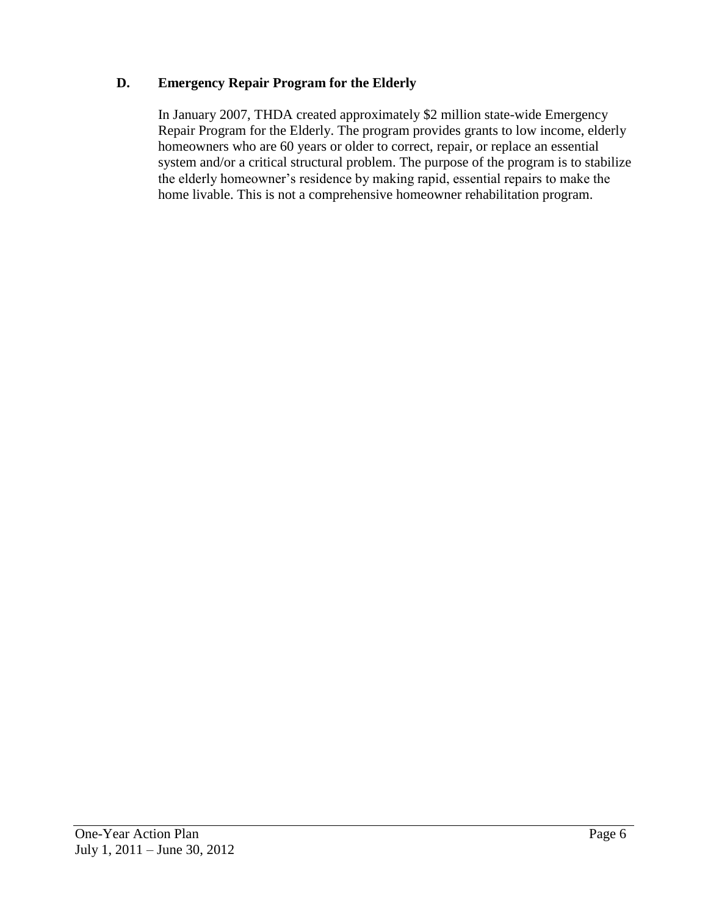# **D. Emergency Repair Program for the Elderly**

In January 2007, THDA created approximately \$2 million state-wide Emergency Repair Program for the Elderly. The program provides grants to low income, elderly homeowners who are 60 years or older to correct, repair, or replace an essential system and/or a critical structural problem. The purpose of the program is to stabilize the elderly homeowner's residence by making rapid, essential repairs to make the home livable. This is not a comprehensive homeowner rehabilitation program.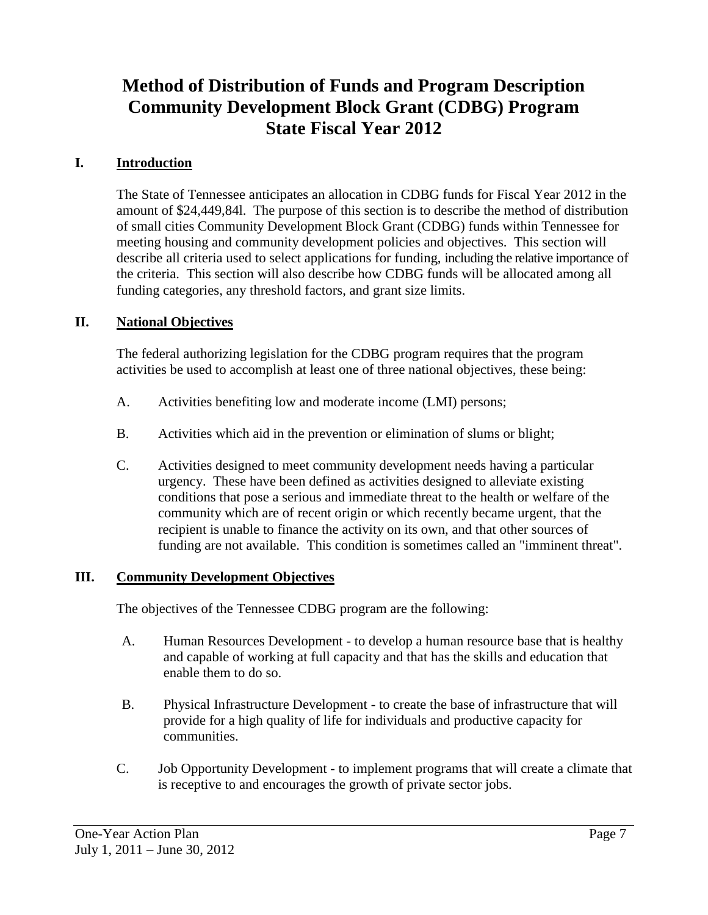# **Method of Distribution of Funds and Program Description Community Development Block Grant (CDBG) Program State Fiscal Year 2012**

# **I. Introduction**

The State of Tennessee anticipates an allocation in CDBG funds for Fiscal Year 2012 in the amount of \$24,449,84l. The purpose of this section is to describe the method of distribution of small cities Community Development Block Grant (CDBG) funds within Tennessee for meeting housing and community development policies and objectives. This section will describe all criteria used to select applications for funding, including the relative importance of the criteria. This section will also describe how CDBG funds will be allocated among all funding categories, any threshold factors, and grant size limits.

# **II. National Objectives**

The federal authorizing legislation for the CDBG program requires that the program activities be used to accomplish at least one of three national objectives, these being:

- A. Activities benefiting low and moderate income (LMI) persons;
- B. Activities which aid in the prevention or elimination of slums or blight;
- C. Activities designed to meet community development needs having a particular urgency. These have been defined as activities designed to alleviate existing conditions that pose a serious and immediate threat to the health or welfare of the community which are of recent origin or which recently became urgent, that the recipient is unable to finance the activity on its own, and that other sources of funding are not available. This condition is sometimes called an "imminent threat".

## **III. Community Development Objectives**

The objectives of the Tennessee CDBG program are the following:

- A. Human Resources Development to develop a human resource base that is healthy and capable of working at full capacity and that has the skills and education that enable them to do so.
- B. Physical Infrastructure Development to create the base of infrastructure that will provide for a high quality of life for individuals and productive capacity for communities.
- C. Job Opportunity Development to implement programs that will create a climate that is receptive to and encourages the growth of private sector jobs.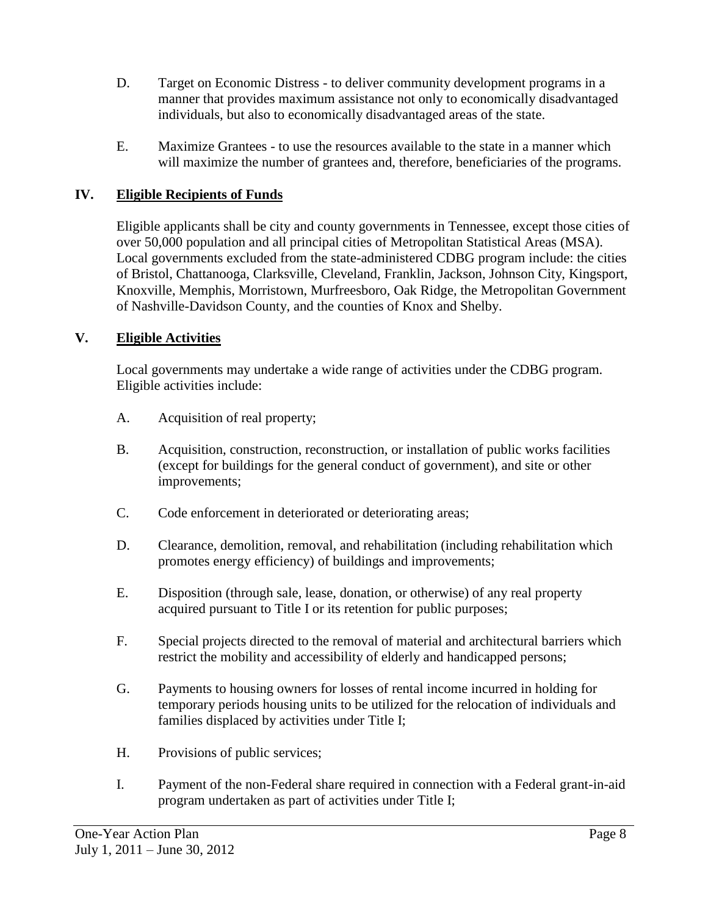- D. Target on Economic Distress to deliver community development programs in a manner that provides maximum assistance not only to economically disadvantaged individuals, but also to economically disadvantaged areas of the state.
- E. Maximize Grantees to use the resources available to the state in a manner which will maximize the number of grantees and, therefore, beneficiaries of the programs.

# **IV. Eligible Recipients of Funds**

Eligible applicants shall be city and county governments in Tennessee, except those cities of over 50,000 population and all principal cities of Metropolitan Statistical Areas (MSA). Local governments excluded from the state-administered CDBG program include: the cities of Bristol, Chattanooga, Clarksville, Cleveland, Franklin, Jackson, Johnson City, Kingsport, Knoxville, Memphis, Morristown, Murfreesboro, Oak Ridge, the Metropolitan Government of Nashville-Davidson County, and the counties of Knox and Shelby.

# **V. Eligible Activities**

Local governments may undertake a wide range of activities under the CDBG program. Eligible activities include:

- A. Acquisition of real property;
- B. Acquisition, construction, reconstruction, or installation of public works facilities (except for buildings for the general conduct of government), and site or other improvements;
- C. Code enforcement in deteriorated or deteriorating areas;
- D. Clearance, demolition, removal, and rehabilitation (including rehabilitation which promotes energy efficiency) of buildings and improvements;
- E. Disposition (through sale, lease, donation, or otherwise) of any real property acquired pursuant to Title I or its retention for public purposes;
- F. Special projects directed to the removal of material and architectural barriers which restrict the mobility and accessibility of elderly and handicapped persons;
- G. Payments to housing owners for losses of rental income incurred in holding for temporary periods housing units to be utilized for the relocation of individuals and families displaced by activities under Title I;
- H. Provisions of public services;
- I. Payment of the non-Federal share required in connection with a Federal grant-in-aid program undertaken as part of activities under Title I;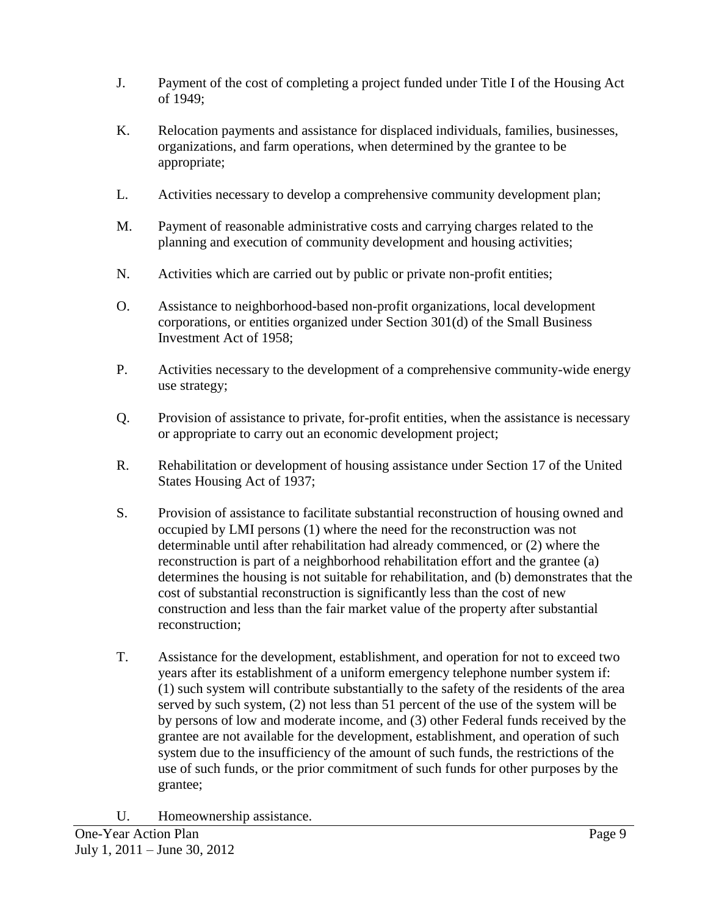- J. Payment of the cost of completing a project funded under Title I of the Housing Act of 1949;
- K. Relocation payments and assistance for displaced individuals, families, businesses, organizations, and farm operations, when determined by the grantee to be appropriate;
- L. Activities necessary to develop a comprehensive community development plan;
- M. Payment of reasonable administrative costs and carrying charges related to the planning and execution of community development and housing activities;
- N. Activities which are carried out by public or private non-profit entities;
- O. Assistance to neighborhood-based non-profit organizations, local development corporations, or entities organized under Section 301(d) of the Small Business Investment Act of 1958;
- P. Activities necessary to the development of a comprehensive community-wide energy use strategy;
- Q. Provision of assistance to private, for-profit entities, when the assistance is necessary or appropriate to carry out an economic development project;
- R. Rehabilitation or development of housing assistance under Section 17 of the United States Housing Act of 1937;
- S. Provision of assistance to facilitate substantial reconstruction of housing owned and occupied by LMI persons (1) where the need for the reconstruction was not determinable until after rehabilitation had already commenced, or (2) where the reconstruction is part of a neighborhood rehabilitation effort and the grantee (a) determines the housing is not suitable for rehabilitation, and (b) demonstrates that the cost of substantial reconstruction is significantly less than the cost of new construction and less than the fair market value of the property after substantial reconstruction;
- T. Assistance for the development, establishment, and operation for not to exceed two years after its establishment of a uniform emergency telephone number system if: (1) such system will contribute substantially to the safety of the residents of the area served by such system, (2) not less than 51 percent of the use of the system will be by persons of low and moderate income, and (3) other Federal funds received by the grantee are not available for the development, establishment, and operation of such system due to the insufficiency of the amount of such funds, the restrictions of the use of such funds, or the prior commitment of such funds for other purposes by the grantee;
- U. Homeownership assistance.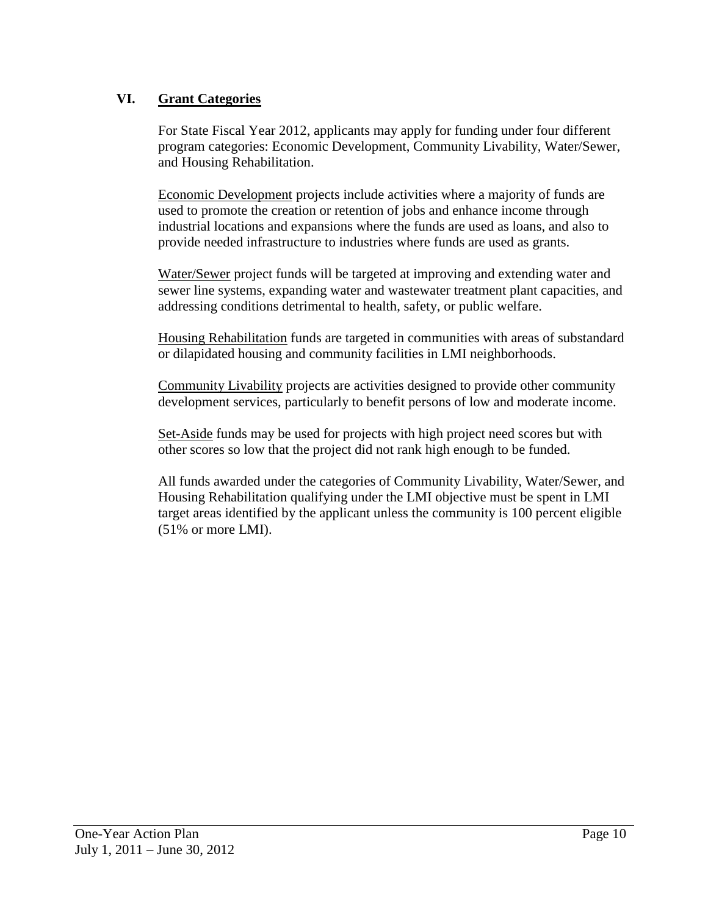# **VI. Grant Categories**

For State Fiscal Year 2012, applicants may apply for funding under four different program categories: Economic Development, Community Livability, Water/Sewer, and Housing Rehabilitation.

Economic Development projects include activities where a majority of funds are used to promote the creation or retention of jobs and enhance income through industrial locations and expansions where the funds are used as loans, and also to provide needed infrastructure to industries where funds are used as grants.

Water/Sewer project funds will be targeted at improving and extending water and sewer line systems, expanding water and wastewater treatment plant capacities, and addressing conditions detrimental to health, safety, or public welfare.

Housing Rehabilitation funds are targeted in communities with areas of substandard or dilapidated housing and community facilities in LMI neighborhoods.

Community Livability projects are activities designed to provide other community development services, particularly to benefit persons of low and moderate income.

Set-Aside funds may be used for projects with high project need scores but with other scores so low that the project did not rank high enough to be funded.

All funds awarded under the categories of Community Livability, Water/Sewer, and Housing Rehabilitation qualifying under the LMI objective must be spent in LMI target areas identified by the applicant unless the community is 100 percent eligible (51% or more LMI).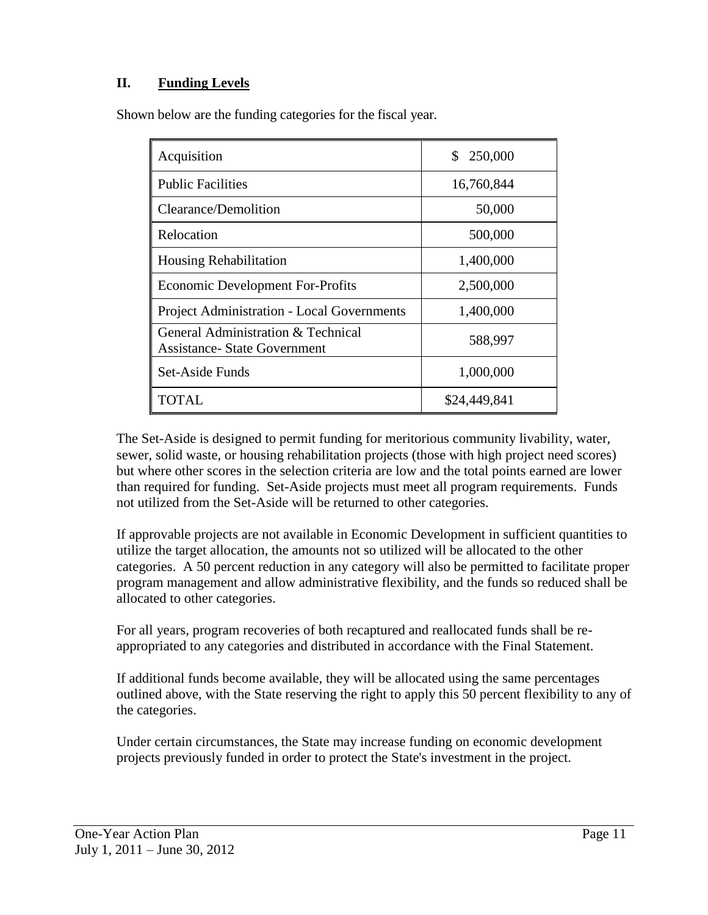# **II. Funding Levels**

Shown below are the funding categories for the fiscal year.

| Acquisition                                                               | 250,000<br>\$ |
|---------------------------------------------------------------------------|---------------|
| <b>Public Facilities</b>                                                  | 16,760,844    |
| Clearance/Demolition                                                      | 50,000        |
| Relocation                                                                | 500,000       |
| <b>Housing Rehabilitation</b>                                             | 1,400,000     |
| <b>Economic Development For-Profits</b>                                   | 2,500,000     |
| <b>Project Administration - Local Governments</b>                         | 1,400,000     |
| General Administration & Technical<br><b>Assistance- State Government</b> | 588,997       |
| Set-Aside Funds                                                           | 1,000,000     |
| TOTAL.                                                                    | \$24,449,841  |

The Set-Aside is designed to permit funding for meritorious community livability, water, sewer, solid waste, or housing rehabilitation projects (those with high project need scores) but where other scores in the selection criteria are low and the total points earned are lower than required for funding. Set-Aside projects must meet all program requirements. Funds not utilized from the Set-Aside will be returned to other categories.

If approvable projects are not available in Economic Development in sufficient quantities to utilize the target allocation, the amounts not so utilized will be allocated to the other categories. A 50 percent reduction in any category will also be permitted to facilitate proper program management and allow administrative flexibility, and the funds so reduced shall be allocated to other categories.

For all years, program recoveries of both recaptured and reallocated funds shall be reappropriated to any categories and distributed in accordance with the Final Statement.

If additional funds become available, they will be allocated using the same percentages outlined above, with the State reserving the right to apply this 50 percent flexibility to any of the categories.

Under certain circumstances, the State may increase funding on economic development projects previously funded in order to protect the State's investment in the project.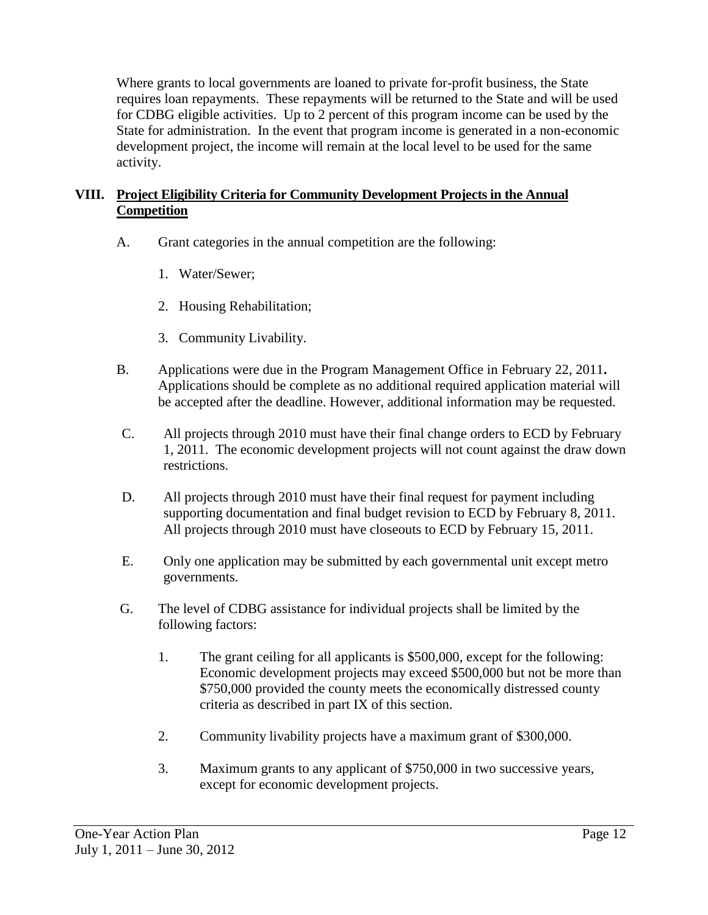Where grants to local governments are loaned to private for-profit business, the State requires loan repayments. These repayments will be returned to the State and will be used for CDBG eligible activities. Up to 2 percent of this program income can be used by the State for administration. In the event that program income is generated in a non-economic development project, the income will remain at the local level to be used for the same activity.

# **VIII. Project Eligibility Criteria for Community Development Projects in the Annual Competition**

- A. Grant categories in the annual competition are the following:
	- 1. Water/Sewer;
	- 2. Housing Rehabilitation;
	- 3. Community Livability.
- B. Applications were due in the Program Management Office in February 22, 2011**.** Applications should be complete as no additional required application material will be accepted after the deadline. However, additional information may be requested.
- C. All projects through 2010 must have their final change orders to ECD by February 1, 2011. The economic development projects will not count against the draw down restrictions.
- D. All projects through 2010 must have their final request for payment including supporting documentation and final budget revision to ECD by February 8, 2011. All projects through 2010 must have closeouts to ECD by February 15, 2011.
- E. Only one application may be submitted by each governmental unit except metro governments.
- G. The level of CDBG assistance for individual projects shall be limited by the following factors:
	- 1. The grant ceiling for all applicants is \$500,000, except for the following: Economic development projects may exceed \$500,000 but not be more than \$750,000 provided the county meets the economically distressed county criteria as described in part IX of this section.
	- 2. Community livability projects have a maximum grant of \$300,000.
	- 3. Maximum grants to any applicant of \$750,000 in two successive years, except for economic development projects.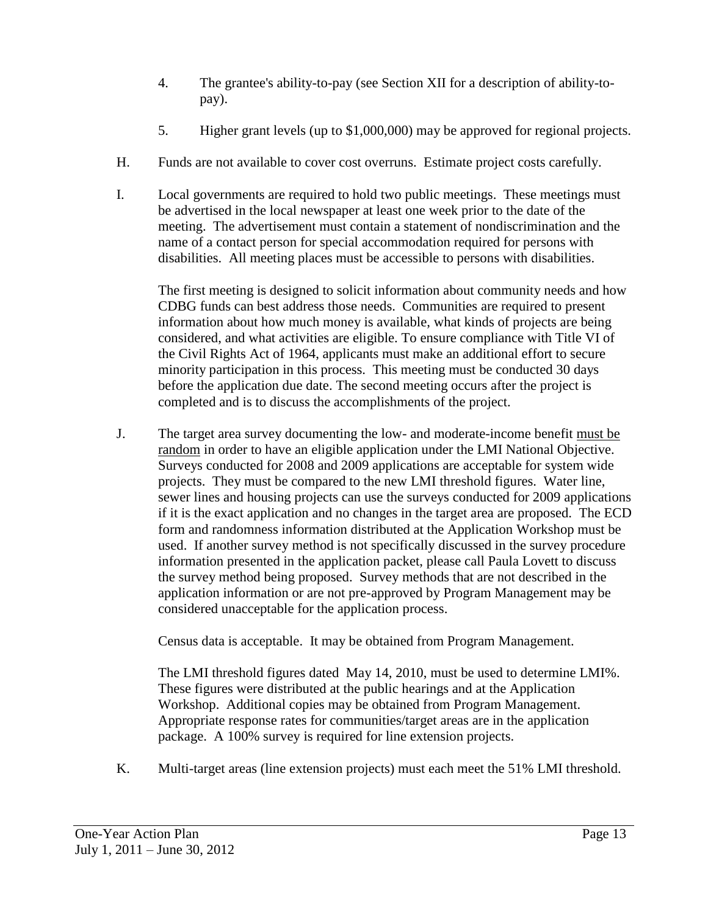- 4. The grantee's ability-to-pay (see Section XII for a description of ability-topay).
- 5. Higher grant levels (up to \$1,000,000) may be approved for regional projects.
- H. Funds are not available to cover cost overruns. Estimate project costs carefully.
- I. Local governments are required to hold two public meetings. These meetings must be advertised in the local newspaper at least one week prior to the date of the meeting. The advertisement must contain a statement of nondiscrimination and the name of a contact person for special accommodation required for persons with disabilities. All meeting places must be accessible to persons with disabilities.

The first meeting is designed to solicit information about community needs and how CDBG funds can best address those needs. Communities are required to present information about how much money is available, what kinds of projects are being considered, and what activities are eligible. To ensure compliance with Title VI of the Civil Rights Act of 1964, applicants must make an additional effort to secure minority participation in this process. This meeting must be conducted 30 days before the application due date. The second meeting occurs after the project is completed and is to discuss the accomplishments of the project.

J. The target area survey documenting the low- and moderate-income benefit must be random in order to have an eligible application under the LMI National Objective. Surveys conducted for 2008 and 2009 applications are acceptable for system wide projects. They must be compared to the new LMI threshold figures. Water line, sewer lines and housing projects can use the surveys conducted for 2009 applications if it is the exact application and no changes in the target area are proposed. The ECD form and randomness information distributed at the Application Workshop must be used. If another survey method is not specifically discussed in the survey procedure information presented in the application packet, please call Paula Lovett to discuss the survey method being proposed. Survey methods that are not described in the application information or are not pre-approved by Program Management may be considered unacceptable for the application process.

Census data is acceptable. It may be obtained from Program Management.

The LMI threshold figures dated May 14, 2010, must be used to determine LMI%. These figures were distributed at the public hearings and at the Application Workshop. Additional copies may be obtained from Program Management. Appropriate response rates for communities/target areas are in the application package. A 100% survey is required for line extension projects.

K. Multi-target areas (line extension projects) must each meet the 51% LMI threshold.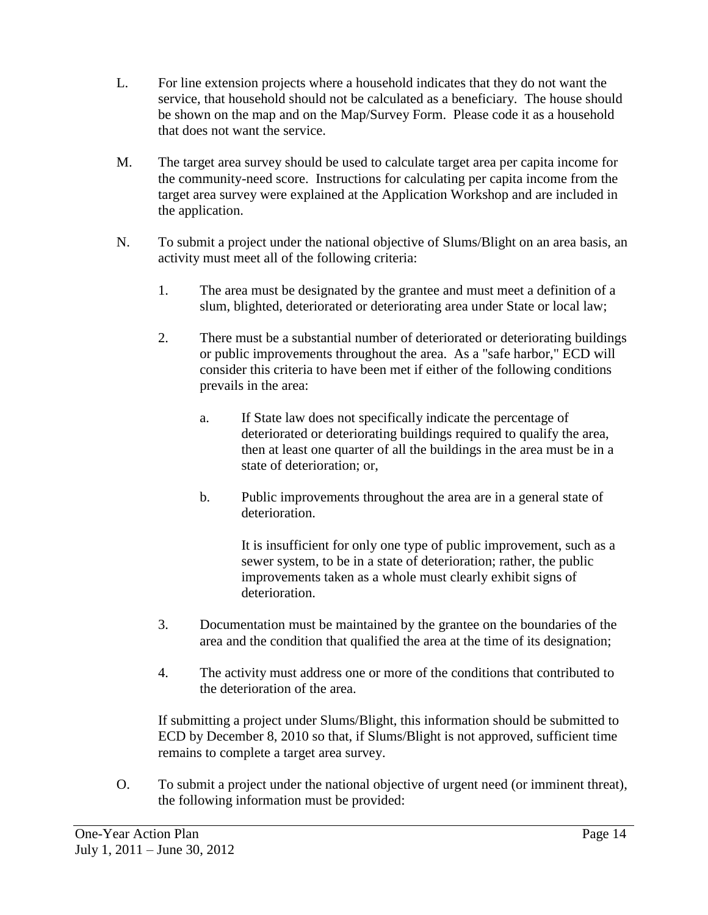- L. For line extension projects where a household indicates that they do not want the service, that household should not be calculated as a beneficiary. The house should be shown on the map and on the Map/Survey Form. Please code it as a household that does not want the service.
- M. The target area survey should be used to calculate target area per capita income for the community-need score. Instructions for calculating per capita income from the target area survey were explained at the Application Workshop and are included in the application.
- N. To submit a project under the national objective of Slums/Blight on an area basis, an activity must meet all of the following criteria:
	- 1. The area must be designated by the grantee and must meet a definition of a slum, blighted, deteriorated or deteriorating area under State or local law;
	- 2. There must be a substantial number of deteriorated or deteriorating buildings or public improvements throughout the area. As a "safe harbor," ECD will consider this criteria to have been met if either of the following conditions prevails in the area:
		- a. If State law does not specifically indicate the percentage of deteriorated or deteriorating buildings required to qualify the area, then at least one quarter of all the buildings in the area must be in a state of deterioration; or,
		- b. Public improvements throughout the area are in a general state of deterioration.

It is insufficient for only one type of public improvement, such as a sewer system, to be in a state of deterioration; rather, the public improvements taken as a whole must clearly exhibit signs of deterioration.

- 3. Documentation must be maintained by the grantee on the boundaries of the area and the condition that qualified the area at the time of its designation;
- 4. The activity must address one or more of the conditions that contributed to the deterioration of the area.

If submitting a project under Slums/Blight, this information should be submitted to ECD by December 8, 2010 so that, if Slums/Blight is not approved, sufficient time remains to complete a target area survey.

O. To submit a project under the national objective of urgent need (or imminent threat), the following information must be provided: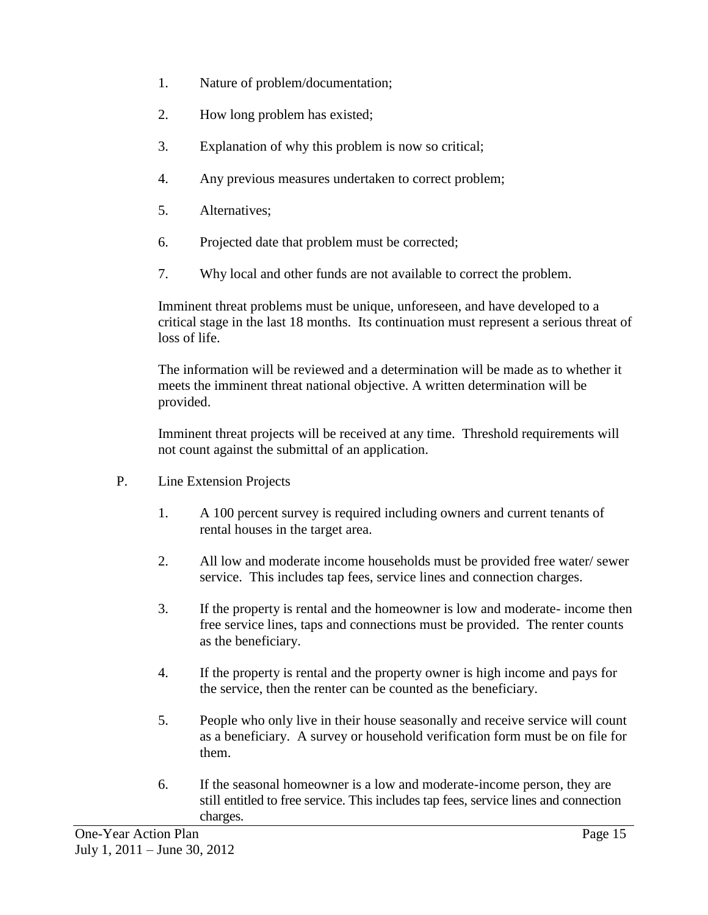- 1. Nature of problem/documentation;
- 2. How long problem has existed;
- 3. Explanation of why this problem is now so critical;
- 4. Any previous measures undertaken to correct problem;
- 5. Alternatives;
- 6. Projected date that problem must be corrected;
- 7. Why local and other funds are not available to correct the problem.

Imminent threat problems must be unique, unforeseen, and have developed to a critical stage in the last 18 months. Its continuation must represent a serious threat of loss of life.

The information will be reviewed and a determination will be made as to whether it meets the imminent threat national objective. A written determination will be provided.

Imminent threat projects will be received at any time. Threshold requirements will not count against the submittal of an application.

- P. Line Extension Projects
	- 1. A 100 percent survey is required including owners and current tenants of rental houses in the target area.
	- 2. All low and moderate income households must be provided free water/ sewer service. This includes tap fees, service lines and connection charges.
	- 3. If the property is rental and the homeowner is low and moderate- income then free service lines, taps and connections must be provided. The renter counts as the beneficiary.
	- 4. If the property is rental and the property owner is high income and pays for the service, then the renter can be counted as the beneficiary.
	- 5. People who only live in their house seasonally and receive service will count as a beneficiary. A survey or household verification form must be on file for them.
	- 6. If the seasonal homeowner is a low and moderate-income person, they are still entitled to free service. This includes tap fees, service lines and connection charges.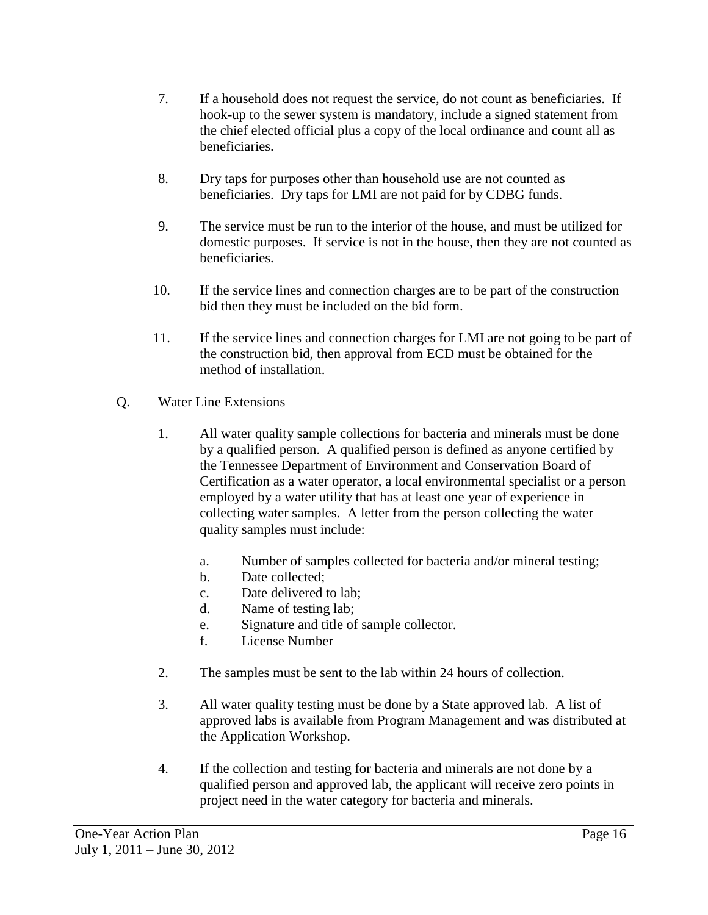- 7. If a household does not request the service, do not count as beneficiaries. If hook-up to the sewer system is mandatory, include a signed statement from the chief elected official plus a copy of the local ordinance and count all as beneficiaries.
- 8. Dry taps for purposes other than household use are not counted as beneficiaries. Dry taps for LMI are not paid for by CDBG funds.
- 9. The service must be run to the interior of the house, and must be utilized for domestic purposes. If service is not in the house, then they are not counted as beneficiaries.
- 10. If the service lines and connection charges are to be part of the construction bid then they must be included on the bid form.
- 11. If the service lines and connection charges for LMI are not going to be part of the construction bid, then approval from ECD must be obtained for the method of installation.
- Q. Water Line Extensions
	- 1. All water quality sample collections for bacteria and minerals must be done by a qualified person. A qualified person is defined as anyone certified by the Tennessee Department of Environment and Conservation Board of Certification as a water operator, a local environmental specialist or a person employed by a water utility that has at least one year of experience in collecting water samples. A letter from the person collecting the water quality samples must include:
		- a. Number of samples collected for bacteria and/or mineral testing;
		- b. Date collected;
		- c. Date delivered to lab;
		- d. Name of testing lab;
		- e. Signature and title of sample collector.
		- f. License Number
	- 2. The samples must be sent to the lab within 24 hours of collection.
	- 3. All water quality testing must be done by a State approved lab. A list of approved labs is available from Program Management and was distributed at the Application Workshop.
	- 4. If the collection and testing for bacteria and minerals are not done by a qualified person and approved lab, the applicant will receive zero points in project need in the water category for bacteria and minerals.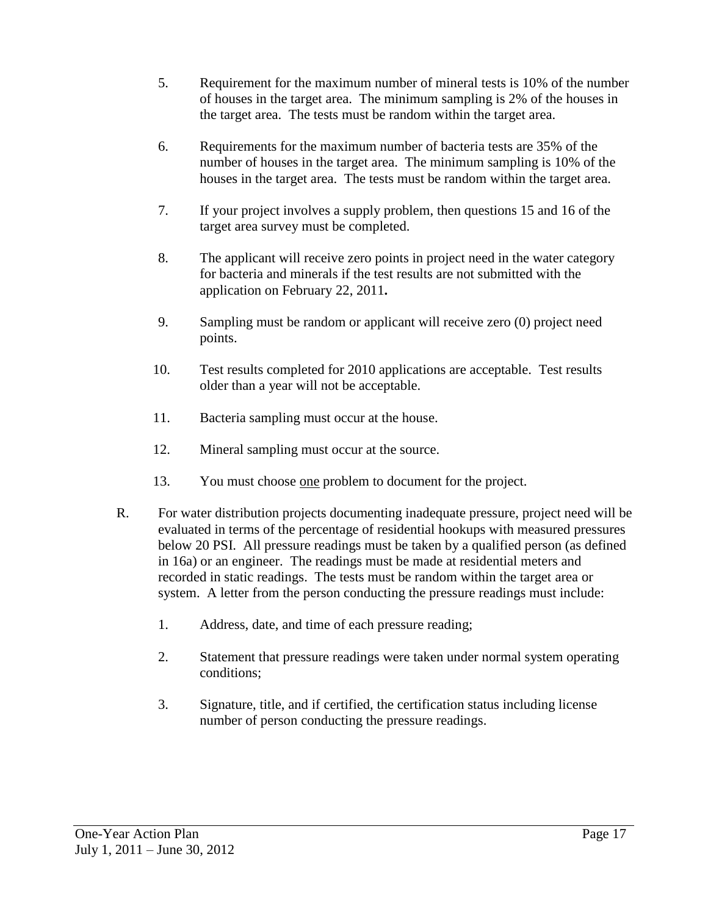- 5. Requirement for the maximum number of mineral tests is 10% of the number of houses in the target area. The minimum sampling is 2% of the houses in the target area. The tests must be random within the target area.
- 6. Requirements for the maximum number of bacteria tests are 35% of the number of houses in the target area. The minimum sampling is 10% of the houses in the target area. The tests must be random within the target area.
- 7. If your project involves a supply problem, then questions 15 and 16 of the target area survey must be completed.
- 8. The applicant will receive zero points in project need in the water category for bacteria and minerals if the test results are not submitted with the application on February 22, 2011**.**
- 9. Sampling must be random or applicant will receive zero (0) project need points.
- 10. Test results completed for 2010 applications are acceptable. Test results older than a year will not be acceptable.
- 11. Bacteria sampling must occur at the house.
- 12. Mineral sampling must occur at the source.
- 13. You must choose one problem to document for the project.
- R. For water distribution projects documenting inadequate pressure, project need will be evaluated in terms of the percentage of residential hookups with measured pressures below 20 PSI. All pressure readings must be taken by a qualified person (as defined in 16a) or an engineer. The readings must be made at residential meters and recorded in static readings. The tests must be random within the target area or system. A letter from the person conducting the pressure readings must include:
	- 1. Address, date, and time of each pressure reading;
	- 2. Statement that pressure readings were taken under normal system operating conditions;
	- 3. Signature, title, and if certified, the certification status including license number of person conducting the pressure readings.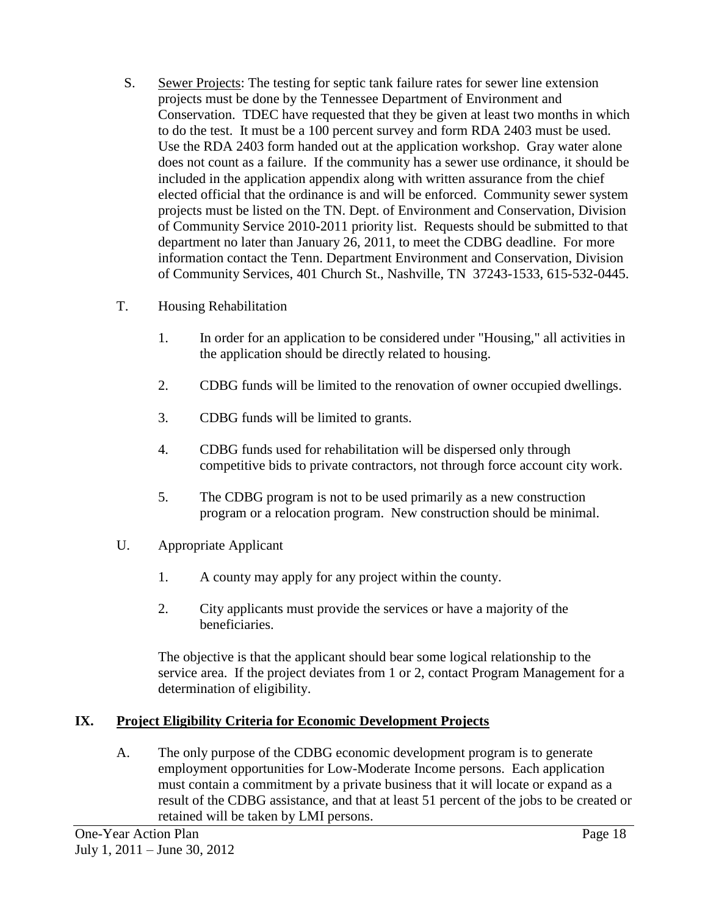- S. Sewer Projects: The testing for septic tank failure rates for sewer line extension projects must be done by the Tennessee Department of Environment and Conservation. TDEC have requested that they be given at least two months in which to do the test. It must be a 100 percent survey and form RDA 2403 must be used. Use the RDA 2403 form handed out at the application workshop. Gray water alone does not count as a failure. If the community has a sewer use ordinance, it should be included in the application appendix along with written assurance from the chief elected official that the ordinance is and will be enforced. Community sewer system projects must be listed on the TN. Dept. of Environment and Conservation, Division of Community Service 2010-2011 priority list. Requests should be submitted to that department no later than January 26, 2011, to meet the CDBG deadline. For more information contact the Tenn. Department Environment and Conservation, Division of Community Services, 401 Church St., Nashville, TN 37243-1533, 615-532-0445.
- T. Housing Rehabilitation
	- 1. In order for an application to be considered under "Housing," all activities in the application should be directly related to housing.
	- 2. CDBG funds will be limited to the renovation of owner occupied dwellings.
	- 3. CDBG funds will be limited to grants.
	- 4. CDBG funds used for rehabilitation will be dispersed only through competitive bids to private contractors, not through force account city work.
	- 5. The CDBG program is not to be used primarily as a new construction program or a relocation program. New construction should be minimal.
- U. Appropriate Applicant
	- 1. A county may apply for any project within the county.
	- 2. City applicants must provide the services or have a majority of the beneficiaries.

The objective is that the applicant should bear some logical relationship to the service area. If the project deviates from 1 or 2, contact Program Management for a determination of eligibility.

# **IX. Project Eligibility Criteria for Economic Development Projects**

A. The only purpose of the CDBG economic development program is to generate employment opportunities for Low-Moderate Income persons. Each application must contain a commitment by a private business that it will locate or expand as a result of the CDBG assistance, and that at least 51 percent of the jobs to be created or retained will be taken by LMI persons.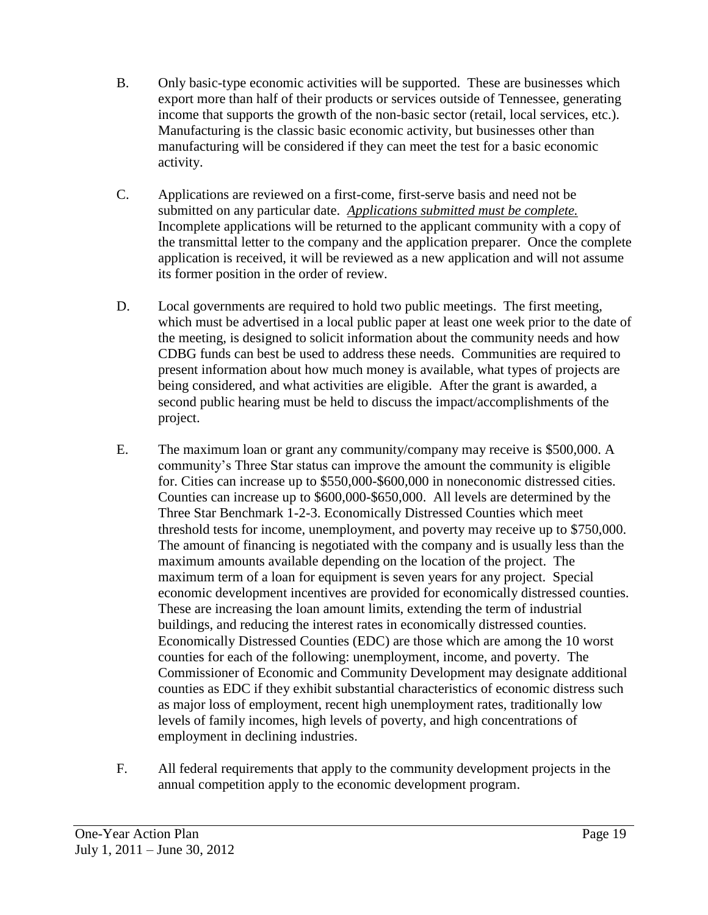- B. Only basic-type economic activities will be supported. These are businesses which export more than half of their products or services outside of Tennessee, generating income that supports the growth of the non-basic sector (retail, local services, etc.). Manufacturing is the classic basic economic activity, but businesses other than manufacturing will be considered if they can meet the test for a basic economic activity.
- C. Applications are reviewed on a first-come, first-serve basis and need not be submitted on any particular date. *Applications submitted must be complete.* Incomplete applications will be returned to the applicant community with a copy of the transmittal letter to the company and the application preparer. Once the complete application is received, it will be reviewed as a new application and will not assume its former position in the order of review.
- D. Local governments are required to hold two public meetings. The first meeting, which must be advertised in a local public paper at least one week prior to the date of the meeting, is designed to solicit information about the community needs and how CDBG funds can best be used to address these needs. Communities are required to present information about how much money is available, what types of projects are being considered, and what activities are eligible. After the grant is awarded, a second public hearing must be held to discuss the impact/accomplishments of the project.
- E. The maximum loan or grant any community/company may receive is \$500,000. A community's Three Star status can improve the amount the community is eligible for. Cities can increase up to \$550,000-\$600,000 in noneconomic distressed cities. Counties can increase up to \$600,000-\$650,000. All levels are determined by the Three Star Benchmark 1-2-3. Economically Distressed Counties which meet threshold tests for income, unemployment, and poverty may receive up to \$750,000. The amount of financing is negotiated with the company and is usually less than the maximum amounts available depending on the location of the project. The maximum term of a loan for equipment is seven years for any project. Special economic development incentives are provided for economically distressed counties. These are increasing the loan amount limits, extending the term of industrial buildings, and reducing the interest rates in economically distressed counties. Economically Distressed Counties (EDC) are those which are among the 10 worst counties for each of the following: unemployment, income, and poverty. The Commissioner of Economic and Community Development may designate additional counties as EDC if they exhibit substantial characteristics of economic distress such as major loss of employment, recent high unemployment rates, traditionally low levels of family incomes, high levels of poverty, and high concentrations of employment in declining industries.
- F. All federal requirements that apply to the community development projects in the annual competition apply to the economic development program.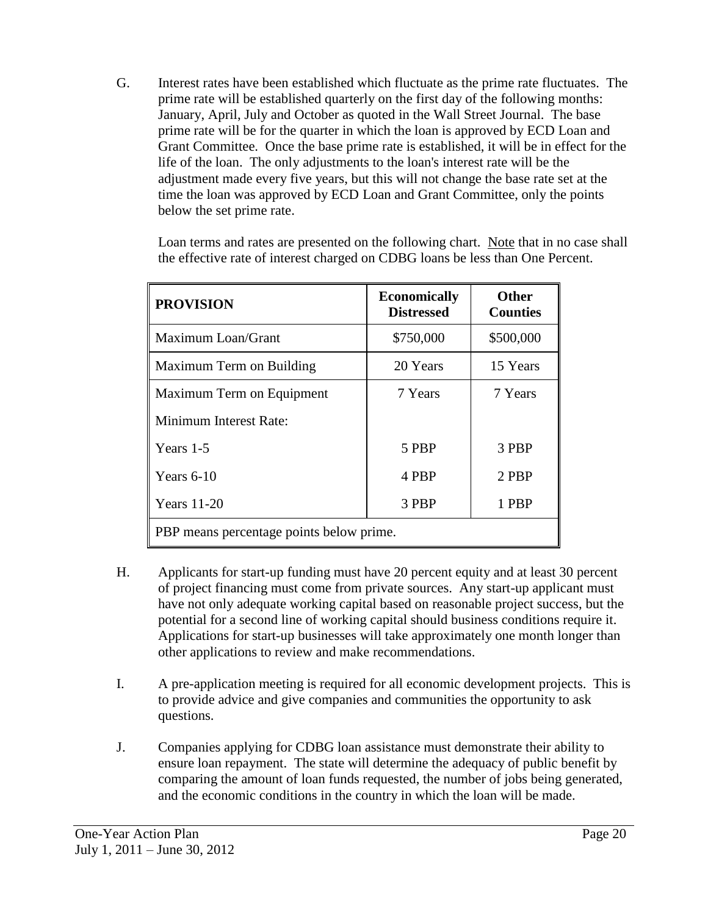G. Interest rates have been established which fluctuate as the prime rate fluctuates. The prime rate will be established quarterly on the first day of the following months: January, April, July and October as quoted in the Wall Street Journal. The base prime rate will be for the quarter in which the loan is approved by ECD Loan and Grant Committee. Once the base prime rate is established, it will be in effect for the life of the loan. The only adjustments to the loan's interest rate will be the adjustment made every five years, but this will not change the base rate set at the time the loan was approved by ECD Loan and Grant Committee, only the points below the set prime rate.

Loan terms and rates are presented on the following chart. Note that in no case shall the effective rate of interest charged on CDBG loans be less than One Percent.

| <b>PROVISION</b>                         | <b>Economically</b><br><b>Distressed</b> | <b>Other</b><br><b>Counties</b> |  |
|------------------------------------------|------------------------------------------|---------------------------------|--|
| Maximum Loan/Grant                       | \$750,000                                | \$500,000                       |  |
| Maximum Term on Building                 | 20 Years                                 | 15 Years                        |  |
| Maximum Term on Equipment                | 7 Years                                  | 7 Years                         |  |
| Minimum Interest Rate:                   |                                          |                                 |  |
| Years 1-5                                | 5 PBP                                    | 3 PBP                           |  |
| Years $6-10$                             | 4 PBP                                    | 2 PBP                           |  |
| <b>Years</b> 11-20                       | 3 PBP                                    | 1 PBP                           |  |
| PBP means percentage points below prime. |                                          |                                 |  |

- H. Applicants for start-up funding must have 20 percent equity and at least 30 percent of project financing must come from private sources. Any start-up applicant must have not only adequate working capital based on reasonable project success, but the potential for a second line of working capital should business conditions require it. Applications for start-up businesses will take approximately one month longer than other applications to review and make recommendations.
- I. A pre-application meeting is required for all economic development projects. This is to provide advice and give companies and communities the opportunity to ask questions.
- J. Companies applying for CDBG loan assistance must demonstrate their ability to ensure loan repayment. The state will determine the adequacy of public benefit by comparing the amount of loan funds requested, the number of jobs being generated, and the economic conditions in the country in which the loan will be made.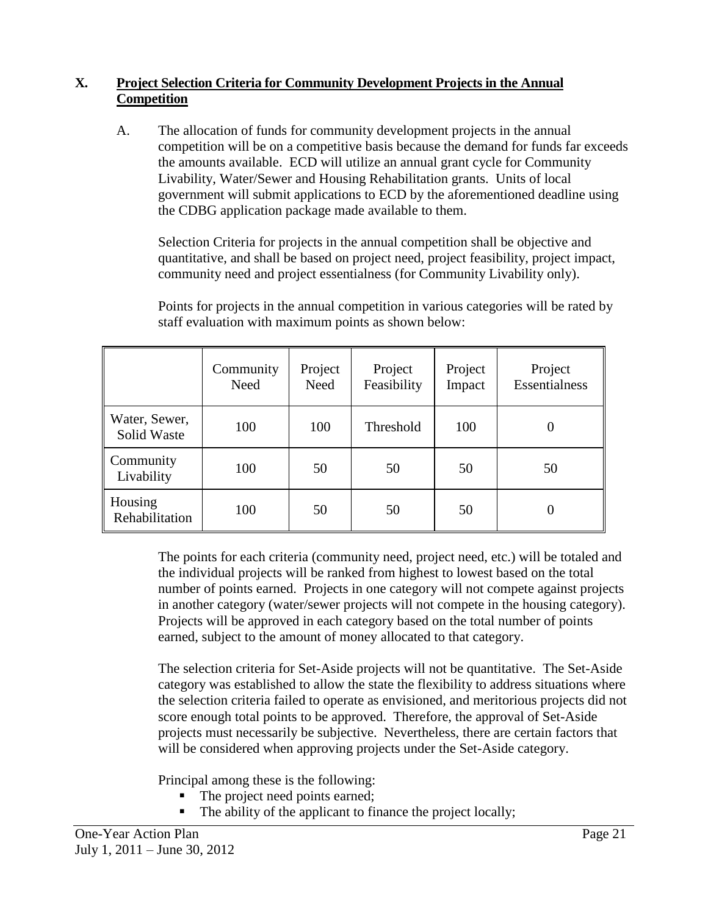# **X. Project Selection Criteria for Community Development Projects in the Annual Competition**

A. The allocation of funds for community development projects in the annual competition will be on a competitive basis because the demand for funds far exceeds the amounts available. ECD will utilize an annual grant cycle for Community Livability, Water/Sewer and Housing Rehabilitation grants. Units of local government will submit applications to ECD by the aforementioned deadline using the CDBG application package made available to them.

Selection Criteria for projects in the annual competition shall be objective and quantitative, and shall be based on project need, project feasibility, project impact, community need and project essentialness (for Community Livability only).

|                              | Community<br>Need | Project<br>Need | Project<br>Feasibility | Project<br>Impact | Project<br><b>Essentialness</b> |
|------------------------------|-------------------|-----------------|------------------------|-------------------|---------------------------------|
| Water, Sewer,<br>Solid Waste | 100               | 100             | Threshold              | 100               | $\theta$                        |
| Community<br>Livability      | 100               | 50              | 50                     | 50                | 50                              |
| Housing<br>Rehabilitation    | 100               | 50              | 50                     | 50                | $\theta$                        |

Points for projects in the annual competition in various categories will be rated by staff evaluation with maximum points as shown below:

The points for each criteria (community need, project need, etc.) will be totaled and the individual projects will be ranked from highest to lowest based on the total number of points earned. Projects in one category will not compete against projects in another category (water/sewer projects will not compete in the housing category). Projects will be approved in each category based on the total number of points earned, subject to the amount of money allocated to that category.

The selection criteria for Set-Aside projects will not be quantitative. The Set-Aside category was established to allow the state the flexibility to address situations where the selection criteria failed to operate as envisioned, and meritorious projects did not score enough total points to be approved. Therefore, the approval of Set-Aside projects must necessarily be subjective. Nevertheless, there are certain factors that will be considered when approving projects under the Set-Aside category.

Principal among these is the following:

- The project need points earned;
- The ability of the applicant to finance the project locally;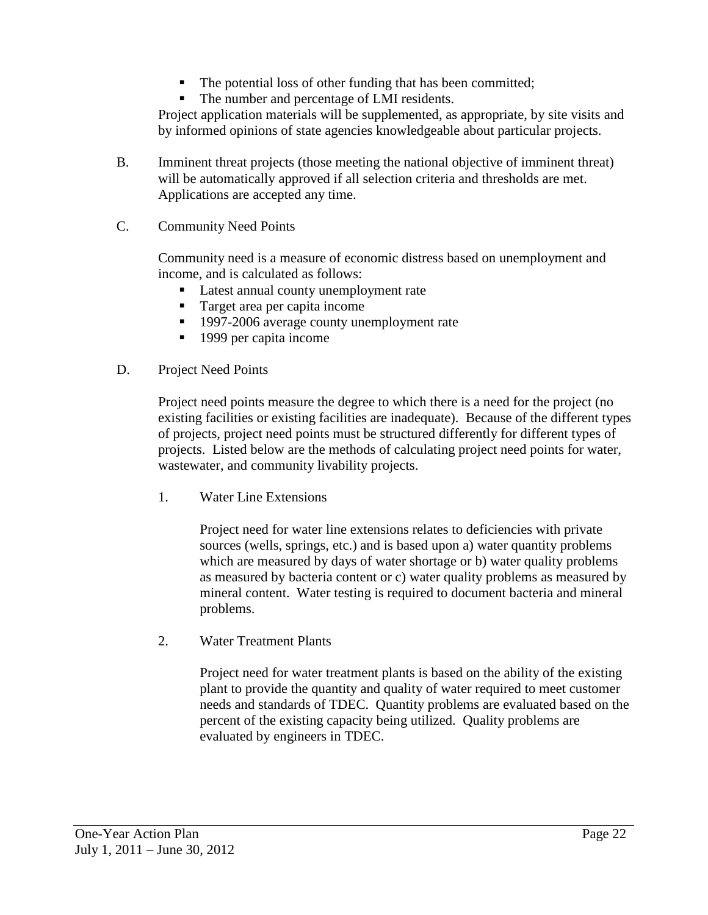- The potential loss of other funding that has been committed;
- The number and percentage of LMI residents.

Project application materials will be supplemented, as appropriate, by site visits and by informed opinions of state agencies knowledgeable about particular projects.

- B. Imminent threat projects (those meeting the national objective of imminent threat) will be automatically approved if all selection criteria and thresholds are met. Applications are accepted any time.
- C. Community Need Points

Community need is a measure of economic distress based on unemployment and income, and is calculated as follows:

- Latest annual county unemployment rate
- Target area per capita income
- <sup>1997-2006</sup> average county unemployment rate
- $\blacksquare$  1999 per capita income
- D. Project Need Points

Project need points measure the degree to which there is a need for the project (no existing facilities or existing facilities are inadequate). Because of the different types of projects, project need points must be structured differently for different types of projects. Listed below are the methods of calculating project need points for water, wastewater, and community livability projects.

1. Water Line Extensions

Project need for water line extensions relates to deficiencies with private sources (wells, springs, etc.) and is based upon a) water quantity problems which are measured by days of water shortage or b) water quality problems as measured by bacteria content or c) water quality problems as measured by mineral content. Water testing is required to document bacteria and mineral problems.

2. Water Treatment Plants

Project need for water treatment plants is based on the ability of the existing plant to provide the quantity and quality of water required to meet customer needs and standards of TDEC. Quantity problems are evaluated based on the percent of the existing capacity being utilized. Quality problems are evaluated by engineers in TDEC.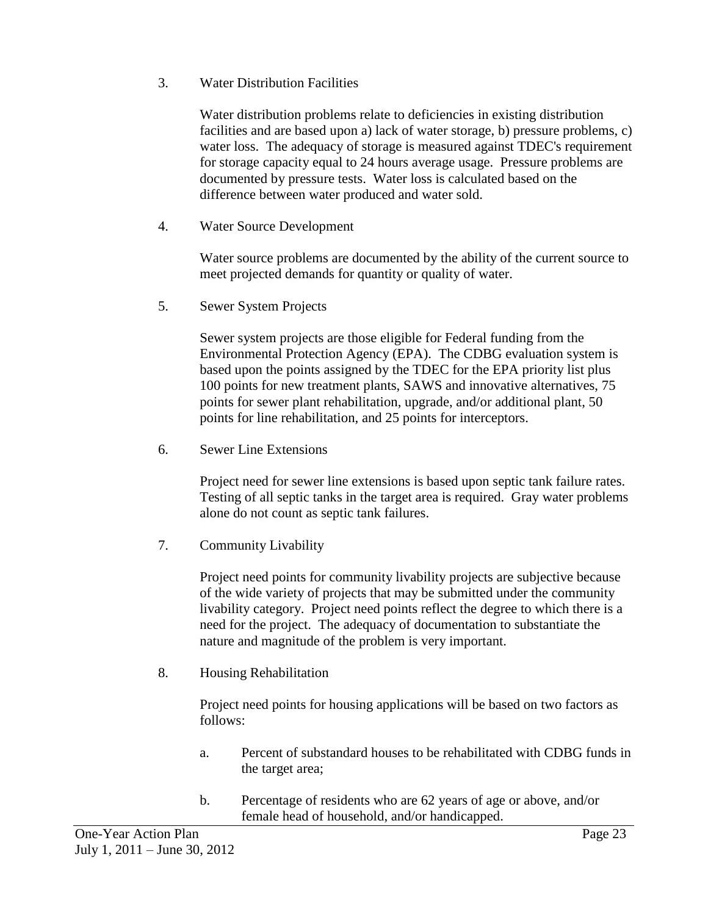3. Water Distribution Facilities

Water distribution problems relate to deficiencies in existing distribution facilities and are based upon a) lack of water storage, b) pressure problems, c) water loss. The adequacy of storage is measured against TDEC's requirement for storage capacity equal to 24 hours average usage. Pressure problems are documented by pressure tests. Water loss is calculated based on the difference between water produced and water sold.

4. Water Source Development

Water source problems are documented by the ability of the current source to meet projected demands for quantity or quality of water.

5. Sewer System Projects

Sewer system projects are those eligible for Federal funding from the Environmental Protection Agency (EPA). The CDBG evaluation system is based upon the points assigned by the TDEC for the EPA priority list plus 100 points for new treatment plants, SAWS and innovative alternatives, 75 points for sewer plant rehabilitation, upgrade, and/or additional plant, 50 points for line rehabilitation, and 25 points for interceptors.

6. Sewer Line Extensions

Project need for sewer line extensions is based upon septic tank failure rates. Testing of all septic tanks in the target area is required. Gray water problems alone do not count as septic tank failures.

7. Community Livability

Project need points for community livability projects are subjective because of the wide variety of projects that may be submitted under the community livability category. Project need points reflect the degree to which there is a need for the project. The adequacy of documentation to substantiate the nature and magnitude of the problem is very important.

8. Housing Rehabilitation

Project need points for housing applications will be based on two factors as follows:

- a. Percent of substandard houses to be rehabilitated with CDBG funds in the target area;
- b. Percentage of residents who are 62 years of age or above, and/or female head of household, and/or handicapped.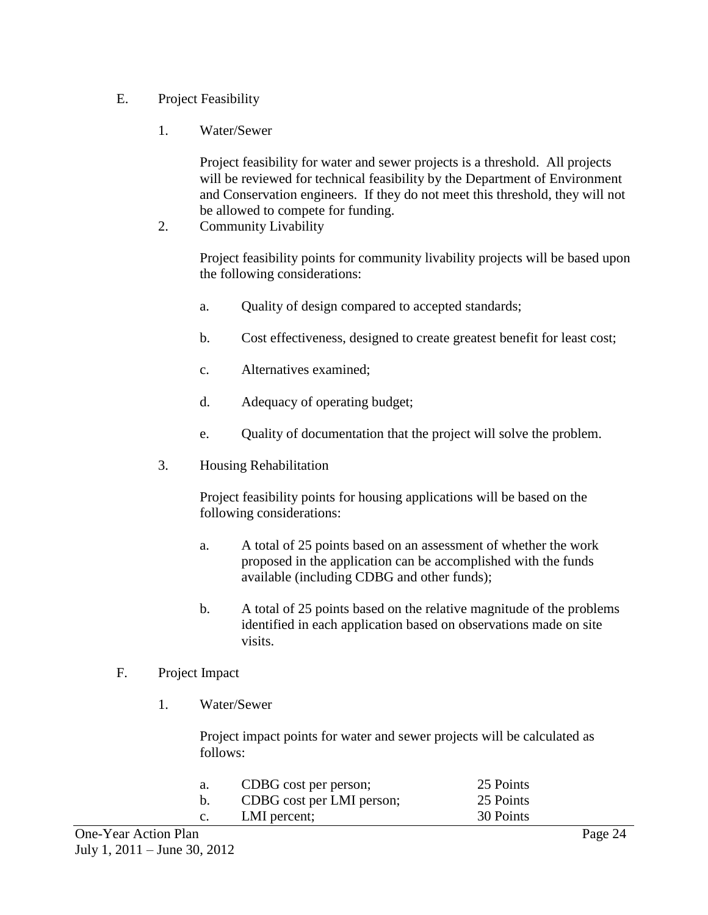# E. Project Feasibility

1. Water/Sewer

Project feasibility for water and sewer projects is a threshold. All projects will be reviewed for technical feasibility by the Department of Environment and Conservation engineers. If they do not meet this threshold, they will not be allowed to compete for funding.

2. Community Livability

Project feasibility points for community livability projects will be based upon the following considerations:

- a. Quality of design compared to accepted standards;
- b. Cost effectiveness, designed to create greatest benefit for least cost;
- c. Alternatives examined;
- d. Adequacy of operating budget;
- e. Quality of documentation that the project will solve the problem.
- 3. Housing Rehabilitation

Project feasibility points for housing applications will be based on the following considerations:

- a. A total of 25 points based on an assessment of whether the work proposed in the application can be accomplished with the funds available (including CDBG and other funds);
- b. A total of 25 points based on the relative magnitude of the problems identified in each application based on observations made on site visits.

#### F. Project Impact

1. Water/Sewer

Project impact points for water and sewer projects will be calculated as follows:

| a.             | CDBG cost per person;     | 25 Points |
|----------------|---------------------------|-----------|
| b.             | CDBG cost per LMI person; | 25 Points |
| $\mathbf{c}$ . | LMI percent;              | 30 Points |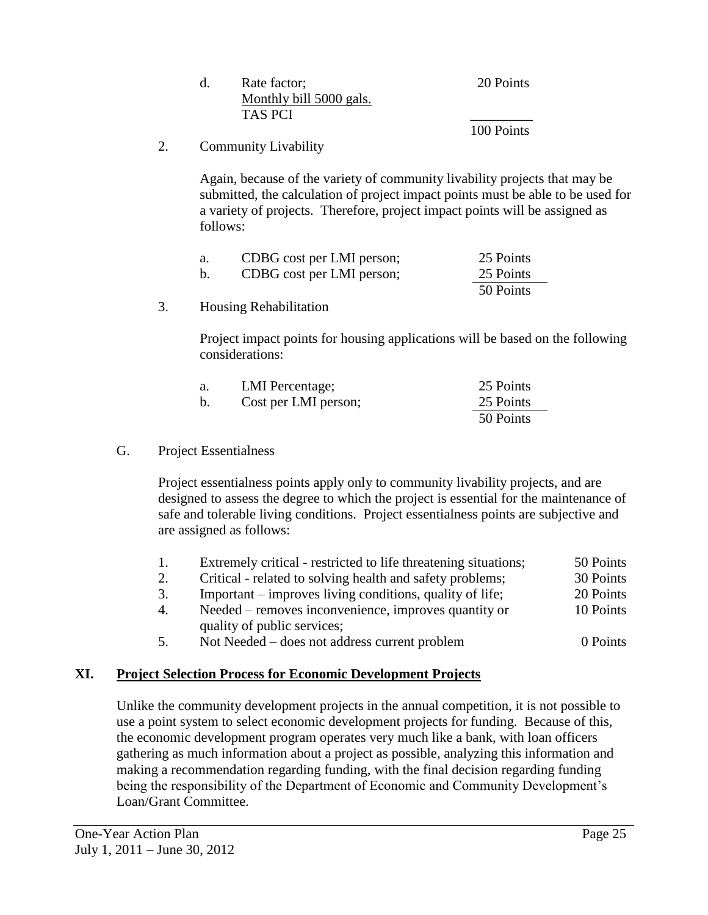| Rate factor;            | 20 Points  |
|-------------------------|------------|
| Monthly bill 5000 gals. |            |
| TAS PCI                 |            |
|                         | 100 Points |

# 2. Community Livability

Again, because of the variety of community livability projects that may be submitted, the calculation of project impact points must be able to be used for a variety of projects. Therefore, project impact points will be assigned as follows:

| а. | CDBG cost per LMI person; | 25 Points |
|----|---------------------------|-----------|
|    | CDBG cost per LMI person; | 25 Points |
|    |                           | 50 Points |

3. Housing Rehabilitation

Project impact points for housing applications will be based on the following considerations:

| а. | <b>LMI</b> Percentage; | 25 Points |
|----|------------------------|-----------|
| b. | Cost per LMI person;   | 25 Points |
|    |                        | 50 Points |

# G. Project Essentialness

Project essentialness points apply only to community livability projects, and are designed to assess the degree to which the project is essential for the maintenance of safe and tolerable living conditions. Project essentialness points are subjective and are assigned as follows:

| -1. | Extremely critical - restricted to life threatening situations; | 50 Points |
|-----|-----------------------------------------------------------------|-----------|
| 2.  | Critical - related to solving health and safety problems;       | 30 Points |
| 3.  | Important – improves living conditions, quality of life;        | 20 Points |
| 4.  | Needed – removes inconvenience, improves quantity or            | 10 Points |
|     | quality of public services;                                     |           |
| 5.  | Not Needed – does not address current problem                   | 0 Points  |

# **XI. Project Selection Process for Economic Development Projects**

Unlike the community development projects in the annual competition, it is not possible to use a point system to select economic development projects for funding. Because of this, the economic development program operates very much like a bank, with loan officers gathering as much information about a project as possible, analyzing this information and making a recommendation regarding funding, with the final decision regarding funding being the responsibility of the Department of Economic and Community Development's Loan/Grant Committee.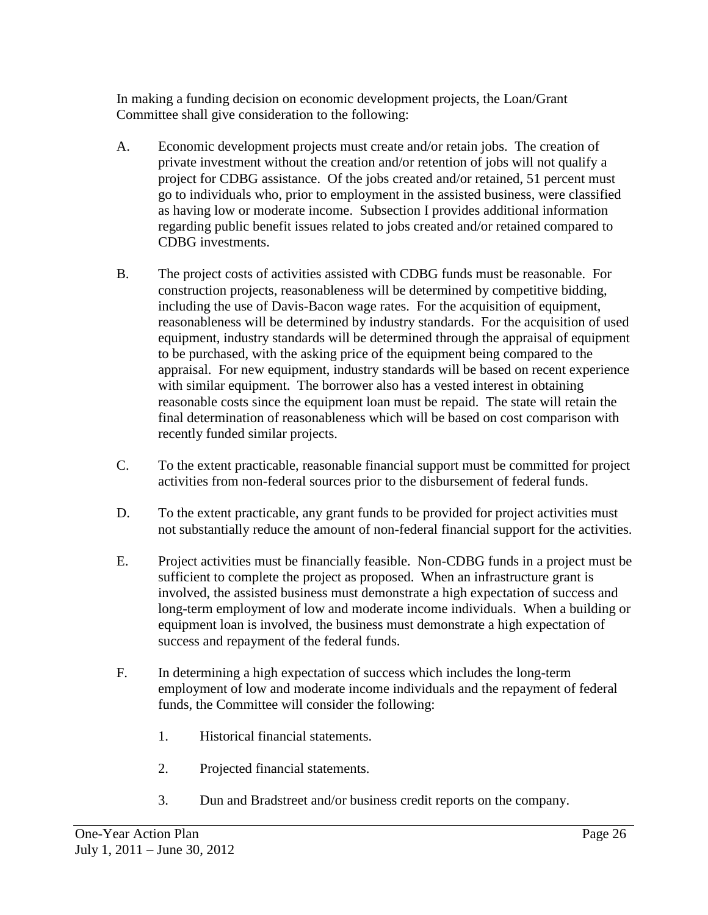In making a funding decision on economic development projects, the Loan/Grant Committee shall give consideration to the following:

- A. Economic development projects must create and/or retain jobs. The creation of private investment without the creation and/or retention of jobs will not qualify a project for CDBG assistance. Of the jobs created and/or retained, 51 percent must go to individuals who, prior to employment in the assisted business, were classified as having low or moderate income. Subsection I provides additional information regarding public benefit issues related to jobs created and/or retained compared to CDBG investments.
- B. The project costs of activities assisted with CDBG funds must be reasonable. For construction projects, reasonableness will be determined by competitive bidding, including the use of Davis-Bacon wage rates. For the acquisition of equipment, reasonableness will be determined by industry standards. For the acquisition of used equipment, industry standards will be determined through the appraisal of equipment to be purchased, with the asking price of the equipment being compared to the appraisal. For new equipment, industry standards will be based on recent experience with similar equipment. The borrower also has a vested interest in obtaining reasonable costs since the equipment loan must be repaid. The state will retain the final determination of reasonableness which will be based on cost comparison with recently funded similar projects.
- C. To the extent practicable, reasonable financial support must be committed for project activities from non-federal sources prior to the disbursement of federal funds.
- D. To the extent practicable, any grant funds to be provided for project activities must not substantially reduce the amount of non-federal financial support for the activities.
- E. Project activities must be financially feasible. Non-CDBG funds in a project must be sufficient to complete the project as proposed. When an infrastructure grant is involved, the assisted business must demonstrate a high expectation of success and long-term employment of low and moderate income individuals. When a building or equipment loan is involved, the business must demonstrate a high expectation of success and repayment of the federal funds.
- F. In determining a high expectation of success which includes the long-term employment of low and moderate income individuals and the repayment of federal funds, the Committee will consider the following:
	- 1. Historical financial statements.
	- 2. Projected financial statements.
	- 3. Dun and Bradstreet and/or business credit reports on the company.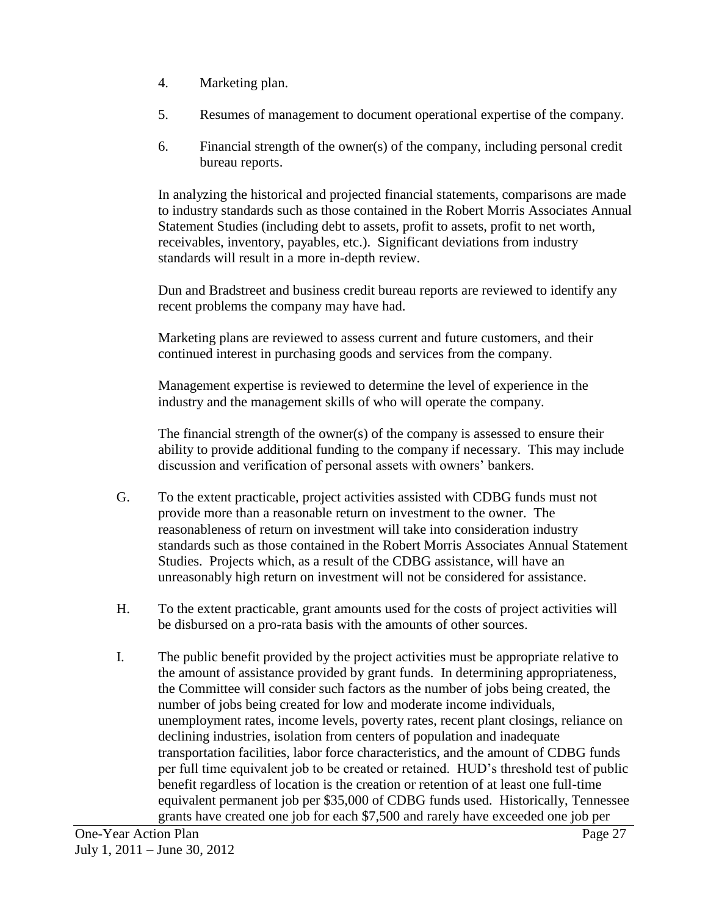- 4. Marketing plan.
- 5. Resumes of management to document operational expertise of the company.
- 6. Financial strength of the owner(s) of the company, including personal credit bureau reports.

In analyzing the historical and projected financial statements, comparisons are made to industry standards such as those contained in the Robert Morris Associates Annual Statement Studies (including debt to assets, profit to assets, profit to net worth, receivables, inventory, payables, etc.). Significant deviations from industry standards will result in a more in-depth review.

Dun and Bradstreet and business credit bureau reports are reviewed to identify any recent problems the company may have had.

Marketing plans are reviewed to assess current and future customers, and their continued interest in purchasing goods and services from the company.

Management expertise is reviewed to determine the level of experience in the industry and the management skills of who will operate the company.

The financial strength of the owner(s) of the company is assessed to ensure their ability to provide additional funding to the company if necessary. This may include discussion and verification of personal assets with owners' bankers.

- G. To the extent practicable, project activities assisted with CDBG funds must not provide more than a reasonable return on investment to the owner. The reasonableness of return on investment will take into consideration industry standards such as those contained in the Robert Morris Associates Annual Statement Studies. Projects which, as a result of the CDBG assistance, will have an unreasonably high return on investment will not be considered for assistance.
- H. To the extent practicable, grant amounts used for the costs of project activities will be disbursed on a pro-rata basis with the amounts of other sources.
- I. The public benefit provided by the project activities must be appropriate relative to the amount of assistance provided by grant funds. In determining appropriateness, the Committee will consider such factors as the number of jobs being created, the number of jobs being created for low and moderate income individuals, unemployment rates, income levels, poverty rates, recent plant closings, reliance on declining industries, isolation from centers of population and inadequate transportation facilities, labor force characteristics, and the amount of CDBG funds per full time equivalent job to be created or retained. HUD's threshold test of public benefit regardless of location is the creation or retention of at least one full-time equivalent permanent job per \$35,000 of CDBG funds used. Historically, Tennessee grants have created one job for each \$7,500 and rarely have exceeded one job per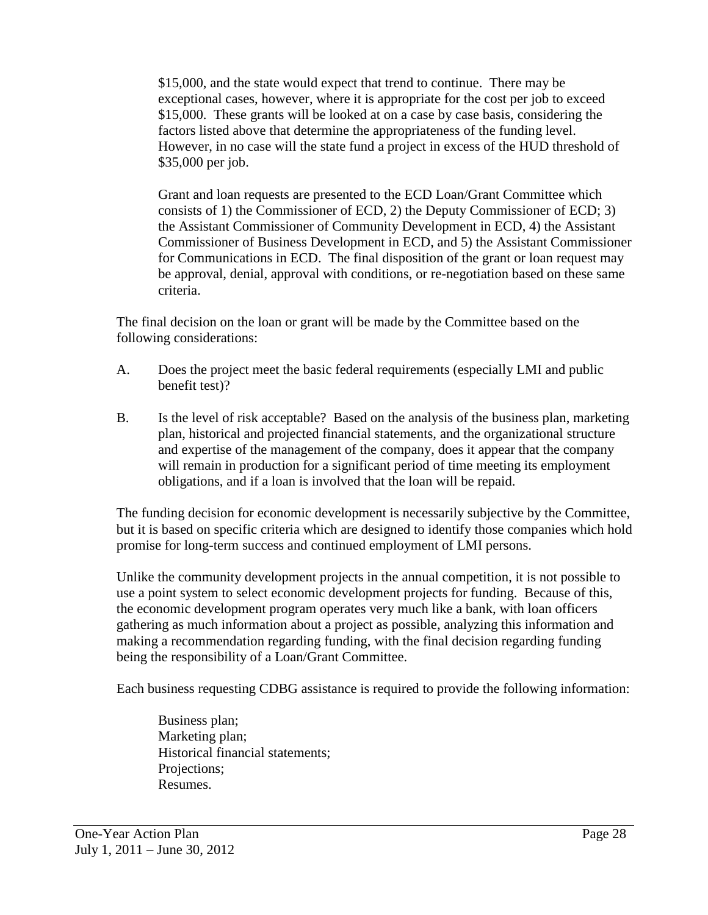\$15,000, and the state would expect that trend to continue. There may be exceptional cases, however, where it is appropriate for the cost per job to exceed \$15,000. These grants will be looked at on a case by case basis, considering the factors listed above that determine the appropriateness of the funding level. However, in no case will the state fund a project in excess of the HUD threshold of \$35,000 per job.

Grant and loan requests are presented to the ECD Loan/Grant Committee which consists of 1) the Commissioner of ECD, 2) the Deputy Commissioner of ECD; 3) the Assistant Commissioner of Community Development in ECD, 4) the Assistant Commissioner of Business Development in ECD, and 5) the Assistant Commissioner for Communications in ECD. The final disposition of the grant or loan request may be approval, denial, approval with conditions, or re-negotiation based on these same criteria.

The final decision on the loan or grant will be made by the Committee based on the following considerations:

- A. Does the project meet the basic federal requirements (especially LMI and public benefit test)?
- B. Is the level of risk acceptable? Based on the analysis of the business plan, marketing plan, historical and projected financial statements, and the organizational structure and expertise of the management of the company, does it appear that the company will remain in production for a significant period of time meeting its employment obligations, and if a loan is involved that the loan will be repaid.

The funding decision for economic development is necessarily subjective by the Committee, but it is based on specific criteria which are designed to identify those companies which hold promise for long-term success and continued employment of LMI persons.

Unlike the community development projects in the annual competition, it is not possible to use a point system to select economic development projects for funding. Because of this, the economic development program operates very much like a bank, with loan officers gathering as much information about a project as possible, analyzing this information and making a recommendation regarding funding, with the final decision regarding funding being the responsibility of a Loan/Grant Committee.

Each business requesting CDBG assistance is required to provide the following information:

Business plan; Marketing plan; Historical financial statements; Projections; Resumes.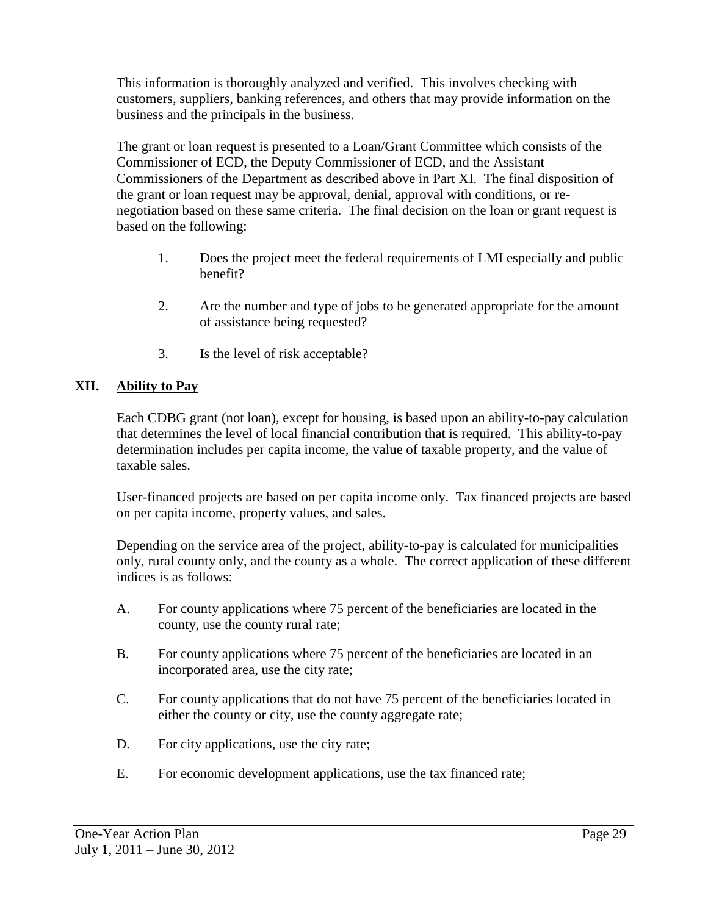This information is thoroughly analyzed and verified. This involves checking with customers, suppliers, banking references, and others that may provide information on the business and the principals in the business.

The grant or loan request is presented to a Loan/Grant Committee which consists of the Commissioner of ECD, the Deputy Commissioner of ECD, and the Assistant Commissioners of the Department as described above in Part XI. The final disposition of the grant or loan request may be approval, denial, approval with conditions, or renegotiation based on these same criteria. The final decision on the loan or grant request is based on the following:

- 1. Does the project meet the federal requirements of LMI especially and public benefit?
- 2. Are the number and type of jobs to be generated appropriate for the amount of assistance being requested?
- 3. Is the level of risk acceptable?

# **XII. Ability to Pay**

Each CDBG grant (not loan), except for housing, is based upon an ability-to-pay calculation that determines the level of local financial contribution that is required. This ability-to-pay determination includes per capita income, the value of taxable property, and the value of taxable sales.

User-financed projects are based on per capita income only. Tax financed projects are based on per capita income, property values, and sales.

Depending on the service area of the project, ability-to-pay is calculated for municipalities only, rural county only, and the county as a whole. The correct application of these different indices is as follows:

- A. For county applications where 75 percent of the beneficiaries are located in the county, use the county rural rate;
- B. For county applications where 75 percent of the beneficiaries are located in an incorporated area, use the city rate;
- C. For county applications that do not have 75 percent of the beneficiaries located in either the county or city, use the county aggregate rate;
- D. For city applications, use the city rate;
- E. For economic development applications, use the tax financed rate;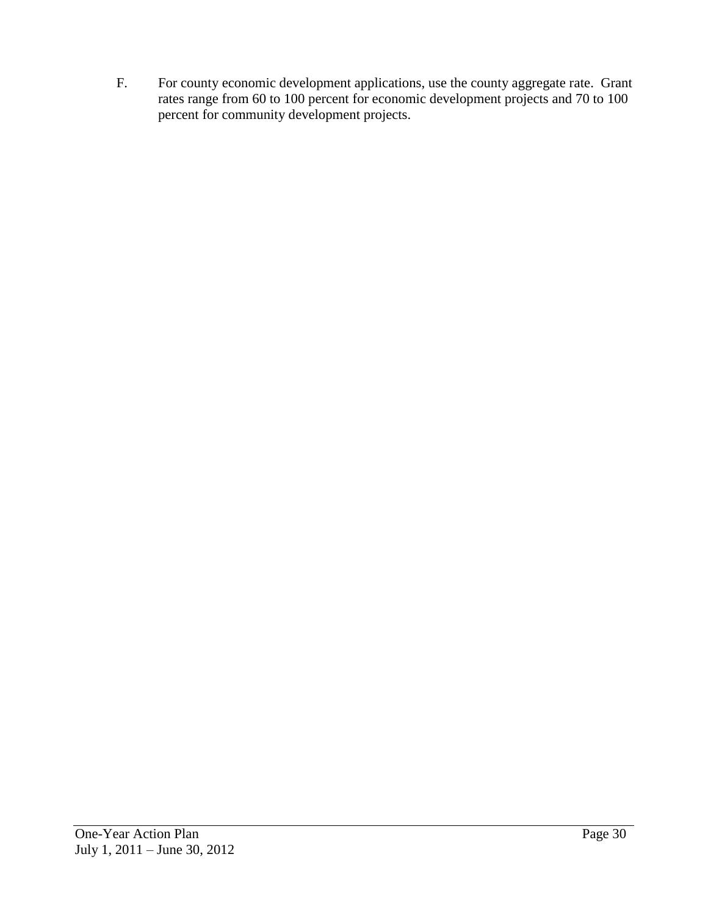F. For county economic development applications, use the county aggregate rate. Grant rates range from 60 to 100 percent for economic development projects and 70 to 100 percent for community development projects.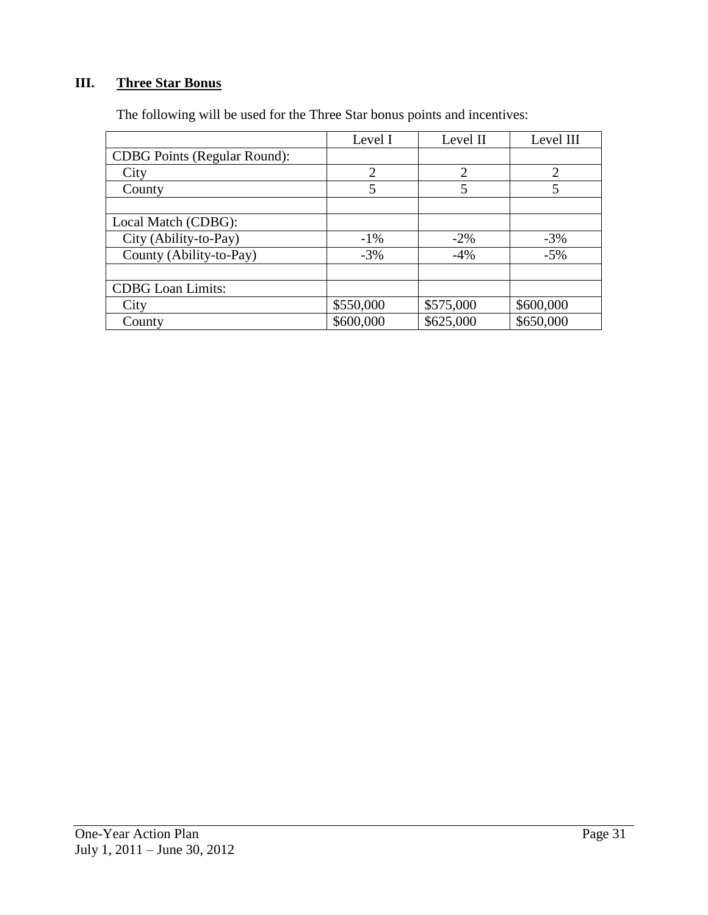# **III. Three Star Bonus**

|  | The following will be used for the Three Star bonus points and incentives: |
|--|----------------------------------------------------------------------------|
|  |                                                                            |

|                                     | Level I        | Level II       | Level III      |
|-------------------------------------|----------------|----------------|----------------|
| <b>CDBG</b> Points (Regular Round): |                |                |                |
| City                                | $\overline{2}$ | $\overline{2}$ | $\overline{2}$ |
| County                              | 5              | 5              | 5              |
|                                     |                |                |                |
| Local Match (CDBG):                 |                |                |                |
| City (Ability-to-Pay)               | $-1\%$         | $-2\%$         | $-3\%$         |
| County (Ability-to-Pay)             | $-3%$          | $-4\%$         | $-5%$          |
|                                     |                |                |                |
| <b>CDBG</b> Loan Limits:            |                |                |                |
| City                                | \$550,000      | \$575,000      | \$600,000      |
| County                              | \$600,000      | \$625,000      | \$650,000      |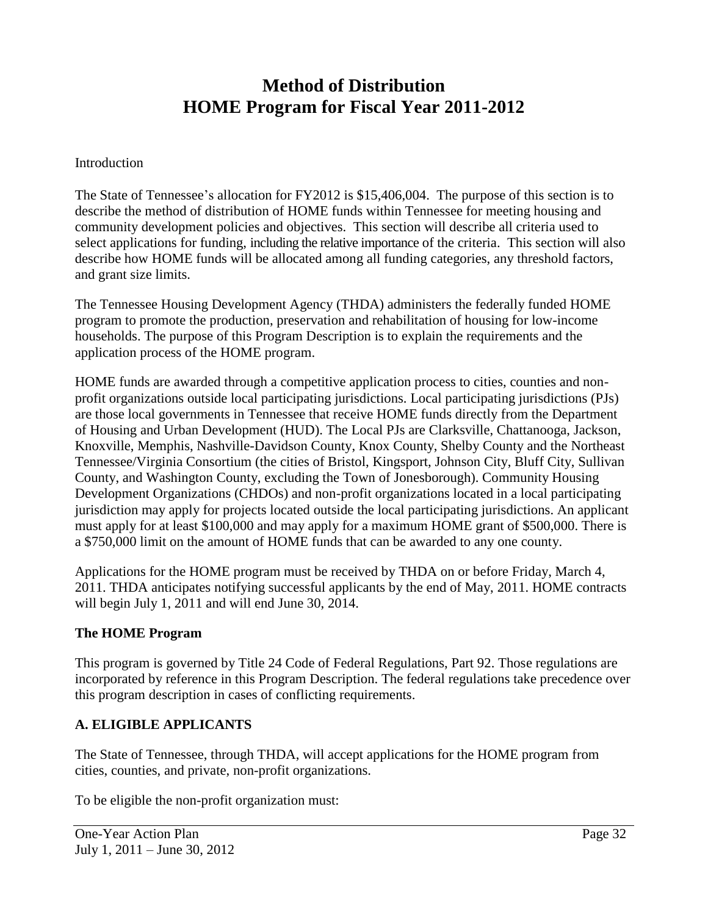# **Method of Distribution HOME Program for Fiscal Year 2011-2012**

#### **Introduction**

The State of Tennessee's allocation for FY2012 is \$15,406,004. The purpose of this section is to describe the method of distribution of HOME funds within Tennessee for meeting housing and community development policies and objectives. This section will describe all criteria used to select applications for funding, including the relative importance of the criteria. This section will also describe how HOME funds will be allocated among all funding categories, any threshold factors, and grant size limits.

The Tennessee Housing Development Agency (THDA) administers the federally funded HOME program to promote the production, preservation and rehabilitation of housing for low-income households. The purpose of this Program Description is to explain the requirements and the application process of the HOME program.

HOME funds are awarded through a competitive application process to cities, counties and nonprofit organizations outside local participating jurisdictions. Local participating jurisdictions (PJs) are those local governments in Tennessee that receive HOME funds directly from the Department of Housing and Urban Development (HUD). The Local PJs are Clarksville, Chattanooga, Jackson, Knoxville, Memphis, Nashville-Davidson County, Knox County, Shelby County and the Northeast Tennessee/Virginia Consortium (the cities of Bristol, Kingsport, Johnson City, Bluff City, Sullivan County, and Washington County, excluding the Town of Jonesborough). Community Housing Development Organizations (CHDOs) and non-profit organizations located in a local participating jurisdiction may apply for projects located outside the local participating jurisdictions. An applicant must apply for at least \$100,000 and may apply for a maximum HOME grant of \$500,000. There is a \$750,000 limit on the amount of HOME funds that can be awarded to any one county.

Applications for the HOME program must be received by THDA on or before Friday, March 4, 2011. THDA anticipates notifying successful applicants by the end of May, 2011. HOME contracts will begin July 1, 2011 and will end June 30, 2014.

## **The HOME Program**

This program is governed by Title 24 Code of Federal Regulations, Part 92. Those regulations are incorporated by reference in this Program Description. The federal regulations take precedence over this program description in cases of conflicting requirements.

## **A. ELIGIBLE APPLICANTS**

The State of Tennessee, through THDA, will accept applications for the HOME program from cities, counties, and private, non-profit organizations.

To be eligible the non-profit organization must: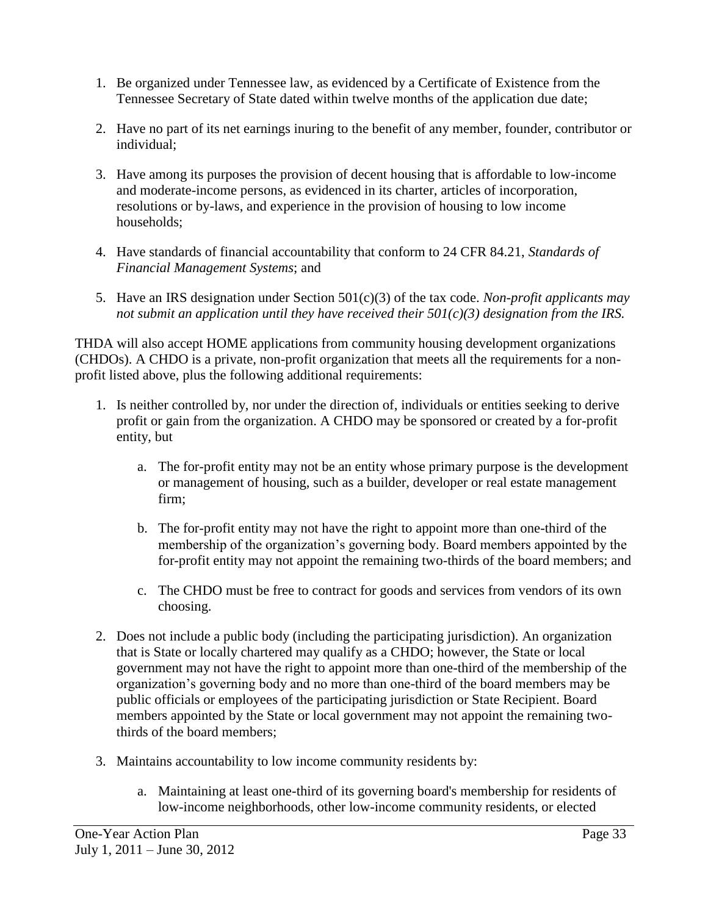- 1. Be organized under Tennessee law, as evidenced by a Certificate of Existence from the Tennessee Secretary of State dated within twelve months of the application due date;
- 2. Have no part of its net earnings inuring to the benefit of any member, founder, contributor or individual;
- 3. Have among its purposes the provision of decent housing that is affordable to low-income and moderate-income persons, as evidenced in its charter, articles of incorporation, resolutions or by-laws, and experience in the provision of housing to low income households;
- 4. Have standards of financial accountability that conform to 24 CFR 84.21, *Standards of Financial Management Systems*; and
- 5. Have an IRS designation under Section 501(c)(3) of the tax code. *Non-profit applicants may not submit an application until they have received their 501(c)(3) designation from the IRS.*

THDA will also accept HOME applications from community housing development organizations (CHDOs). A CHDO is a private, non-profit organization that meets all the requirements for a nonprofit listed above, plus the following additional requirements:

- 1. Is neither controlled by, nor under the direction of, individuals or entities seeking to derive profit or gain from the organization. A CHDO may be sponsored or created by a for-profit entity, but
	- a. The for-profit entity may not be an entity whose primary purpose is the development or management of housing, such as a builder, developer or real estate management firm;
	- b. The for-profit entity may not have the right to appoint more than one-third of the membership of the organization's governing body. Board members appointed by the for-profit entity may not appoint the remaining two-thirds of the board members; and
	- c. The CHDO must be free to contract for goods and services from vendors of its own choosing.
- 2. Does not include a public body (including the participating jurisdiction). An organization that is State or locally chartered may qualify as a CHDO; however, the State or local government may not have the right to appoint more than one-third of the membership of the organization's governing body and no more than one-third of the board members may be public officials or employees of the participating jurisdiction or State Recipient. Board members appointed by the State or local government may not appoint the remaining twothirds of the board members;
- 3. Maintains accountability to low income community residents by:
	- a. Maintaining at least one-third of its governing board's membership for residents of low-income neighborhoods, other low-income community residents, or elected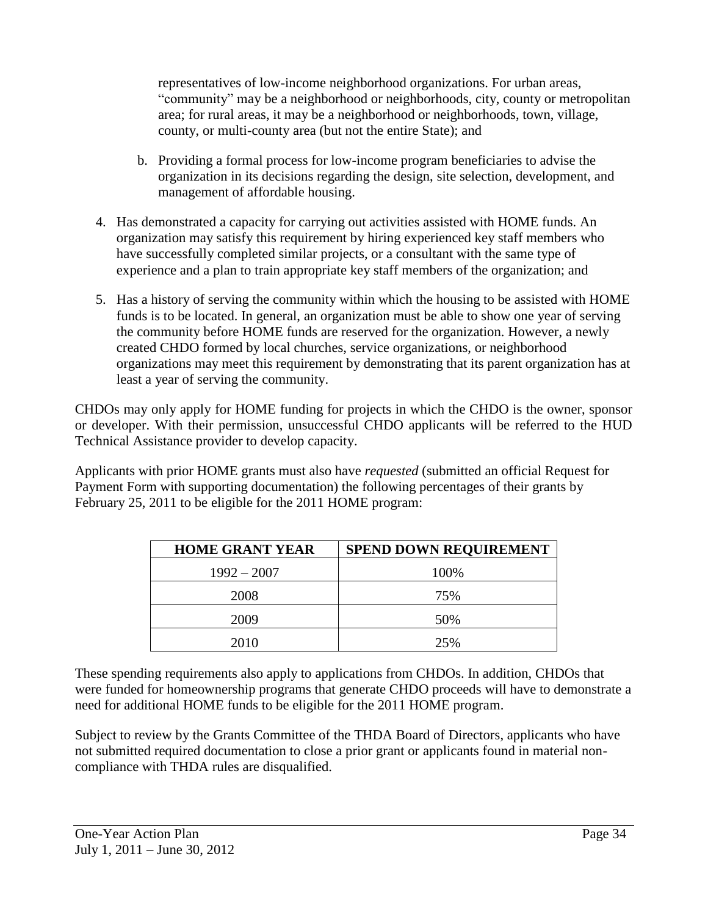representatives of low-income neighborhood organizations. For urban areas, "community" may be a neighborhood or neighborhoods, city, county or metropolitan area; for rural areas, it may be a neighborhood or neighborhoods, town, village, county, or multi-county area (but not the entire State); and

- b. Providing a formal process for low-income program beneficiaries to advise the organization in its decisions regarding the design, site selection, development, and management of affordable housing.
- 4. Has demonstrated a capacity for carrying out activities assisted with HOME funds. An organization may satisfy this requirement by hiring experienced key staff members who have successfully completed similar projects, or a consultant with the same type of experience and a plan to train appropriate key staff members of the organization; and
- 5. Has a history of serving the community within which the housing to be assisted with HOME funds is to be located. In general, an organization must be able to show one year of serving the community before HOME funds are reserved for the organization. However, a newly created CHDO formed by local churches, service organizations, or neighborhood organizations may meet this requirement by demonstrating that its parent organization has at least a year of serving the community.

CHDOs may only apply for HOME funding for projects in which the CHDO is the owner, sponsor or developer. With their permission, unsuccessful CHDO applicants will be referred to the HUD Technical Assistance provider to develop capacity.

Applicants with prior HOME grants must also have *requested* (submitted an official Request for Payment Form with supporting documentation) the following percentages of their grants by February 25, 2011 to be eligible for the 2011 HOME program:

| <b>HOME GRANT YEAR</b> | <b>SPEND DOWN REQUIREMENT</b> |
|------------------------|-------------------------------|
| $1992 - 2007$          | 100%                          |
| 2008                   | 75%                           |
| 2009                   | 50%                           |
| 2010                   | 25%                           |

These spending requirements also apply to applications from CHDOs. In addition, CHDOs that were funded for homeownership programs that generate CHDO proceeds will have to demonstrate a need for additional HOME funds to be eligible for the 2011 HOME program.

Subject to review by the Grants Committee of the THDA Board of Directors, applicants who have not submitted required documentation to close a prior grant or applicants found in material noncompliance with THDA rules are disqualified.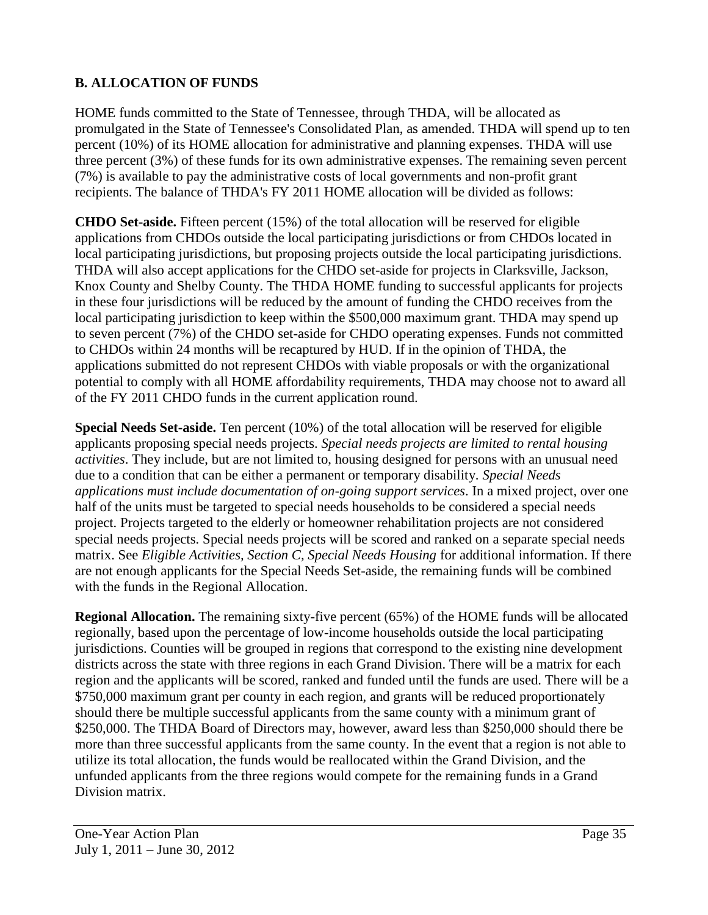# **B. ALLOCATION OF FUNDS**

HOME funds committed to the State of Tennessee, through THDA, will be allocated as promulgated in the State of Tennessee's Consolidated Plan, as amended. THDA will spend up to ten percent (10%) of its HOME allocation for administrative and planning expenses. THDA will use three percent (3%) of these funds for its own administrative expenses. The remaining seven percent (7%) is available to pay the administrative costs of local governments and non-profit grant recipients. The balance of THDA's FY 2011 HOME allocation will be divided as follows:

**CHDO Set-aside.** Fifteen percent (15%) of the total allocation will be reserved for eligible applications from CHDOs outside the local participating jurisdictions or from CHDOs located in local participating jurisdictions, but proposing projects outside the local participating jurisdictions. THDA will also accept applications for the CHDO set-aside for projects in Clarksville, Jackson, Knox County and Shelby County. The THDA HOME funding to successful applicants for projects in these four jurisdictions will be reduced by the amount of funding the CHDO receives from the local participating jurisdiction to keep within the \$500,000 maximum grant. THDA may spend up to seven percent (7%) of the CHDO set-aside for CHDO operating expenses. Funds not committed to CHDOs within 24 months will be recaptured by HUD. If in the opinion of THDA, the applications submitted do not represent CHDOs with viable proposals or with the organizational potential to comply with all HOME affordability requirements, THDA may choose not to award all of the FY 2011 CHDO funds in the current application round.

**Special Needs Set-aside.** Ten percent (10%) of the total allocation will be reserved for eligible applicants proposing special needs projects. *Special needs projects are limited to rental housing activities*. They include, but are not limited to, housing designed for persons with an unusual need due to a condition that can be either a permanent or temporary disability. *Special Needs applications must include documentation of on-going support services*. In a mixed project, over one half of the units must be targeted to special needs households to be considered a special needs project. Projects targeted to the elderly or homeowner rehabilitation projects are not considered special needs projects. Special needs projects will be scored and ranked on a separate special needs matrix. See *Eligible Activities, Section C, Special Needs Housing* for additional information. If there are not enough applicants for the Special Needs Set-aside, the remaining funds will be combined with the funds in the Regional Allocation.

**Regional Allocation.** The remaining sixty-five percent (65%) of the HOME funds will be allocated regionally, based upon the percentage of low-income households outside the local participating jurisdictions. Counties will be grouped in regions that correspond to the existing nine development districts across the state with three regions in each Grand Division. There will be a matrix for each region and the applicants will be scored, ranked and funded until the funds are used. There will be a \$750,000 maximum grant per county in each region, and grants will be reduced proportionately should there be multiple successful applicants from the same county with a minimum grant of \$250,000. The THDA Board of Directors may, however, award less than \$250,000 should there be more than three successful applicants from the same county. In the event that a region is not able to utilize its total allocation, the funds would be reallocated within the Grand Division, and the unfunded applicants from the three regions would compete for the remaining funds in a Grand Division matrix.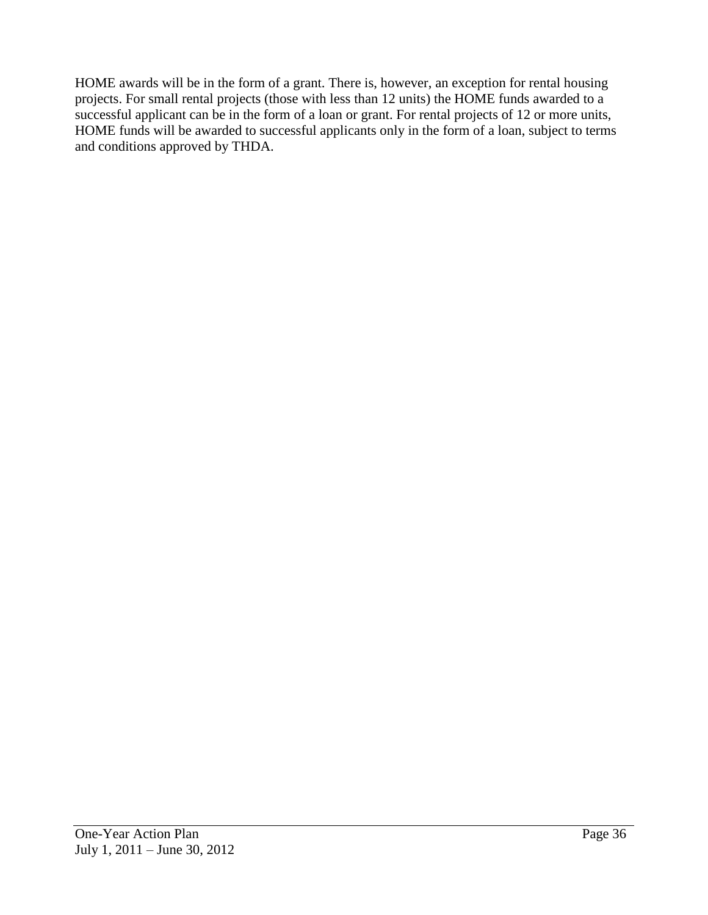HOME awards will be in the form of a grant. There is, however, an exception for rental housing projects. For small rental projects (those with less than 12 units) the HOME funds awarded to a successful applicant can be in the form of a loan or grant. For rental projects of 12 or more units, HOME funds will be awarded to successful applicants only in the form of a loan, subject to terms and conditions approved by THDA.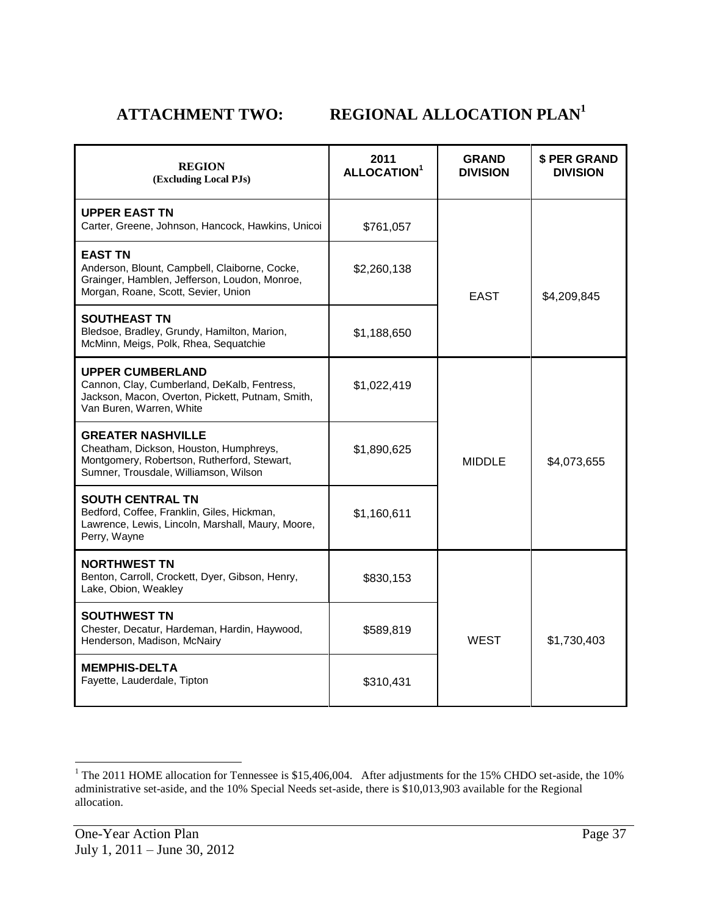# **ATTACHMENT TWO: REGIONAL ALLOCATION PLAN<sup>1</sup>**

| <b>REGION</b><br>(Excluding Local PJs)                                                                                                                     | 2011<br>ALLOCATION <sup>1</sup> | <b>GRAND</b><br><b>DIVISION</b> | \$ PER GRAND<br><b>DIVISION</b> |
|------------------------------------------------------------------------------------------------------------------------------------------------------------|---------------------------------|---------------------------------|---------------------------------|
| <b>UPPER EAST TN</b><br>Carter, Greene, Johnson, Hancock, Hawkins, Unicoi                                                                                  | \$761,057                       |                                 |                                 |
| <b>EAST TN</b><br>Anderson, Blount, Campbell, Claiborne, Cocke,<br>Grainger, Hamblen, Jefferson, Loudon, Monroe,<br>Morgan, Roane, Scott, Sevier, Union    | \$2,260,138                     | <b>EAST</b>                     | \$4,209,845                     |
| <b>SOUTHEAST TN</b><br>Bledsoe, Bradley, Grundy, Hamilton, Marion,<br>McMinn, Meigs, Polk, Rhea, Sequatchie                                                | \$1,188,650                     |                                 |                                 |
| <b>UPPER CUMBERLAND</b><br>Cannon, Clay, Cumberland, DeKalb, Fentress,<br>Jackson, Macon, Overton, Pickett, Putnam, Smith,<br>Van Buren, Warren, White     | \$1,022,419                     |                                 |                                 |
| <b>GREATER NASHVILLE</b><br>Cheatham, Dickson, Houston, Humphreys,<br>Montgomery, Robertson, Rutherford, Stewart,<br>Sumner, Trousdale, Williamson, Wilson | \$1,890,625                     | <b>MIDDLE</b>                   | \$4,073,655                     |
| <b>SOUTH CENTRAL TN</b><br>Bedford, Coffee, Franklin, Giles, Hickman,<br>Lawrence, Lewis, Lincoln, Marshall, Maury, Moore,<br>Perry, Wayne                 | \$1,160,611                     |                                 |                                 |
| <b>NORTHWEST TN</b><br>Benton, Carroll, Crockett, Dyer, Gibson, Henry,<br>Lake, Obion, Weakley                                                             | \$830,153                       |                                 |                                 |
| <b>SOUTHWEST TN</b><br>Chester, Decatur, Hardeman, Hardin, Haywood,<br>Henderson, Madison, McNairy                                                         | \$589,819                       | <b>WEST</b>                     | \$1,730,403                     |
| <b>MEMPHIS-DELTA</b><br>Fayette, Lauderdale, Tipton                                                                                                        | \$310,431                       |                                 |                                 |

l

<sup>&</sup>lt;sup>1</sup> The 2011 HOME allocation for Tennessee is \$15,406,004. After adjustments for the 15% CHDO set-aside, the 10% administrative set-aside, and the 10% Special Needs set-aside, there is \$10,013,903 available for the Regional allocation.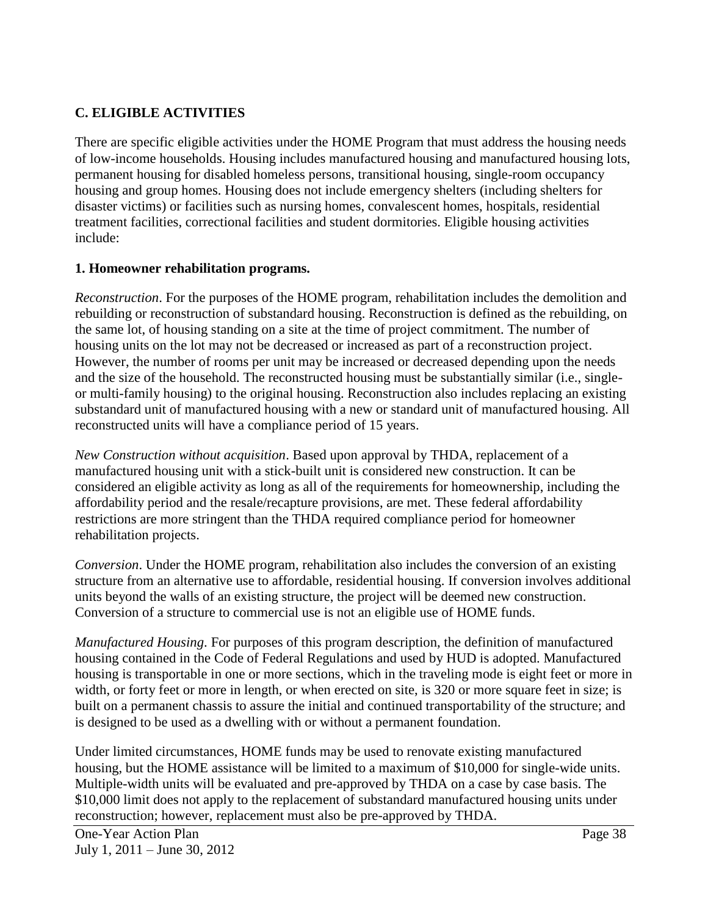### **C. ELIGIBLE ACTIVITIES**

There are specific eligible activities under the HOME Program that must address the housing needs of low-income households. Housing includes manufactured housing and manufactured housing lots, permanent housing for disabled homeless persons, transitional housing, single-room occupancy housing and group homes. Housing does not include emergency shelters (including shelters for disaster victims) or facilities such as nursing homes, convalescent homes, hospitals, residential treatment facilities, correctional facilities and student dormitories. Eligible housing activities include:

### **1. Homeowner rehabilitation programs.**

*Reconstruction*. For the purposes of the HOME program, rehabilitation includes the demolition and rebuilding or reconstruction of substandard housing. Reconstruction is defined as the rebuilding, on the same lot, of housing standing on a site at the time of project commitment. The number of housing units on the lot may not be decreased or increased as part of a reconstruction project. However, the number of rooms per unit may be increased or decreased depending upon the needs and the size of the household. The reconstructed housing must be substantially similar (i.e., singleor multi-family housing) to the original housing. Reconstruction also includes replacing an existing substandard unit of manufactured housing with a new or standard unit of manufactured housing. All reconstructed units will have a compliance period of 15 years.

*New Construction without acquisition*. Based upon approval by THDA, replacement of a manufactured housing unit with a stick-built unit is considered new construction. It can be considered an eligible activity as long as all of the requirements for homeownership, including the affordability period and the resale/recapture provisions, are met. These federal affordability restrictions are more stringent than the THDA required compliance period for homeowner rehabilitation projects.

*Conversion*. Under the HOME program, rehabilitation also includes the conversion of an existing structure from an alternative use to affordable, residential housing. If conversion involves additional units beyond the walls of an existing structure, the project will be deemed new construction. Conversion of a structure to commercial use is not an eligible use of HOME funds.

*Manufactured Housing*. For purposes of this program description, the definition of manufactured housing contained in the Code of Federal Regulations and used by HUD is adopted. Manufactured housing is transportable in one or more sections, which in the traveling mode is eight feet or more in width, or forty feet or more in length, or when erected on site, is 320 or more square feet in size; is built on a permanent chassis to assure the initial and continued transportability of the structure; and is designed to be used as a dwelling with or without a permanent foundation.

Under limited circumstances, HOME funds may be used to renovate existing manufactured housing, but the HOME assistance will be limited to a maximum of \$10,000 for single-wide units. Multiple-width units will be evaluated and pre-approved by THDA on a case by case basis. The \$10,000 limit does not apply to the replacement of substandard manufactured housing units under reconstruction; however, replacement must also be pre-approved by THDA.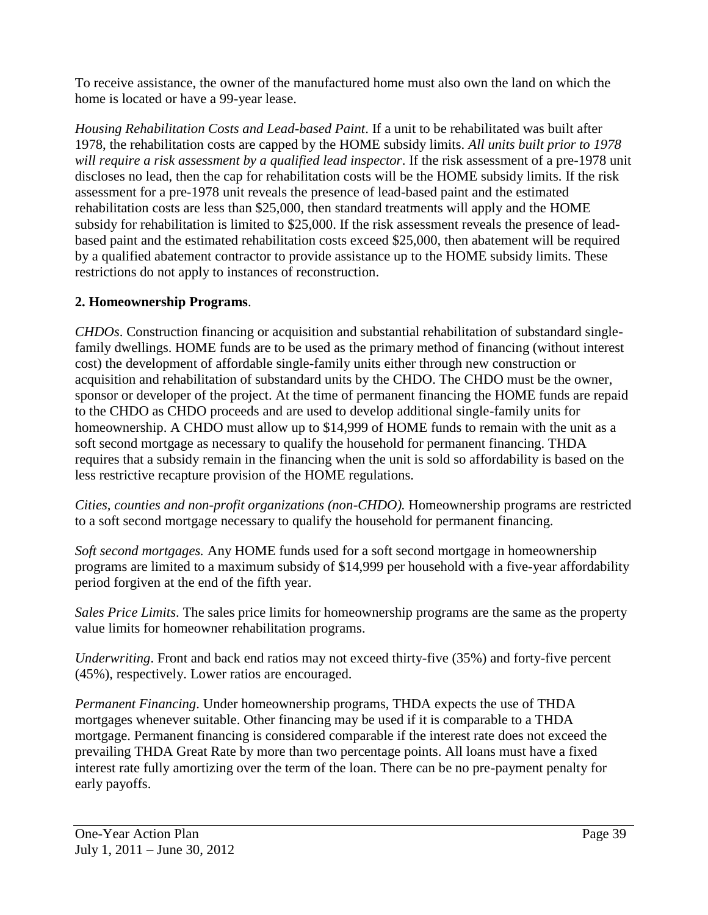To receive assistance, the owner of the manufactured home must also own the land on which the home is located or have a 99-year lease.

*Housing Rehabilitation Costs and Lead-based Paint*. If a unit to be rehabilitated was built after 1978, the rehabilitation costs are capped by the HOME subsidy limits. *All units built prior to 1978 will require a risk assessment by a qualified lead inspector*. If the risk assessment of a pre-1978 unit discloses no lead, then the cap for rehabilitation costs will be the HOME subsidy limits. If the risk assessment for a pre-1978 unit reveals the presence of lead-based paint and the estimated rehabilitation costs are less than \$25,000, then standard treatments will apply and the HOME subsidy for rehabilitation is limited to \$25,000. If the risk assessment reveals the presence of leadbased paint and the estimated rehabilitation costs exceed \$25,000, then abatement will be required by a qualified abatement contractor to provide assistance up to the HOME subsidy limits. These restrictions do not apply to instances of reconstruction.

## **2. Homeownership Programs**.

*CHDOs*. Construction financing or acquisition and substantial rehabilitation of substandard singlefamily dwellings. HOME funds are to be used as the primary method of financing (without interest cost) the development of affordable single-family units either through new construction or acquisition and rehabilitation of substandard units by the CHDO. The CHDO must be the owner, sponsor or developer of the project. At the time of permanent financing the HOME funds are repaid to the CHDO as CHDO proceeds and are used to develop additional single-family units for homeownership. A CHDO must allow up to \$14,999 of HOME funds to remain with the unit as a soft second mortgage as necessary to qualify the household for permanent financing. THDA requires that a subsidy remain in the financing when the unit is sold so affordability is based on the less restrictive recapture provision of the HOME regulations.

*Cities, counties and non-profit organizations (non-CHDO).* Homeownership programs are restricted to a soft second mortgage necessary to qualify the household for permanent financing.

*Soft second mortgages.* Any HOME funds used for a soft second mortgage in homeownership programs are limited to a maximum subsidy of \$14,999 per household with a five-year affordability period forgiven at the end of the fifth year.

*Sales Price Limits*. The sales price limits for homeownership programs are the same as the property value limits for homeowner rehabilitation programs.

*Underwriting*. Front and back end ratios may not exceed thirty-five (35%) and forty-five percent (45%), respectively. Lower ratios are encouraged.

*Permanent Financing*. Under homeownership programs, THDA expects the use of THDA mortgages whenever suitable. Other financing may be used if it is comparable to a THDA mortgage. Permanent financing is considered comparable if the interest rate does not exceed the prevailing THDA Great Rate by more than two percentage points. All loans must have a fixed interest rate fully amortizing over the term of the loan. There can be no pre-payment penalty for early payoffs.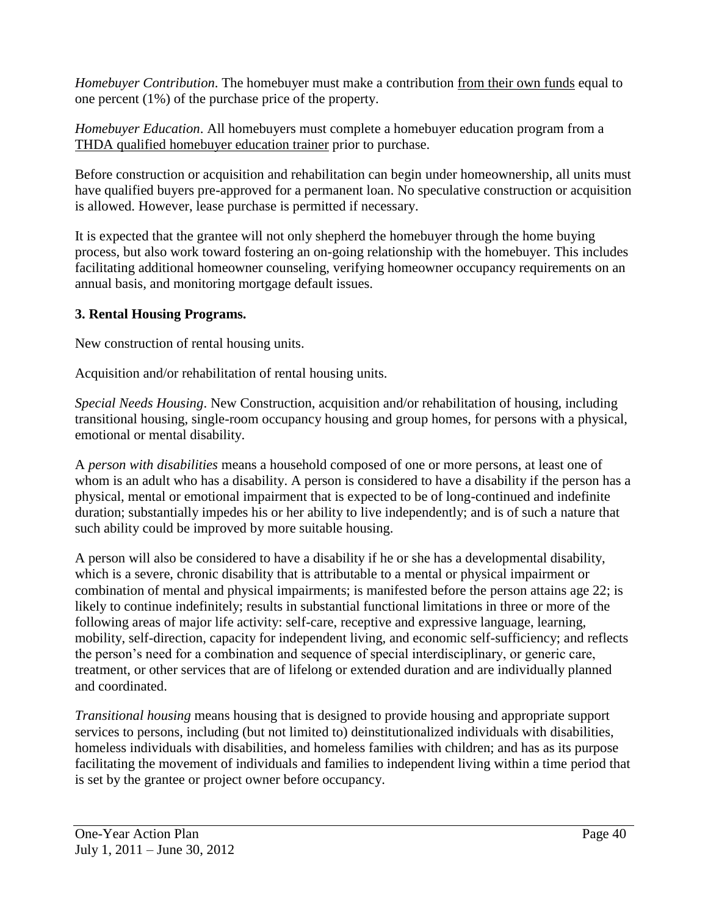*Homebuyer Contribution*. The homebuyer must make a contribution from their own funds equal to one percent (1%) of the purchase price of the property.

*Homebuyer Education*. All homebuyers must complete a homebuyer education program from a THDA qualified homebuyer education trainer prior to purchase.

Before construction or acquisition and rehabilitation can begin under homeownership, all units must have qualified buyers pre-approved for a permanent loan. No speculative construction or acquisition is allowed. However, lease purchase is permitted if necessary.

It is expected that the grantee will not only shepherd the homebuyer through the home buying process, but also work toward fostering an on-going relationship with the homebuyer. This includes facilitating additional homeowner counseling, verifying homeowner occupancy requirements on an annual basis, and monitoring mortgage default issues.

## **3. Rental Housing Programs.**

New construction of rental housing units.

Acquisition and/or rehabilitation of rental housing units.

*Special Needs Housing*. New Construction, acquisition and/or rehabilitation of housing, including transitional housing, single-room occupancy housing and group homes, for persons with a physical, emotional or mental disability.

A *person with disabilities* means a household composed of one or more persons, at least one of whom is an adult who has a disability. A person is considered to have a disability if the person has a physical, mental or emotional impairment that is expected to be of long-continued and indefinite duration; substantially impedes his or her ability to live independently; and is of such a nature that such ability could be improved by more suitable housing.

A person will also be considered to have a disability if he or she has a developmental disability, which is a severe, chronic disability that is attributable to a mental or physical impairment or combination of mental and physical impairments; is manifested before the person attains age 22; is likely to continue indefinitely; results in substantial functional limitations in three or more of the following areas of major life activity: self-care, receptive and expressive language, learning, mobility, self-direction, capacity for independent living, and economic self-sufficiency; and reflects the person's need for a combination and sequence of special interdisciplinary, or generic care, treatment, or other services that are of lifelong or extended duration and are individually planned and coordinated.

*Transitional housing* means housing that is designed to provide housing and appropriate support services to persons, including (but not limited to) deinstitutionalized individuals with disabilities, homeless individuals with disabilities, and homeless families with children; and has as its purpose facilitating the movement of individuals and families to independent living within a time period that is set by the grantee or project owner before occupancy.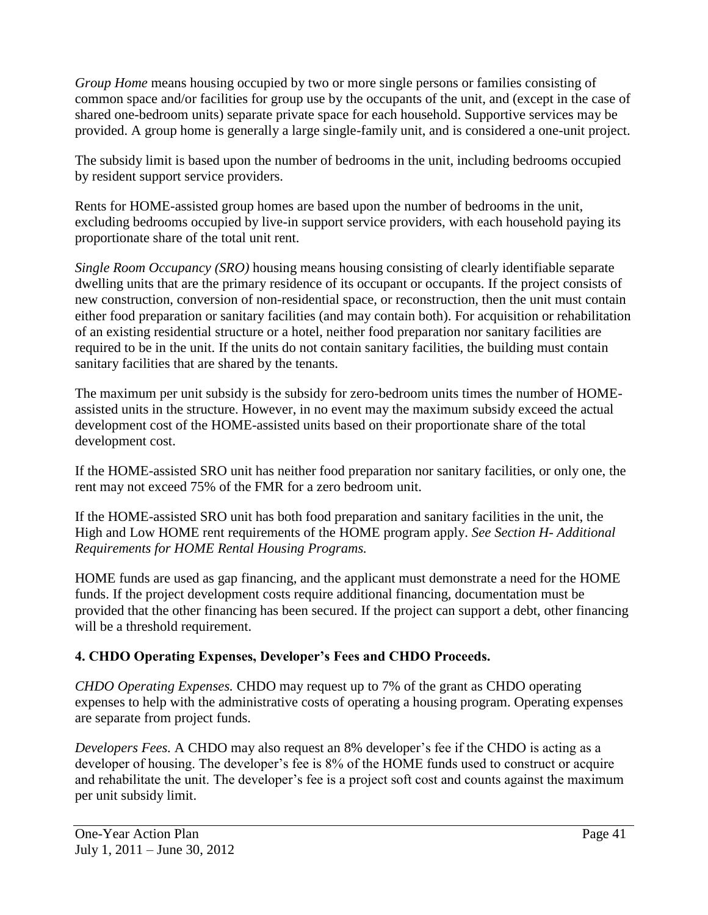*Group Home* means housing occupied by two or more single persons or families consisting of common space and/or facilities for group use by the occupants of the unit, and (except in the case of shared one-bedroom units) separate private space for each household. Supportive services may be provided. A group home is generally a large single-family unit, and is considered a one-unit project.

The subsidy limit is based upon the number of bedrooms in the unit, including bedrooms occupied by resident support service providers.

Rents for HOME-assisted group homes are based upon the number of bedrooms in the unit, excluding bedrooms occupied by live-in support service providers, with each household paying its proportionate share of the total unit rent.

*Single Room Occupancy (SRO)* housing means housing consisting of clearly identifiable separate dwelling units that are the primary residence of its occupant or occupants. If the project consists of new construction, conversion of non-residential space, or reconstruction, then the unit must contain either food preparation or sanitary facilities (and may contain both). For acquisition or rehabilitation of an existing residential structure or a hotel, neither food preparation nor sanitary facilities are required to be in the unit. If the units do not contain sanitary facilities, the building must contain sanitary facilities that are shared by the tenants.

The maximum per unit subsidy is the subsidy for zero-bedroom units times the number of HOMEassisted units in the structure. However, in no event may the maximum subsidy exceed the actual development cost of the HOME-assisted units based on their proportionate share of the total development cost.

If the HOME-assisted SRO unit has neither food preparation nor sanitary facilities, or only one, the rent may not exceed 75% of the FMR for a zero bedroom unit.

If the HOME-assisted SRO unit has both food preparation and sanitary facilities in the unit, the High and Low HOME rent requirements of the HOME program apply. *See Section H- Additional Requirements for HOME Rental Housing Programs.*

HOME funds are used as gap financing, and the applicant must demonstrate a need for the HOME funds. If the project development costs require additional financing, documentation must be provided that the other financing has been secured. If the project can support a debt, other financing will be a threshold requirement.

## **4. CHDO Operating Expenses, Developer's Fees and CHDO Proceeds.**

*CHDO Operating Expenses.* CHDO may request up to 7% of the grant as CHDO operating expenses to help with the administrative costs of operating a housing program. Operating expenses are separate from project funds.

*Developers Fees.* A CHDO may also request an 8% developer's fee if the CHDO is acting as a developer of housing. The developer's fee is 8% of the HOME funds used to construct or acquire and rehabilitate the unit. The developer's fee is a project soft cost and counts against the maximum per unit subsidy limit.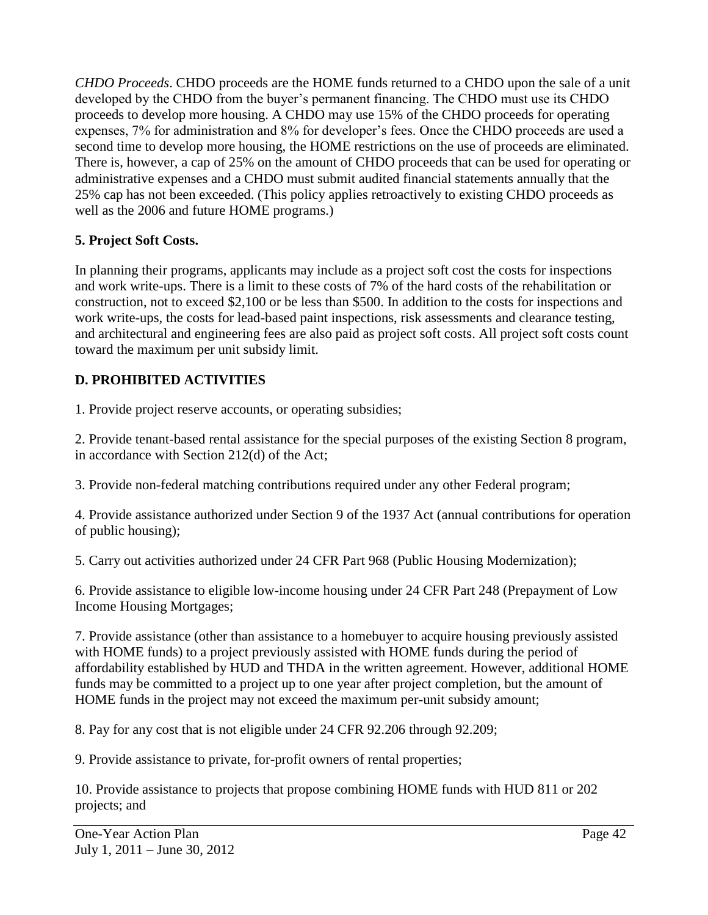*CHDO Proceeds*. CHDO proceeds are the HOME funds returned to a CHDO upon the sale of a unit developed by the CHDO from the buyer's permanent financing. The CHDO must use its CHDO proceeds to develop more housing. A CHDO may use 15% of the CHDO proceeds for operating expenses, 7% for administration and 8% for developer's fees. Once the CHDO proceeds are used a second time to develop more housing, the HOME restrictions on the use of proceeds are eliminated. There is, however, a cap of 25% on the amount of CHDO proceeds that can be used for operating or administrative expenses and a CHDO must submit audited financial statements annually that the 25% cap has not been exceeded. (This policy applies retroactively to existing CHDO proceeds as well as the 2006 and future HOME programs.)

## **5. Project Soft Costs.**

In planning their programs, applicants may include as a project soft cost the costs for inspections and work write-ups. There is a limit to these costs of 7% of the hard costs of the rehabilitation or construction, not to exceed \$2,100 or be less than \$500. In addition to the costs for inspections and work write-ups, the costs for lead-based paint inspections, risk assessments and clearance testing, and architectural and engineering fees are also paid as project soft costs. All project soft costs count toward the maximum per unit subsidy limit.

## **D. PROHIBITED ACTIVITIES**

1. Provide project reserve accounts, or operating subsidies;

2. Provide tenant-based rental assistance for the special purposes of the existing Section 8 program, in accordance with Section 212(d) of the Act;

3. Provide non-federal matching contributions required under any other Federal program;

4. Provide assistance authorized under Section 9 of the 1937 Act (annual contributions for operation of public housing);

5. Carry out activities authorized under 24 CFR Part 968 (Public Housing Modernization);

6. Provide assistance to eligible low-income housing under 24 CFR Part 248 (Prepayment of Low Income Housing Mortgages;

7. Provide assistance (other than assistance to a homebuyer to acquire housing previously assisted with HOME funds) to a project previously assisted with HOME funds during the period of affordability established by HUD and THDA in the written agreement. However, additional HOME funds may be committed to a project up to one year after project completion, but the amount of HOME funds in the project may not exceed the maximum per-unit subsidy amount;

8. Pay for any cost that is not eligible under 24 CFR 92.206 through 92.209;

9. Provide assistance to private, for-profit owners of rental properties;

10. Provide assistance to projects that propose combining HOME funds with HUD 811 or 202 projects; and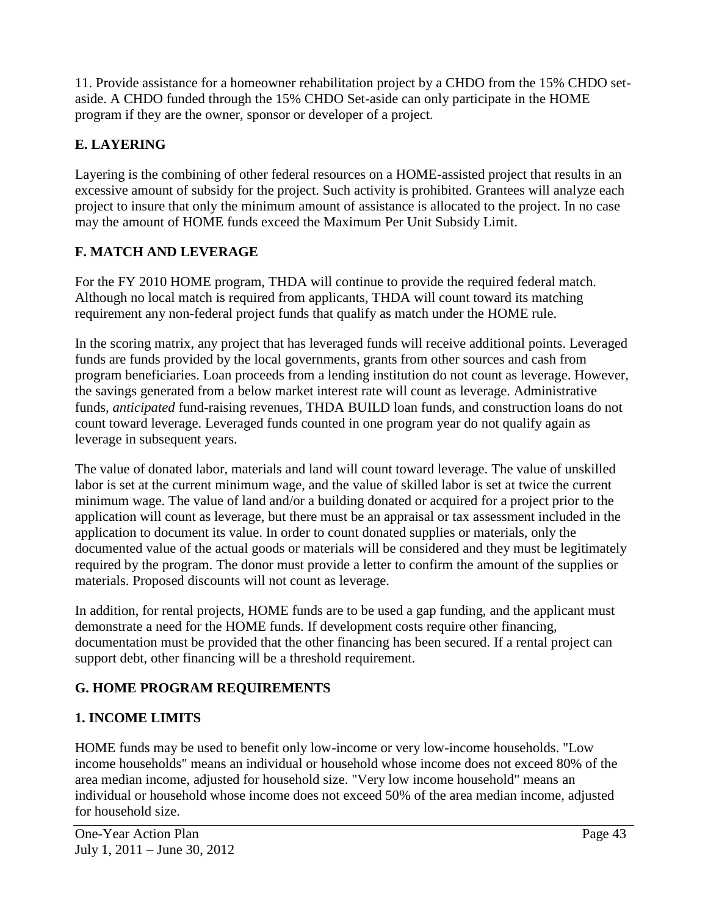11. Provide assistance for a homeowner rehabilitation project by a CHDO from the 15% CHDO setaside. A CHDO funded through the 15% CHDO Set-aside can only participate in the HOME program if they are the owner, sponsor or developer of a project.

## **E. LAYERING**

Layering is the combining of other federal resources on a HOME-assisted project that results in an excessive amount of subsidy for the project. Such activity is prohibited. Grantees will analyze each project to insure that only the minimum amount of assistance is allocated to the project. In no case may the amount of HOME funds exceed the Maximum Per Unit Subsidy Limit.

## **F. MATCH AND LEVERAGE**

For the FY 2010 HOME program, THDA will continue to provide the required federal match. Although no local match is required from applicants, THDA will count toward its matching requirement any non-federal project funds that qualify as match under the HOME rule.

In the scoring matrix, any project that has leveraged funds will receive additional points. Leveraged funds are funds provided by the local governments, grants from other sources and cash from program beneficiaries. Loan proceeds from a lending institution do not count as leverage. However, the savings generated from a below market interest rate will count as leverage. Administrative funds*, anticipated* fund-raising revenues, THDA BUILD loan funds, and construction loans do not count toward leverage. Leveraged funds counted in one program year do not qualify again as leverage in subsequent years.

The value of donated labor, materials and land will count toward leverage. The value of unskilled labor is set at the current minimum wage, and the value of skilled labor is set at twice the current minimum wage. The value of land and/or a building donated or acquired for a project prior to the application will count as leverage, but there must be an appraisal or tax assessment included in the application to document its value. In order to count donated supplies or materials, only the documented value of the actual goods or materials will be considered and they must be legitimately required by the program. The donor must provide a letter to confirm the amount of the supplies or materials. Proposed discounts will not count as leverage.

In addition, for rental projects, HOME funds are to be used a gap funding, and the applicant must demonstrate a need for the HOME funds. If development costs require other financing, documentation must be provided that the other financing has been secured. If a rental project can support debt, other financing will be a threshold requirement.

## **G. HOME PROGRAM REQUIREMENTS**

## **1. INCOME LIMITS**

HOME funds may be used to benefit only low-income or very low-income households. "Low income households" means an individual or household whose income does not exceed 80% of the area median income, adjusted for household size. "Very low income household" means an individual or household whose income does not exceed 50% of the area median income, adjusted for household size.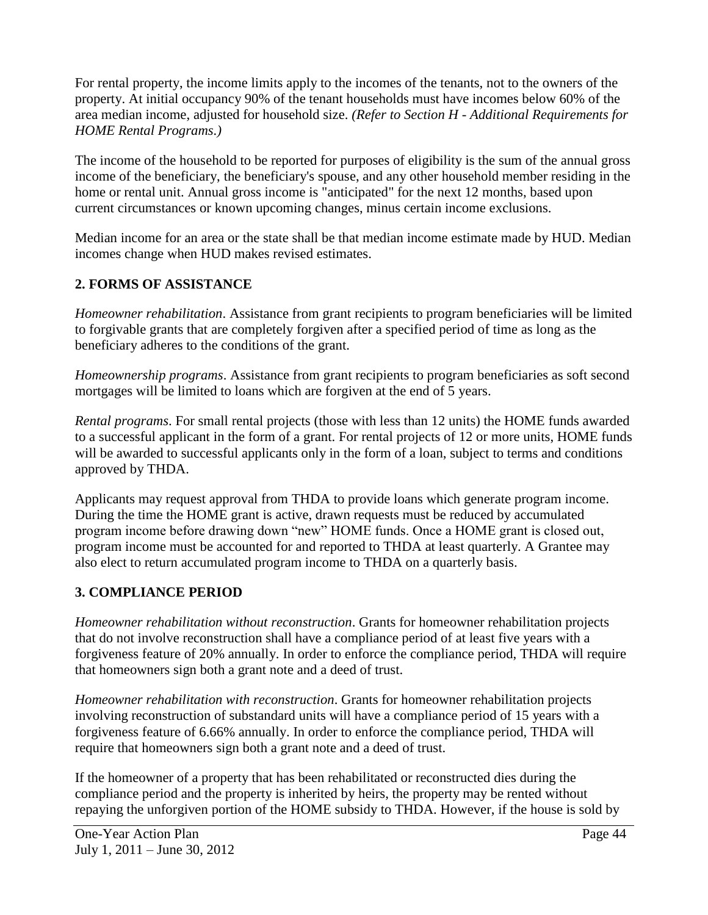For rental property, the income limits apply to the incomes of the tenants, not to the owners of the property. At initial occupancy 90% of the tenant households must have incomes below 60% of the area median income, adjusted for household size. *(Refer to Section H - Additional Requirements for HOME Rental Programs.)*

The income of the household to be reported for purposes of eligibility is the sum of the annual gross income of the beneficiary, the beneficiary's spouse, and any other household member residing in the home or rental unit. Annual gross income is "anticipated" for the next 12 months, based upon current circumstances or known upcoming changes, minus certain income exclusions.

Median income for an area or the state shall be that median income estimate made by HUD. Median incomes change when HUD makes revised estimates.

## **2. FORMS OF ASSISTANCE**

*Homeowner rehabilitation*. Assistance from grant recipients to program beneficiaries will be limited to forgivable grants that are completely forgiven after a specified period of time as long as the beneficiary adheres to the conditions of the grant.

*Homeownership programs*. Assistance from grant recipients to program beneficiaries as soft second mortgages will be limited to loans which are forgiven at the end of 5 years.

*Rental programs*. For small rental projects (those with less than 12 units) the HOME funds awarded to a successful applicant in the form of a grant. For rental projects of 12 or more units, HOME funds will be awarded to successful applicants only in the form of a loan, subject to terms and conditions approved by THDA.

Applicants may request approval from THDA to provide loans which generate program income. During the time the HOME grant is active, drawn requests must be reduced by accumulated program income before drawing down "new" HOME funds. Once a HOME grant is closed out, program income must be accounted for and reported to THDA at least quarterly. A Grantee may also elect to return accumulated program income to THDA on a quarterly basis.

### **3. COMPLIANCE PERIOD**

*Homeowner rehabilitation without reconstruction*. Grants for homeowner rehabilitation projects that do not involve reconstruction shall have a compliance period of at least five years with a forgiveness feature of 20% annually. In order to enforce the compliance period, THDA will require that homeowners sign both a grant note and a deed of trust.

*Homeowner rehabilitation with reconstruction*. Grants for homeowner rehabilitation projects involving reconstruction of substandard units will have a compliance period of 15 years with a forgiveness feature of 6.66% annually. In order to enforce the compliance period, THDA will require that homeowners sign both a grant note and a deed of trust.

If the homeowner of a property that has been rehabilitated or reconstructed dies during the compliance period and the property is inherited by heirs, the property may be rented without repaying the unforgiven portion of the HOME subsidy to THDA. However, if the house is sold by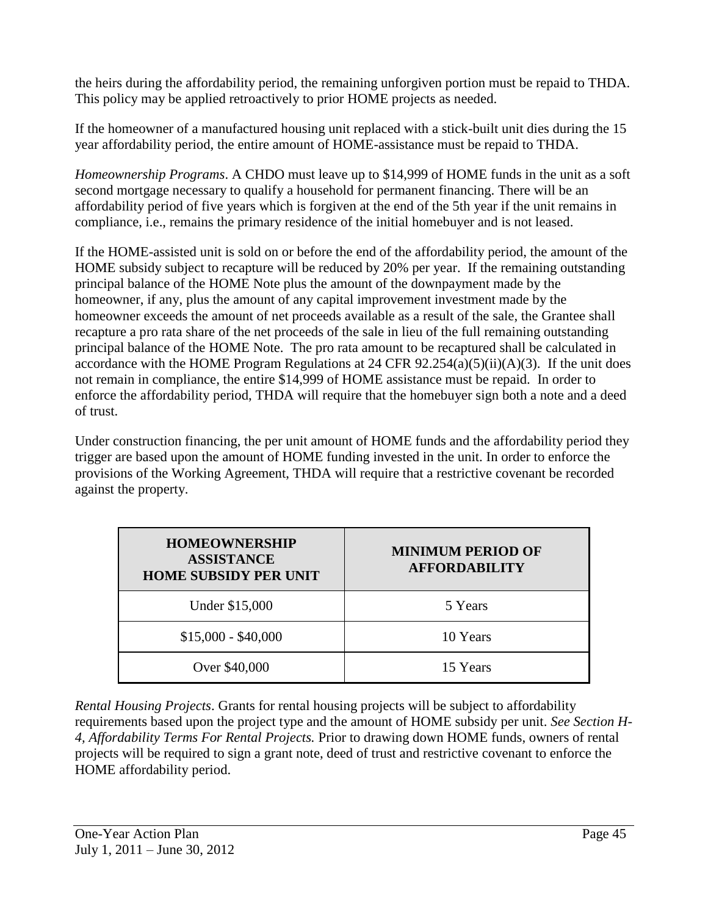the heirs during the affordability period, the remaining unforgiven portion must be repaid to THDA. This policy may be applied retroactively to prior HOME projects as needed.

If the homeowner of a manufactured housing unit replaced with a stick-built unit dies during the 15 year affordability period, the entire amount of HOME-assistance must be repaid to THDA.

*Homeownership Programs*. A CHDO must leave up to \$14,999 of HOME funds in the unit as a soft second mortgage necessary to qualify a household for permanent financing. There will be an affordability period of five years which is forgiven at the end of the 5th year if the unit remains in compliance, i.e., remains the primary residence of the initial homebuyer and is not leased.

If the HOME-assisted unit is sold on or before the end of the affordability period, the amount of the HOME subsidy subject to recapture will be reduced by 20% per year. If the remaining outstanding principal balance of the HOME Note plus the amount of the downpayment made by the homeowner, if any, plus the amount of any capital improvement investment made by the homeowner exceeds the amount of net proceeds available as a result of the sale, the Grantee shall recapture a pro rata share of the net proceeds of the sale in lieu of the full remaining outstanding principal balance of the HOME Note. The pro rata amount to be recaptured shall be calculated in accordance with the HOME Program Regulations at 24 CFR  $92.254(a)(5)(ii)(A)(3)$ . If the unit does not remain in compliance, the entire \$14,999 of HOME assistance must be repaid. In order to enforce the affordability period, THDA will require that the homebuyer sign both a note and a deed of trust.

Under construction financing, the per unit amount of HOME funds and the affordability period they trigger are based upon the amount of HOME funding invested in the unit. In order to enforce the provisions of the Working Agreement, THDA will require that a restrictive covenant be recorded against the property.

| <b>HOMEOWNERSHIP</b><br><b>ASSISTANCE</b><br><b>HOME SUBSIDY PER UNIT</b> | <b>MINIMUM PERIOD OF</b><br><b>AFFORDABILITY</b> |
|---------------------------------------------------------------------------|--------------------------------------------------|
| Under \$15,000                                                            | 5 Years                                          |
| $$15,000 - $40,000$                                                       | 10 Years                                         |
| Over \$40,000                                                             | 15 Years                                         |

*Rental Housing Projects*. Grants for rental housing projects will be subject to affordability requirements based upon the project type and the amount of HOME subsidy per unit. *See Section H-4, Affordability Terms For Rental Projects.* Prior to drawing down HOME funds, owners of rental projects will be required to sign a grant note, deed of trust and restrictive covenant to enforce the HOME affordability period.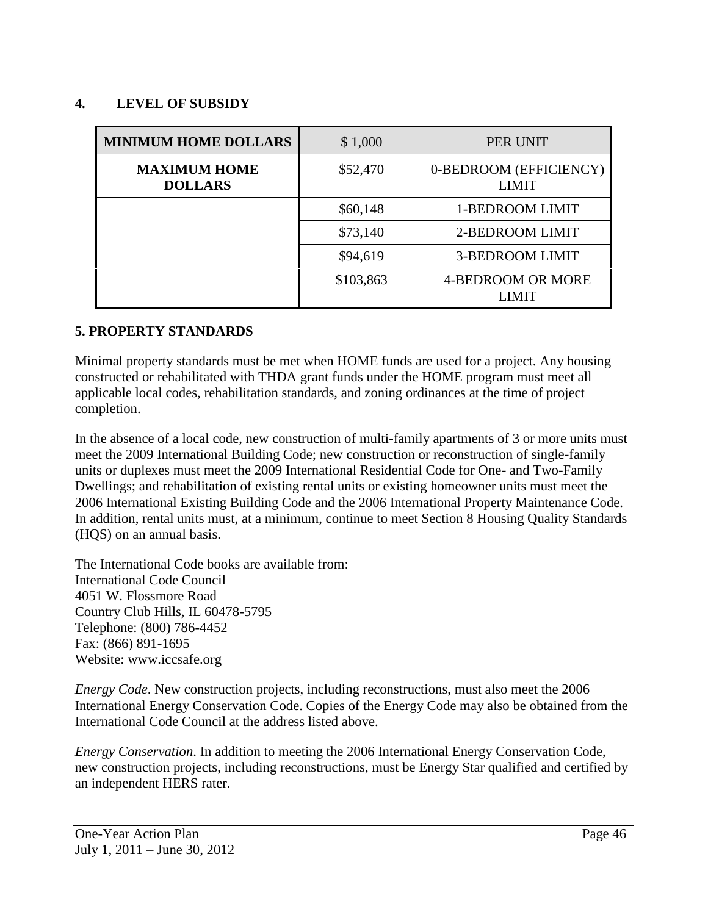#### **4. LEVEL OF SUBSIDY**

| <b>MINIMUM HOME DOLLARS</b>           | \$1,000   | PER UNIT                               |
|---------------------------------------|-----------|----------------------------------------|
| <b>MAXIMUM HOME</b><br><b>DOLLARS</b> | \$52,470  | 0-BEDROOM (EFFICIENCY)<br><b>LIMIT</b> |
|                                       | \$60,148  | 1-BEDROOM LIMIT                        |
|                                       | \$73,140  | 2-BEDROOM LIMIT                        |
|                                       | \$94,619  | <b>3-BEDROOM LIMIT</b>                 |
|                                       | \$103,863 | 4-BEDROOM OR MORE<br><b>LIMIT</b>      |

#### **5. PROPERTY STANDARDS**

Minimal property standards must be met when HOME funds are used for a project. Any housing constructed or rehabilitated with THDA grant funds under the HOME program must meet all applicable local codes, rehabilitation standards, and zoning ordinances at the time of project completion.

In the absence of a local code, new construction of multi-family apartments of 3 or more units must meet the 2009 International Building Code; new construction or reconstruction of single-family units or duplexes must meet the 2009 International Residential Code for One- and Two-Family Dwellings; and rehabilitation of existing rental units or existing homeowner units must meet the 2006 International Existing Building Code and the 2006 International Property Maintenance Code. In addition, rental units must, at a minimum, continue to meet Section 8 Housing Quality Standards (HQS) on an annual basis.

The International Code books are available from: International Code Council 4051 W. Flossmore Road Country Club Hills, IL 60478-5795 Telephone: (800) 786-4452 Fax: (866) 891-1695 Website: www.iccsafe.org

*Energy Code*. New construction projects, including reconstructions, must also meet the 2006 International Energy Conservation Code. Copies of the Energy Code may also be obtained from the International Code Council at the address listed above.

*Energy Conservation*. In addition to meeting the 2006 International Energy Conservation Code, new construction projects, including reconstructions, must be Energy Star qualified and certified by an independent HERS rater.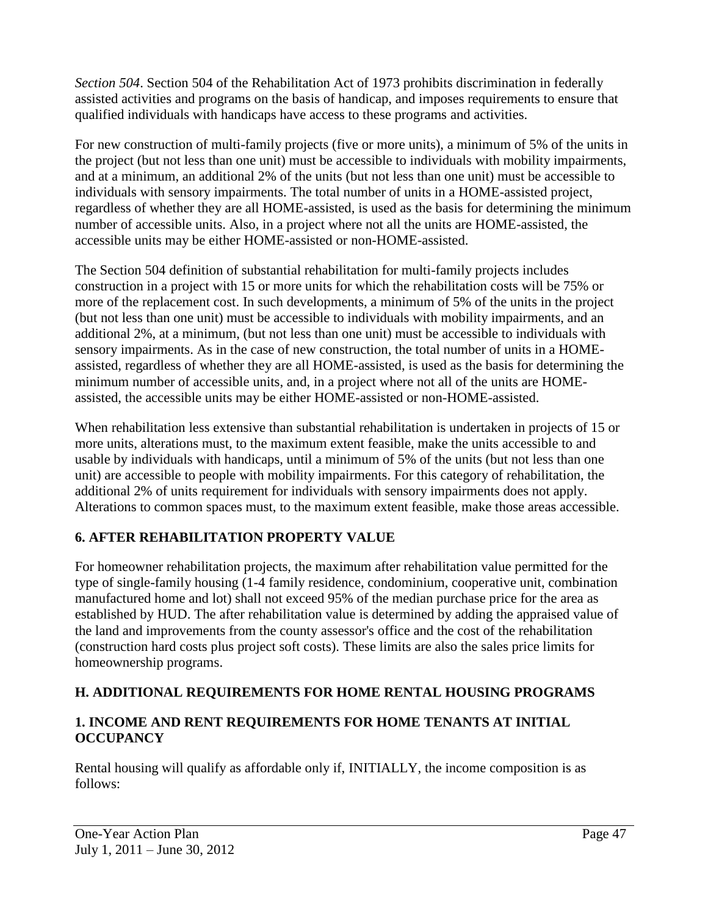*Section 504*. Section 504 of the Rehabilitation Act of 1973 prohibits discrimination in federally assisted activities and programs on the basis of handicap, and imposes requirements to ensure that qualified individuals with handicaps have access to these programs and activities.

For new construction of multi-family projects (five or more units), a minimum of 5% of the units in the project (but not less than one unit) must be accessible to individuals with mobility impairments, and at a minimum, an additional 2% of the units (but not less than one unit) must be accessible to individuals with sensory impairments. The total number of units in a HOME-assisted project, regardless of whether they are all HOME-assisted, is used as the basis for determining the minimum number of accessible units. Also, in a project where not all the units are HOME-assisted, the accessible units may be either HOME-assisted or non-HOME-assisted.

The Section 504 definition of substantial rehabilitation for multi-family projects includes construction in a project with 15 or more units for which the rehabilitation costs will be 75% or more of the replacement cost. In such developments, a minimum of 5% of the units in the project (but not less than one unit) must be accessible to individuals with mobility impairments, and an additional 2%, at a minimum, (but not less than one unit) must be accessible to individuals with sensory impairments. As in the case of new construction, the total number of units in a HOMEassisted, regardless of whether they are all HOME-assisted, is used as the basis for determining the minimum number of accessible units, and, in a project where not all of the units are HOMEassisted, the accessible units may be either HOME-assisted or non-HOME-assisted.

When rehabilitation less extensive than substantial rehabilitation is undertaken in projects of 15 or more units, alterations must, to the maximum extent feasible, make the units accessible to and usable by individuals with handicaps, until a minimum of 5% of the units (but not less than one unit) are accessible to people with mobility impairments. For this category of rehabilitation, the additional 2% of units requirement for individuals with sensory impairments does not apply. Alterations to common spaces must, to the maximum extent feasible, make those areas accessible.

## **6. AFTER REHABILITATION PROPERTY VALUE**

For homeowner rehabilitation projects, the maximum after rehabilitation value permitted for the type of single-family housing (1-4 family residence, condominium, cooperative unit, combination manufactured home and lot) shall not exceed 95% of the median purchase price for the area as established by HUD. The after rehabilitation value is determined by adding the appraised value of the land and improvements from the county assessor's office and the cost of the rehabilitation (construction hard costs plus project soft costs). These limits are also the sales price limits for homeownership programs.

## **H. ADDITIONAL REQUIREMENTS FOR HOME RENTAL HOUSING PROGRAMS**

## **1. INCOME AND RENT REQUIREMENTS FOR HOME TENANTS AT INITIAL OCCUPANCY**

Rental housing will qualify as affordable only if, INITIALLY, the income composition is as follows: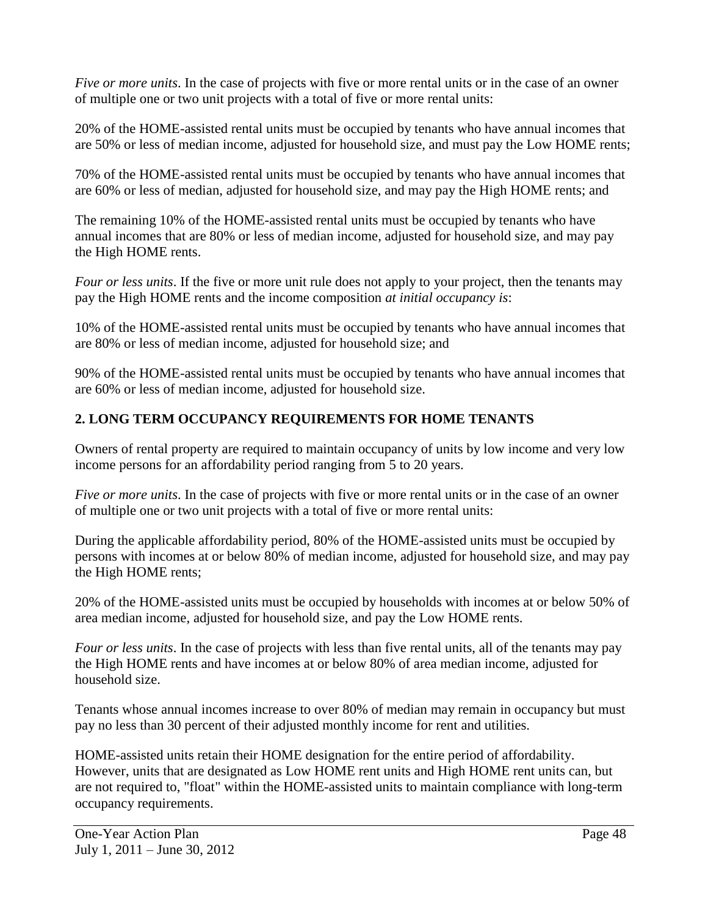*Five or more units*. In the case of projects with five or more rental units or in the case of an owner of multiple one or two unit projects with a total of five or more rental units:

20% of the HOME-assisted rental units must be occupied by tenants who have annual incomes that are 50% or less of median income, adjusted for household size, and must pay the Low HOME rents;

70% of the HOME-assisted rental units must be occupied by tenants who have annual incomes that are 60% or less of median, adjusted for household size, and may pay the High HOME rents; and

The remaining 10% of the HOME-assisted rental units must be occupied by tenants who have annual incomes that are 80% or less of median income, adjusted for household size, and may pay the High HOME rents.

*Four or less units*. If the five or more unit rule does not apply to your project, then the tenants may pay the High HOME rents and the income composition *at initial occupancy is*:

10% of the HOME-assisted rental units must be occupied by tenants who have annual incomes that are 80% or less of median income, adjusted for household size; and

90% of the HOME-assisted rental units must be occupied by tenants who have annual incomes that are 60% or less of median income, adjusted for household size.

## **2. LONG TERM OCCUPANCY REQUIREMENTS FOR HOME TENANTS**

Owners of rental property are required to maintain occupancy of units by low income and very low income persons for an affordability period ranging from 5 to 20 years.

*Five or more units*. In the case of projects with five or more rental units or in the case of an owner of multiple one or two unit projects with a total of five or more rental units:

During the applicable affordability period, 80% of the HOME-assisted units must be occupied by persons with incomes at or below 80% of median income, adjusted for household size, and may pay the High HOME rents;

20% of the HOME-assisted units must be occupied by households with incomes at or below 50% of area median income, adjusted for household size, and pay the Low HOME rents.

*Four or less units*. In the case of projects with less than five rental units, all of the tenants may pay the High HOME rents and have incomes at or below 80% of area median income, adjusted for household size.

Tenants whose annual incomes increase to over 80% of median may remain in occupancy but must pay no less than 30 percent of their adjusted monthly income for rent and utilities.

HOME-assisted units retain their HOME designation for the entire period of affordability. However, units that are designated as Low HOME rent units and High HOME rent units can, but are not required to, "float" within the HOME-assisted units to maintain compliance with long-term occupancy requirements.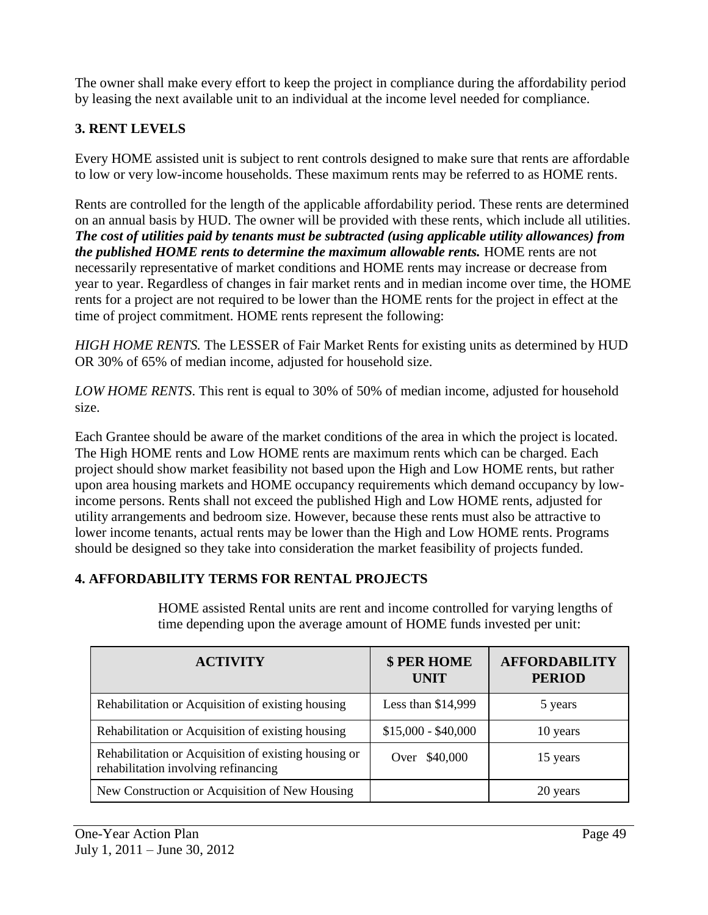The owner shall make every effort to keep the project in compliance during the affordability period by leasing the next available unit to an individual at the income level needed for compliance.

## **3. RENT LEVELS**

Every HOME assisted unit is subject to rent controls designed to make sure that rents are affordable to low or very low-income households. These maximum rents may be referred to as HOME rents.

Rents are controlled for the length of the applicable affordability period. These rents are determined on an annual basis by HUD. The owner will be provided with these rents, which include all utilities. *The cost of utilities paid by tenants must be subtracted (using applicable utility allowances) from the published HOME rents to determine the maximum allowable rents.* HOME rents are not necessarily representative of market conditions and HOME rents may increase or decrease from year to year. Regardless of changes in fair market rents and in median income over time, the HOME rents for a project are not required to be lower than the HOME rents for the project in effect at the time of project commitment. HOME rents represent the following:

*HIGH HOME RENTS.* The LESSER of Fair Market Rents for existing units as determined by HUD OR 30% of 65% of median income, adjusted for household size.

*LOW HOME RENTS*. This rent is equal to 30% of 50% of median income, adjusted for household size.

Each Grantee should be aware of the market conditions of the area in which the project is located. The High HOME rents and Low HOME rents are maximum rents which can be charged. Each project should show market feasibility not based upon the High and Low HOME rents, but rather upon area housing markets and HOME occupancy requirements which demand occupancy by lowincome persons. Rents shall not exceed the published High and Low HOME rents, adjusted for utility arrangements and bedroom size. However, because these rents must also be attractive to lower income tenants, actual rents may be lower than the High and Low HOME rents. Programs should be designed so they take into consideration the market feasibility of projects funded.

## **4. AFFORDABILITY TERMS FOR RENTAL PROJECTS**

HOME assisted Rental units are rent and income controlled for varying lengths of time depending upon the average amount of HOME funds invested per unit:

| <b>ACTIVITY</b>                                                                              | \$ PER HOME<br><b>UNIT</b> | <b>AFFORDABILITY</b><br><b>PERIOD</b> |
|----------------------------------------------------------------------------------------------|----------------------------|---------------------------------------|
| Rehabilitation or Acquisition of existing housing                                            | Less than \$14,999         | 5 years                               |
| Rehabilitation or Acquisition of existing housing                                            | $$15,000 - $40,000$        | 10 years                              |
| Rehabilitation or Acquisition of existing housing or<br>rehabilitation involving refinancing | Over \$40,000              | 15 years                              |
| New Construction or Acquisition of New Housing                                               |                            | 20 years                              |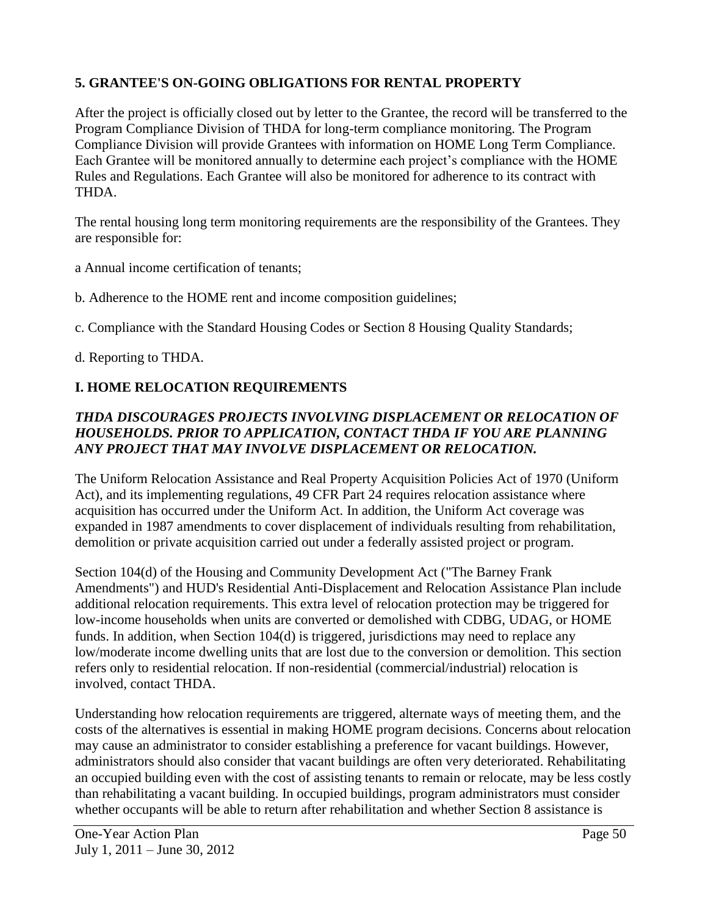## **5. GRANTEE'S ON-GOING OBLIGATIONS FOR RENTAL PROPERTY**

After the project is officially closed out by letter to the Grantee, the record will be transferred to the Program Compliance Division of THDA for long-term compliance monitoring. The Program Compliance Division will provide Grantees with information on HOME Long Term Compliance. Each Grantee will be monitored annually to determine each project's compliance with the HOME Rules and Regulations. Each Grantee will also be monitored for adherence to its contract with THDA.

The rental housing long term monitoring requirements are the responsibility of the Grantees. They are responsible for:

a Annual income certification of tenants;

- b. Adherence to the HOME rent and income composition guidelines;
- c. Compliance with the Standard Housing Codes or Section 8 Housing Quality Standards;

d. Reporting to THDA.

## **I. HOME RELOCATION REQUIREMENTS**

#### *THDA DISCOURAGES PROJECTS INVOLVING DISPLACEMENT OR RELOCATION OF HOUSEHOLDS. PRIOR TO APPLICATION, CONTACT THDA IF YOU ARE PLANNING ANY PROJECT THAT MAY INVOLVE DISPLACEMENT OR RELOCATION.*

The Uniform Relocation Assistance and Real Property Acquisition Policies Act of 1970 (Uniform Act), and its implementing regulations, 49 CFR Part 24 requires relocation assistance where acquisition has occurred under the Uniform Act. In addition, the Uniform Act coverage was expanded in 1987 amendments to cover displacement of individuals resulting from rehabilitation, demolition or private acquisition carried out under a federally assisted project or program.

Section 104(d) of the Housing and Community Development Act ("The Barney Frank Amendments") and HUD's Residential Anti-Displacement and Relocation Assistance Plan include additional relocation requirements. This extra level of relocation protection may be triggered for low-income households when units are converted or demolished with CDBG, UDAG, or HOME funds. In addition, when Section 104(d) is triggered, jurisdictions may need to replace any low/moderate income dwelling units that are lost due to the conversion or demolition. This section refers only to residential relocation. If non-residential (commercial/industrial) relocation is involved, contact THDA.

Understanding how relocation requirements are triggered, alternate ways of meeting them, and the costs of the alternatives is essential in making HOME program decisions. Concerns about relocation may cause an administrator to consider establishing a preference for vacant buildings. However, administrators should also consider that vacant buildings are often very deteriorated. Rehabilitating an occupied building even with the cost of assisting tenants to remain or relocate, may be less costly than rehabilitating a vacant building. In occupied buildings, program administrators must consider whether occupants will be able to return after rehabilitation and whether Section 8 assistance is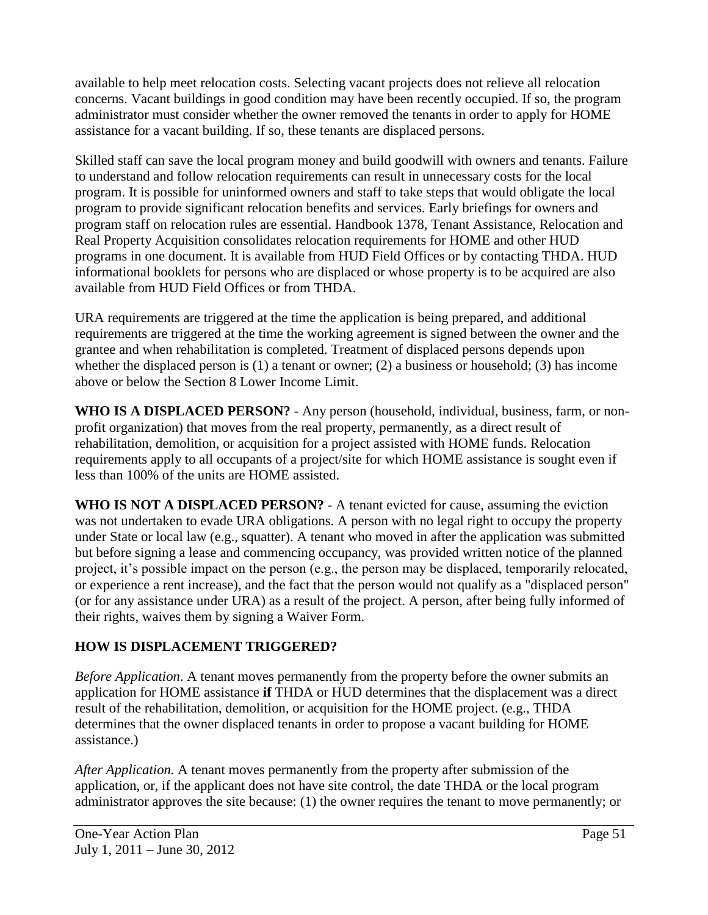available to help meet relocation costs. Selecting vacant projects does not relieve all relocation concerns. Vacant buildings in good condition may have been recently occupied. If so, the program administrator must consider whether the owner removed the tenants in order to apply for HOME assistance for a vacant building. If so, these tenants are displaced persons.

Skilled staff can save the local program money and build goodwill with owners and tenants. Failure to understand and follow relocation requirements can result in unnecessary costs for the local program. It is possible for uninformed owners and staff to take steps that would obligate the local program to provide significant relocation benefits and services. Early briefings for owners and program staff on relocation rules are essential. Handbook 1378, Tenant Assistance, Relocation and Real Property Acquisition consolidates relocation requirements for HOME and other HUD programs in one document. It is available from HUD Field Offices or by contacting THDA. HUD informational booklets for persons who are displaced or whose property is to be acquired are also available from HUD Field Offices or from THDA.

URA requirements are triggered at the time the application is being prepared, and additional requirements are triggered at the time the working agreement is signed between the owner and the grantee and when rehabilitation is completed. Treatment of displaced persons depends upon whether the displaced person is (1) a tenant or owner; (2) a business or household; (3) has income above or below the Section 8 Lower Income Limit.

**WHO IS A DISPLACED PERSON?** - Any person (household, individual, business, farm, or nonprofit organization) that moves from the real property, permanently, as a direct result of rehabilitation, demolition, or acquisition for a project assisted with HOME funds. Relocation requirements apply to all occupants of a project/site for which HOME assistance is sought even if less than 100% of the units are HOME assisted.

**WHO IS NOT A DISPLACED PERSON?** - A tenant evicted for cause, assuming the eviction was not undertaken to evade URA obligations. A person with no legal right to occupy the property under State or local law (e.g., squatter). A tenant who moved in after the application was submitted but before signing a lease and commencing occupancy, was provided written notice of the planned project, it's possible impact on the person (e.g., the person may be displaced, temporarily relocated, or experience a rent increase), and the fact that the person would not qualify as a "displaced person" (or for any assistance under URA) as a result of the project. A person, after being fully informed of their rights, waives them by signing a Waiver Form.

### **HOW IS DISPLACEMENT TRIGGERED?**

*Before Application*. A tenant moves permanently from the property before the owner submits an application for HOME assistance **if** THDA or HUD determines that the displacement was a direct result of the rehabilitation, demolition, or acquisition for the HOME project. (e.g., THDA determines that the owner displaced tenants in order to propose a vacant building for HOME assistance.)

*After Application.* A tenant moves permanently from the property after submission of the application, or, if the applicant does not have site control, the date THDA or the local program administrator approves the site because: (1) the owner requires the tenant to move permanently; or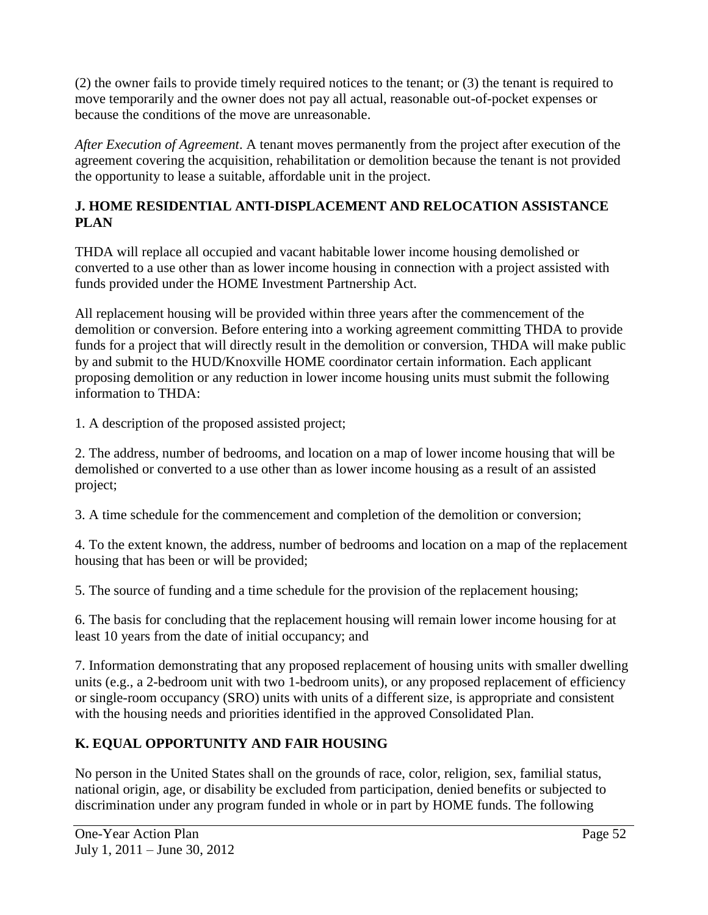(2) the owner fails to provide timely required notices to the tenant; or (3) the tenant is required to move temporarily and the owner does not pay all actual, reasonable out-of-pocket expenses or because the conditions of the move are unreasonable.

*After Execution of Agreement*. A tenant moves permanently from the project after execution of the agreement covering the acquisition, rehabilitation or demolition because the tenant is not provided the opportunity to lease a suitable, affordable unit in the project.

## **J. HOME RESIDENTIAL ANTI-DISPLACEMENT AND RELOCATION ASSISTANCE PLAN**

THDA will replace all occupied and vacant habitable lower income housing demolished or converted to a use other than as lower income housing in connection with a project assisted with funds provided under the HOME Investment Partnership Act.

All replacement housing will be provided within three years after the commencement of the demolition or conversion. Before entering into a working agreement committing THDA to provide funds for a project that will directly result in the demolition or conversion, THDA will make public by and submit to the HUD/Knoxville HOME coordinator certain information. Each applicant proposing demolition or any reduction in lower income housing units must submit the following information to THDA:

1. A description of the proposed assisted project;

2. The address, number of bedrooms, and location on a map of lower income housing that will be demolished or converted to a use other than as lower income housing as a result of an assisted project;

3. A time schedule for the commencement and completion of the demolition or conversion;

4. To the extent known, the address, number of bedrooms and location on a map of the replacement housing that has been or will be provided;

5. The source of funding and a time schedule for the provision of the replacement housing;

6. The basis for concluding that the replacement housing will remain lower income housing for at least 10 years from the date of initial occupancy; and

7. Information demonstrating that any proposed replacement of housing units with smaller dwelling units (e.g., a 2-bedroom unit with two 1-bedroom units), or any proposed replacement of efficiency or single-room occupancy (SRO) units with units of a different size, is appropriate and consistent with the housing needs and priorities identified in the approved Consolidated Plan.

## **K. EQUAL OPPORTUNITY AND FAIR HOUSING**

No person in the United States shall on the grounds of race, color, religion, sex, familial status, national origin, age, or disability be excluded from participation, denied benefits or subjected to discrimination under any program funded in whole or in part by HOME funds. The following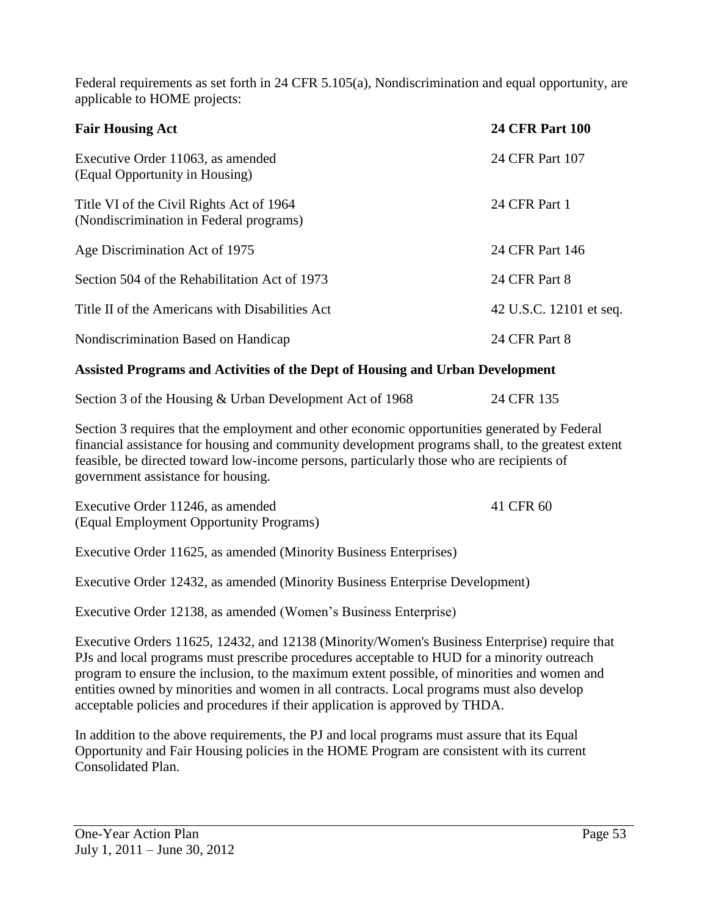Federal requirements as set forth in 24 CFR 5.105(a), Nondiscrimination and equal opportunity, are applicable to HOME projects:

| <b>Fair Housing Act</b>                                                             | <b>24 CFR Part 100</b>  |
|-------------------------------------------------------------------------------------|-------------------------|
| Executive Order 11063, as amended<br>(Equal Opportunity in Housing)                 | 24 CFR Part 107         |
| Title VI of the Civil Rights Act of 1964<br>(Nondiscrimination in Federal programs) | 24 CFR Part 1           |
| Age Discrimination Act of 1975                                                      | 24 CFR Part 146         |
| Section 504 of the Rehabilitation Act of 1973                                       | 24 CFR Part 8           |
| Title II of the Americans with Disabilities Act                                     | 42 U.S.C. 12101 et seq. |
| Nondiscrimination Based on Handicap                                                 | 24 CFR Part 8           |

#### **Assisted Programs and Activities of the Dept of Housing and Urban Development**

| Section 3 of the Housing & Urban Development Act of 1968 | 24 CFR 135 |
|----------------------------------------------------------|------------|
|----------------------------------------------------------|------------|

Section 3 requires that the employment and other economic opportunities generated by Federal financial assistance for housing and community development programs shall, to the greatest extent feasible, be directed toward low-income persons, particularly those who are recipients of government assistance for housing.

| Executive Order 11246, as amended       | 41 CFR 60 |
|-----------------------------------------|-----------|
| (Equal Employment Opportunity Programs) |           |

Executive Order 11625, as amended (Minority Business Enterprises)

Executive Order 12432, as amended (Minority Business Enterprise Development)

Executive Order 12138, as amended (Women's Business Enterprise)

Executive Orders 11625, 12432, and 12138 (Minority/Women's Business Enterprise) require that PJs and local programs must prescribe procedures acceptable to HUD for a minority outreach program to ensure the inclusion, to the maximum extent possible, of minorities and women and entities owned by minorities and women in all contracts. Local programs must also develop acceptable policies and procedures if their application is approved by THDA.

In addition to the above requirements, the PJ and local programs must assure that its Equal Opportunity and Fair Housing policies in the HOME Program are consistent with its current Consolidated Plan.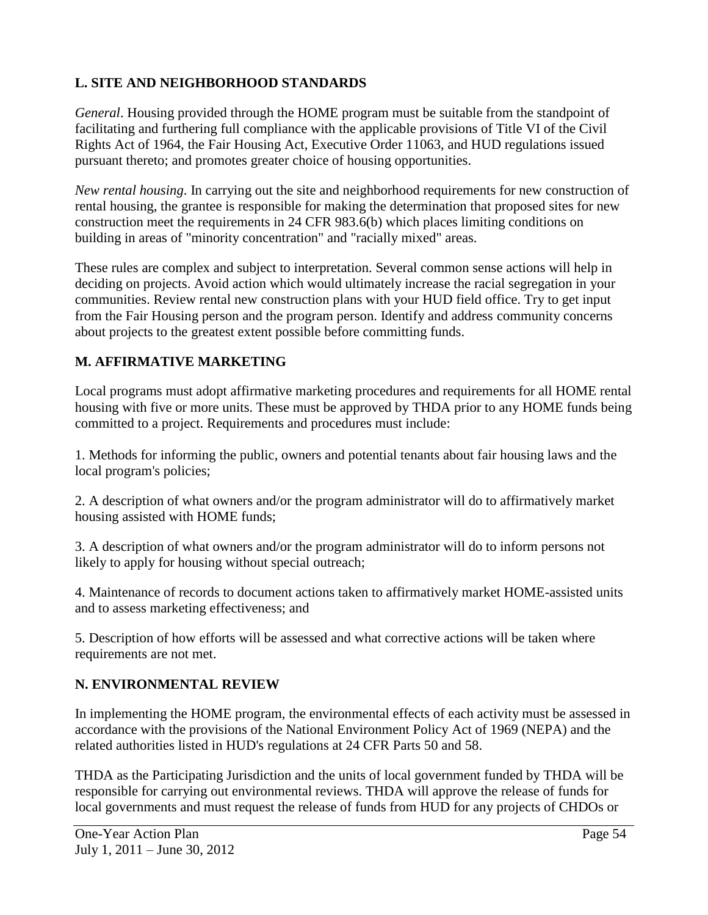## **L. SITE AND NEIGHBORHOOD STANDARDS**

*General*. Housing provided through the HOME program must be suitable from the standpoint of facilitating and furthering full compliance with the applicable provisions of Title VI of the Civil Rights Act of 1964, the Fair Housing Act, Executive Order 11063, and HUD regulations issued pursuant thereto; and promotes greater choice of housing opportunities.

*New rental housing*. In carrying out the site and neighborhood requirements for new construction of rental housing, the grantee is responsible for making the determination that proposed sites for new construction meet the requirements in 24 CFR 983.6(b) which places limiting conditions on building in areas of "minority concentration" and "racially mixed" areas.

These rules are complex and subject to interpretation. Several common sense actions will help in deciding on projects. Avoid action which would ultimately increase the racial segregation in your communities. Review rental new construction plans with your HUD field office. Try to get input from the Fair Housing person and the program person. Identify and address community concerns about projects to the greatest extent possible before committing funds.

## **M. AFFIRMATIVE MARKETING**

Local programs must adopt affirmative marketing procedures and requirements for all HOME rental housing with five or more units. These must be approved by THDA prior to any HOME funds being committed to a project. Requirements and procedures must include:

1. Methods for informing the public, owners and potential tenants about fair housing laws and the local program's policies;

2. A description of what owners and/or the program administrator will do to affirmatively market housing assisted with HOME funds;

3. A description of what owners and/or the program administrator will do to inform persons not likely to apply for housing without special outreach;

4. Maintenance of records to document actions taken to affirmatively market HOME-assisted units and to assess marketing effectiveness; and

5. Description of how efforts will be assessed and what corrective actions will be taken where requirements are not met.

### **N. ENVIRONMENTAL REVIEW**

In implementing the HOME program, the environmental effects of each activity must be assessed in accordance with the provisions of the National Environment Policy Act of 1969 (NEPA) and the related authorities listed in HUD's regulations at 24 CFR Parts 50 and 58.

THDA as the Participating Jurisdiction and the units of local government funded by THDA will be responsible for carrying out environmental reviews. THDA will approve the release of funds for local governments and must request the release of funds from HUD for any projects of CHDOs or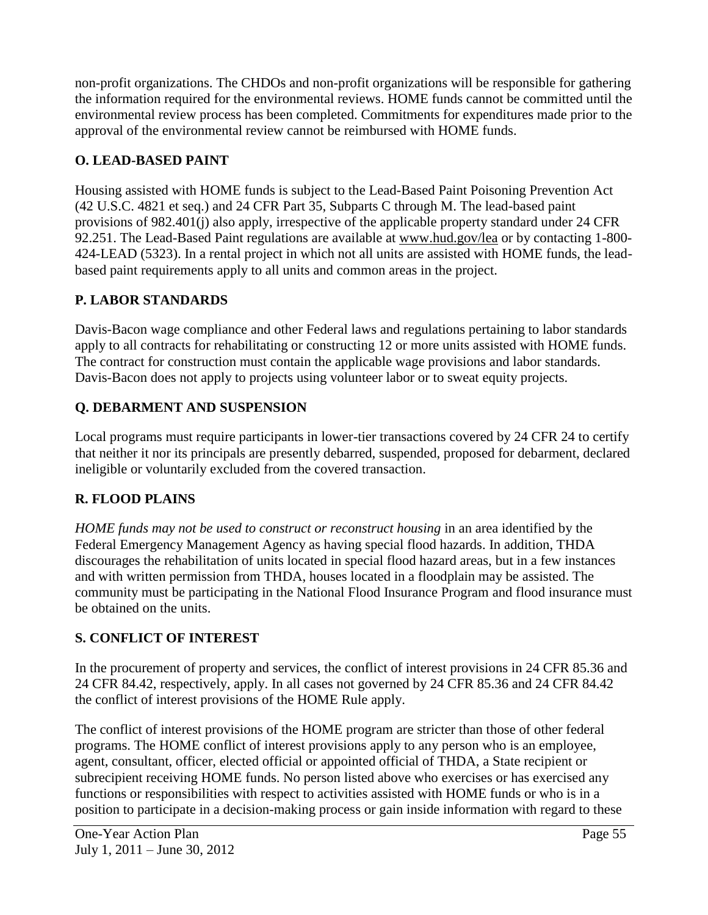non-profit organizations. The CHDOs and non-profit organizations will be responsible for gathering the information required for the environmental reviews. HOME funds cannot be committed until the environmental review process has been completed. Commitments for expenditures made prior to the approval of the environmental review cannot be reimbursed with HOME funds.

## **O. LEAD-BASED PAINT**

Housing assisted with HOME funds is subject to the Lead-Based Paint Poisoning Prevention Act (42 U.S.C. 4821 et seq.) and 24 CFR Part 35, Subparts C through M. The lead-based paint provisions of 982.401(j) also apply, irrespective of the applicable property standard under 24 CFR 92.251. The Lead-Based Paint regulations are available at www.hud.gov/lea or by contacting 1-800- 424-LEAD (5323). In a rental project in which not all units are assisted with HOME funds, the leadbased paint requirements apply to all units and common areas in the project.

## **P. LABOR STANDARDS**

Davis-Bacon wage compliance and other Federal laws and regulations pertaining to labor standards apply to all contracts for rehabilitating or constructing 12 or more units assisted with HOME funds. The contract for construction must contain the applicable wage provisions and labor standards. Davis-Bacon does not apply to projects using volunteer labor or to sweat equity projects.

## **Q. DEBARMENT AND SUSPENSION**

Local programs must require participants in lower-tier transactions covered by 24 CFR 24 to certify that neither it nor its principals are presently debarred, suspended, proposed for debarment, declared ineligible or voluntarily excluded from the covered transaction.

## **R. FLOOD PLAINS**

*HOME funds may not be used to construct or reconstruct housing* in an area identified by the Federal Emergency Management Agency as having special flood hazards. In addition, THDA discourages the rehabilitation of units located in special flood hazard areas, but in a few instances and with written permission from THDA, houses located in a floodplain may be assisted. The community must be participating in the National Flood Insurance Program and flood insurance must be obtained on the units.

## **S. CONFLICT OF INTEREST**

In the procurement of property and services, the conflict of interest provisions in 24 CFR 85.36 and 24 CFR 84.42, respectively, apply. In all cases not governed by 24 CFR 85.36 and 24 CFR 84.42 the conflict of interest provisions of the HOME Rule apply.

The conflict of interest provisions of the HOME program are stricter than those of other federal programs. The HOME conflict of interest provisions apply to any person who is an employee, agent, consultant, officer, elected official or appointed official of THDA, a State recipient or subrecipient receiving HOME funds. No person listed above who exercises or has exercised any functions or responsibilities with respect to activities assisted with HOME funds or who is in a position to participate in a decision-making process or gain inside information with regard to these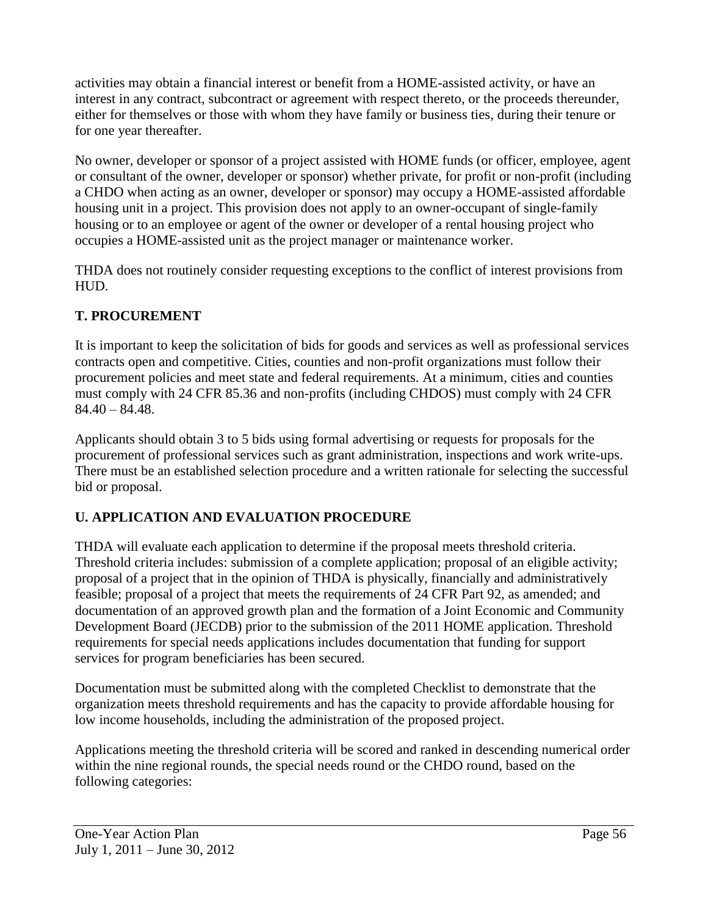activities may obtain a financial interest or benefit from a HOME-assisted activity, or have an interest in any contract, subcontract or agreement with respect thereto, or the proceeds thereunder, either for themselves or those with whom they have family or business ties, during their tenure or for one year thereafter.

No owner, developer or sponsor of a project assisted with HOME funds (or officer, employee, agent or consultant of the owner, developer or sponsor) whether private, for profit or non-profit (including a CHDO when acting as an owner, developer or sponsor) may occupy a HOME-assisted affordable housing unit in a project. This provision does not apply to an owner-occupant of single-family housing or to an employee or agent of the owner or developer of a rental housing project who occupies a HOME-assisted unit as the project manager or maintenance worker.

THDA does not routinely consider requesting exceptions to the conflict of interest provisions from HUD.

## **T. PROCUREMENT**

It is important to keep the solicitation of bids for goods and services as well as professional services contracts open and competitive. Cities, counties and non-profit organizations must follow their procurement policies and meet state and federal requirements. At a minimum, cities and counties must comply with 24 CFR 85.36 and non-profits (including CHDOS) must comply with 24 CFR  $84.40 - 84.48$ .

Applicants should obtain 3 to 5 bids using formal advertising or requests for proposals for the procurement of professional services such as grant administration, inspections and work write-ups. There must be an established selection procedure and a written rationale for selecting the successful bid or proposal.

## **U. APPLICATION AND EVALUATION PROCEDURE**

THDA will evaluate each application to determine if the proposal meets threshold criteria. Threshold criteria includes: submission of a complete application; proposal of an eligible activity; proposal of a project that in the opinion of THDA is physically, financially and administratively feasible; proposal of a project that meets the requirements of 24 CFR Part 92, as amended; and documentation of an approved growth plan and the formation of a Joint Economic and Community Development Board (JECDB) prior to the submission of the 2011 HOME application. Threshold requirements for special needs applications includes documentation that funding for support services for program beneficiaries has been secured.

Documentation must be submitted along with the completed Checklist to demonstrate that the organization meets threshold requirements and has the capacity to provide affordable housing for low income households, including the administration of the proposed project.

Applications meeting the threshold criteria will be scored and ranked in descending numerical order within the nine regional rounds, the special needs round or the CHDO round, based on the following categories: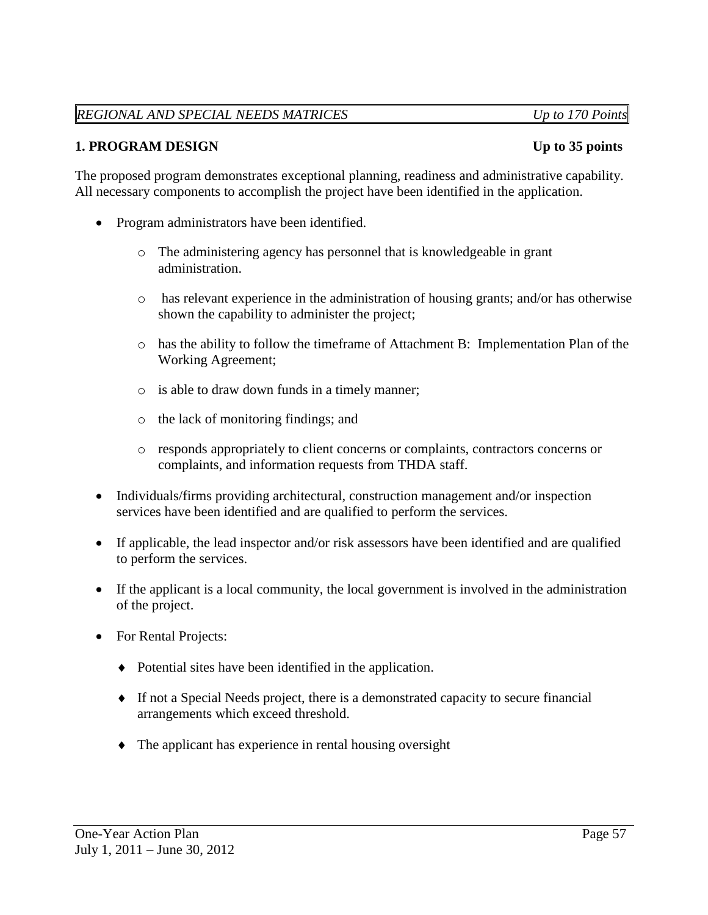### *REGIONAL AND SPECIAL NEEDS MATRICES Up to 170 Points*

The proposed program demonstrates exceptional planning, readiness and administrative capability. All necessary components to accomplish the project have been identified in the application.

- Program administrators have been identified.
	- o The administering agency has personnel that is knowledgeable in grant administration.
	- o has relevant experience in the administration of housing grants; and/or has otherwise shown the capability to administer the project;
	- o has the ability to follow the timeframe of Attachment B: Implementation Plan of the Working Agreement;
	- o is able to draw down funds in a timely manner;
	- o the lack of monitoring findings; and
	- o responds appropriately to client concerns or complaints, contractors concerns or complaints, and information requests from THDA staff.
- Individuals/firms providing architectural, construction management and/or inspection services have been identified and are qualified to perform the services.
- If applicable, the lead inspector and/or risk assessors have been identified and are qualified to perform the services.
- If the applicant is a local community, the local government is involved in the administration of the project.
- For Rental Projects:
	- Potential sites have been identified in the application.
	- If not a Special Needs project, there is a demonstrated capacity to secure financial arrangements which exceed threshold.
	- The applicant has experience in rental housing oversight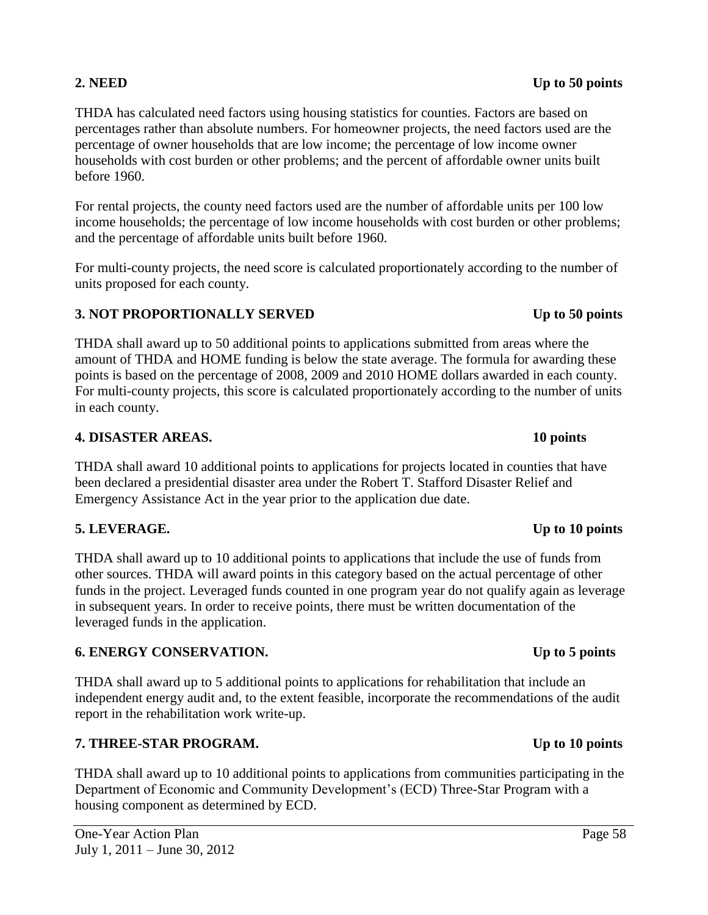#### One-Year Action Plan Page 58 July 1, 2011 – June 30, 2012

#### THDA has calculated need factors using housing statistics for counties. Factors are based on percentages rather than absolute numbers. For homeowner projects, the need factors used are the percentage of owner households that are low income; the percentage of low income owner households with cost burden or other problems; and the percent of affordable owner units built before 1960.

For rental projects, the county need factors used are the number of affordable units per 100 low income households; the percentage of low income households with cost burden or other problems; and the percentage of affordable units built before 1960.

For multi-county projects, the need score is calculated proportionately according to the number of units proposed for each county.

## **3. NOT PROPORTIONALLY SERVED** Up to 50 points

THDA shall award up to 50 additional points to applications submitted from areas where the amount of THDA and HOME funding is below the state average. The formula for awarding these points is based on the percentage of 2008, 2009 and 2010 HOME dollars awarded in each county. For multi-county projects, this score is calculated proportionately according to the number of units in each county.

### **4. DISASTER AREAS. 10 points**

THDA shall award 10 additional points to applications for projects located in counties that have been declared a presidential disaster area under the Robert T. Stafford Disaster Relief and Emergency Assistance Act in the year prior to the application due date.

### **5. LEVERAGE. Up to 10 points**

THDA shall award up to 10 additional points to applications that include the use of funds from other sources. THDA will award points in this category based on the actual percentage of other funds in the project. Leveraged funds counted in one program year do not qualify again as leverage in subsequent years. In order to receive points, there must be written documentation of the leveraged funds in the application.

### **6. ENERGY CONSERVATION. Up to 5 points**

THDA shall award up to 5 additional points to applications for rehabilitation that include an independent energy audit and, to the extent feasible, incorporate the recommendations of the audit report in the rehabilitation work write-up.

## **7. THREE-STAR PROGRAM. Up to 10 points**

THDA shall award up to 10 additional points to applications from communities participating in the Department of Economic and Community Development's (ECD) Three-Star Program with a housing component as determined by ECD.

### **2. NEED** Up to 50 points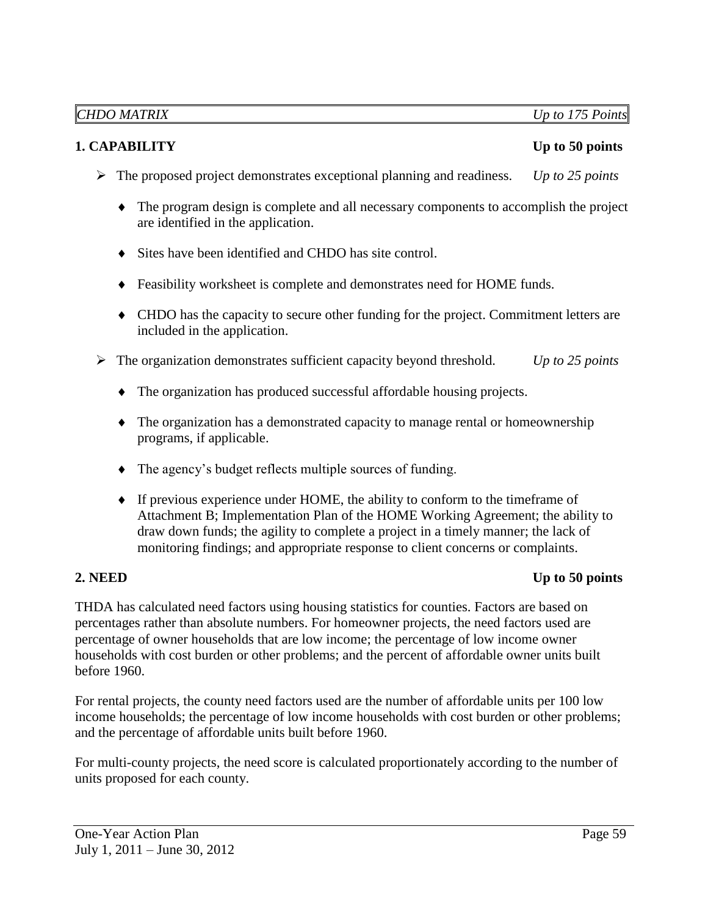### **1. CAPABILITY** Up to 50 points

- The proposed project demonstrates exceptional planning and readiness. *Up to 25 points*
	- The program design is complete and all necessary components to accomplish the project are identified in the application.
	- Sites have been identified and CHDO has site control.
	- Feasibility worksheet is complete and demonstrates need for HOME funds.
	- CHDO has the capacity to secure other funding for the project. Commitment letters are included in the application.
- The organization demonstrates sufficient capacity beyond threshold. *Up to 25 points*
	- The organization has produced successful affordable housing projects.
	- The organization has a demonstrated capacity to manage rental or homeownership programs, if applicable.
	- The agency's budget reflects multiple sources of funding.
	- If previous experience under HOME, the ability to conform to the timeframe of Attachment B; Implementation Plan of the HOME Working Agreement; the ability to draw down funds; the agility to complete a project in a timely manner; the lack of monitoring findings; and appropriate response to client concerns or complaints.

#### **2.** NEED Up to 50 points

THDA has calculated need factors using housing statistics for counties. Factors are based on percentages rather than absolute numbers. For homeowner projects, the need factors used are percentage of owner households that are low income; the percentage of low income owner households with cost burden or other problems; and the percent of affordable owner units built before 1960.

For rental projects, the county need factors used are the number of affordable units per 100 low income households; the percentage of low income households with cost burden or other problems; and the percentage of affordable units built before 1960.

For multi-county projects, the need score is calculated proportionately according to the number of units proposed for each county.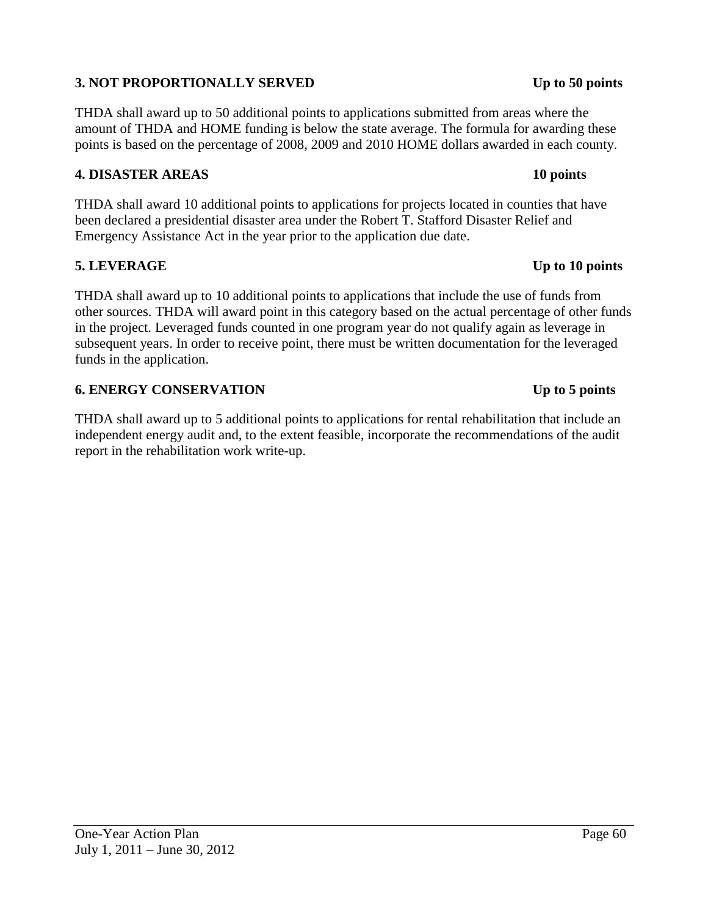## **3. NOT PROPORTIONALLY SERVED Up to 50 points**

THDA shall award up to 50 additional points to applications submitted from areas where the amount of THDA and HOME funding is below the state average. The formula for awarding these points is based on the percentage of 2008, 2009 and 2010 HOME dollars awarded in each county.

#### **4. DISASTER AREAS 10 points**

THDA shall award 10 additional points to applications for projects located in counties that have been declared a presidential disaster area under the Robert T. Stafford Disaster Relief and Emergency Assistance Act in the year prior to the application due date.

### **5. LEVERAGE Up to 10 points**

THDA shall award up to 10 additional points to applications that include the use of funds from other sources. THDA will award point in this category based on the actual percentage of other funds in the project. Leveraged funds counted in one program year do not qualify again as leverage in subsequent years. In order to receive point, there must be written documentation for the leveraged funds in the application.

#### **6. ENERGY CONSERVATION Up to 5 points**

THDA shall award up to 5 additional points to applications for rental rehabilitation that include an independent energy audit and, to the extent feasible, incorporate the recommendations of the audit report in the rehabilitation work write-up.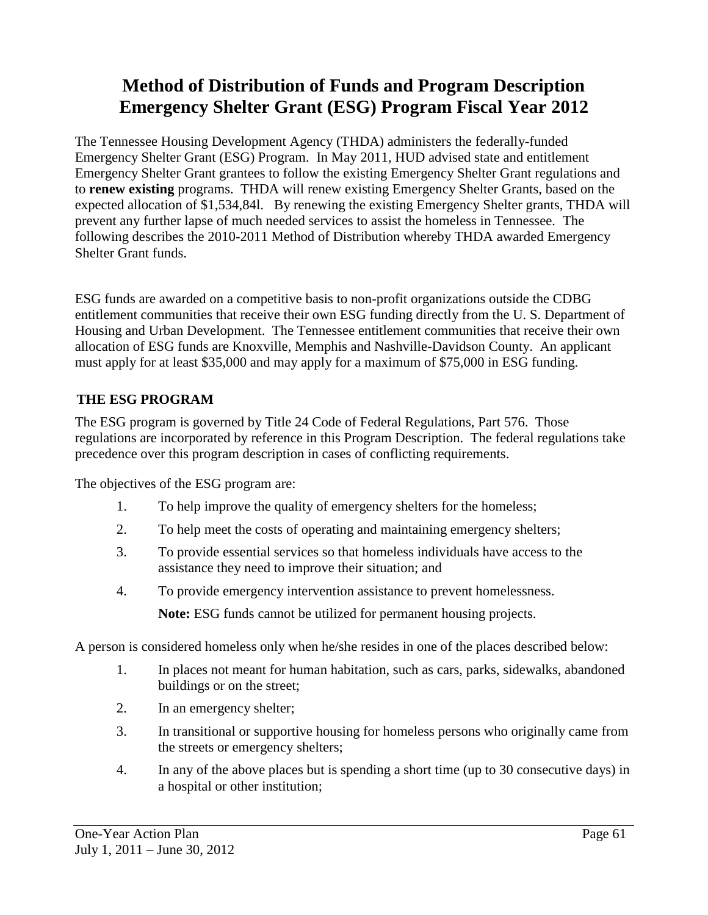# **Method of Distribution of Funds and Program Description Emergency Shelter Grant (ESG) Program Fiscal Year 2012**

The Tennessee Housing Development Agency (THDA) administers the federally-funded Emergency Shelter Grant (ESG) Program. In May 2011, HUD advised state and entitlement Emergency Shelter Grant grantees to follow the existing Emergency Shelter Grant regulations and to **renew existing** programs. THDA will renew existing Emergency Shelter Grants, based on the expected allocation of \$1,534,84l. By renewing the existing Emergency Shelter grants, THDA will prevent any further lapse of much needed services to assist the homeless in Tennessee. The following describes the 2010-2011 Method of Distribution whereby THDA awarded Emergency Shelter Grant funds.

ESG funds are awarded on a competitive basis to non-profit organizations outside the CDBG entitlement communities that receive their own ESG funding directly from the U. S. Department of Housing and Urban Development. The Tennessee entitlement communities that receive their own allocation of ESG funds are Knoxville, Memphis and Nashville-Davidson County. An applicant must apply for at least \$35,000 and may apply for a maximum of \$75,000 in ESG funding.

## **THE ESG PROGRAM**

The ESG program is governed by Title 24 Code of Federal Regulations, Part 576. Those regulations are incorporated by reference in this Program Description. The federal regulations take precedence over this program description in cases of conflicting requirements.

The objectives of the ESG program are:

- 1. To help improve the quality of emergency shelters for the homeless;
- 2. To help meet the costs of operating and maintaining emergency shelters;
- 3. To provide essential services so that homeless individuals have access to the assistance they need to improve their situation; and
- 4. To provide emergency intervention assistance to prevent homelessness.

**Note:** ESG funds cannot be utilized for permanent housing projects.

A person is considered homeless only when he/she resides in one of the places described below:

- 1. In places not meant for human habitation, such as cars, parks, sidewalks, abandoned buildings or on the street;
- 2. In an emergency shelter;
- 3. In transitional or supportive housing for homeless persons who originally came from the streets or emergency shelters;
- 4. In any of the above places but is spending a short time (up to 30 consecutive days) in a hospital or other institution;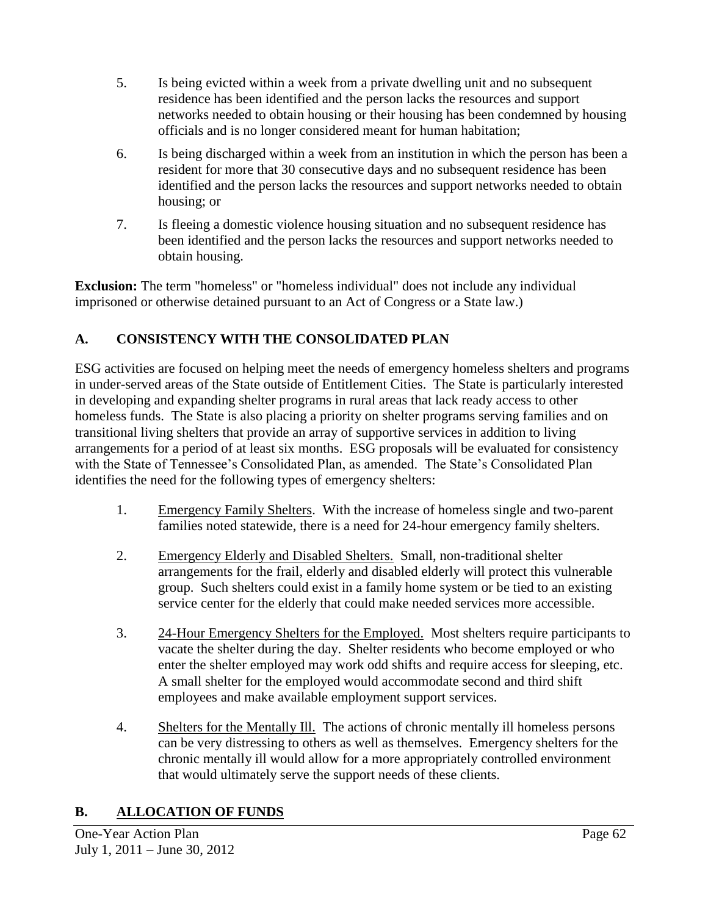- 5. Is being evicted within a week from a private dwelling unit and no subsequent residence has been identified and the person lacks the resources and support networks needed to obtain housing or their housing has been condemned by housing officials and is no longer considered meant for human habitation;
- 6. Is being discharged within a week from an institution in which the person has been a resident for more that 30 consecutive days and no subsequent residence has been identified and the person lacks the resources and support networks needed to obtain housing; or
- 7. Is fleeing a domestic violence housing situation and no subsequent residence has been identified and the person lacks the resources and support networks needed to obtain housing.

**Exclusion:** The term "homeless" or "homeless individual" does not include any individual imprisoned or otherwise detained pursuant to an Act of Congress or a State law.)

## **A. CONSISTENCY WITH THE CONSOLIDATED PLAN**

ESG activities are focused on helping meet the needs of emergency homeless shelters and programs in under-served areas of the State outside of Entitlement Cities. The State is particularly interested in developing and expanding shelter programs in rural areas that lack ready access to other homeless funds. The State is also placing a priority on shelter programs serving families and on transitional living shelters that provide an array of supportive services in addition to living arrangements for a period of at least six months. ESG proposals will be evaluated for consistency with the State of Tennessee's Consolidated Plan, as amended. The State's Consolidated Plan identifies the need for the following types of emergency shelters:

- 1. Emergency Family Shelters. With the increase of homeless single and two-parent families noted statewide, there is a need for 24-hour emergency family shelters.
- 2. Emergency Elderly and Disabled Shelters. Small, non-traditional shelter arrangements for the frail, elderly and disabled elderly will protect this vulnerable group. Such shelters could exist in a family home system or be tied to an existing service center for the elderly that could make needed services more accessible.
- 3. 24-Hour Emergency Shelters for the Employed. Most shelters require participants to vacate the shelter during the day. Shelter residents who become employed or who enter the shelter employed may work odd shifts and require access for sleeping, etc. A small shelter for the employed would accommodate second and third shift employees and make available employment support services.
- 4. Shelters for the Mentally Ill. The actions of chronic mentally ill homeless persons can be very distressing to others as well as themselves. Emergency shelters for the chronic mentally ill would allow for a more appropriately controlled environment that would ultimately serve the support needs of these clients.

## **B. ALLOCATION OF FUNDS**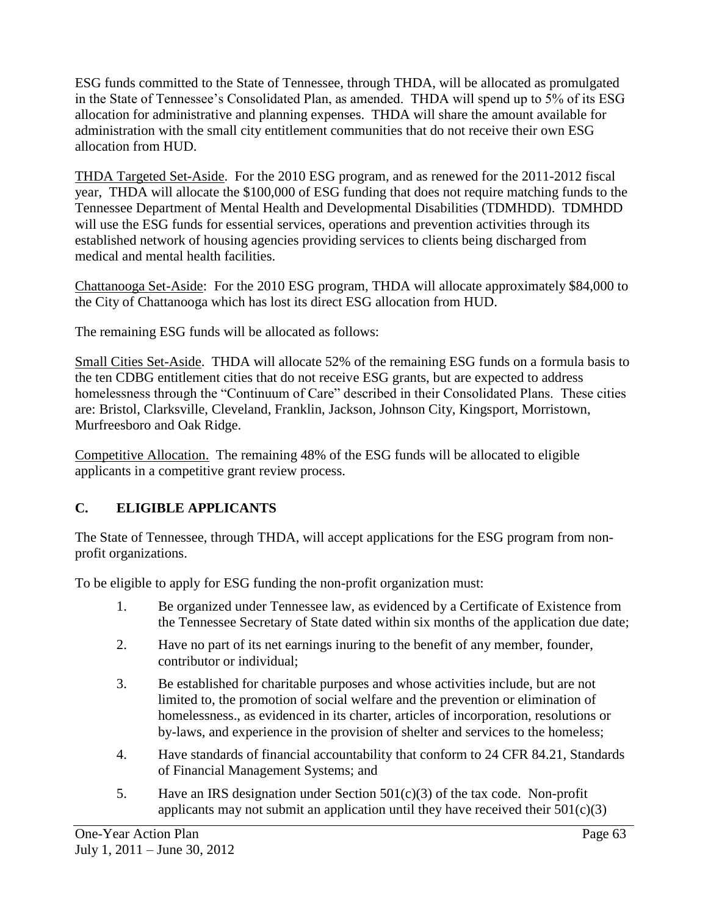ESG funds committed to the State of Tennessee, through THDA, will be allocated as promulgated in the State of Tennessee's Consolidated Plan, as amended. THDA will spend up to 5% of its ESG allocation for administrative and planning expenses. THDA will share the amount available for administration with the small city entitlement communities that do not receive their own ESG allocation from HUD.

THDA Targeted Set-Aside. For the 2010 ESG program, and as renewed for the 2011-2012 fiscal year, THDA will allocate the \$100,000 of ESG funding that does not require matching funds to the Tennessee Department of Mental Health and Developmental Disabilities (TDMHDD). TDMHDD will use the ESG funds for essential services, operations and prevention activities through its established network of housing agencies providing services to clients being discharged from medical and mental health facilities.

Chattanooga Set-Aside: For the 2010 ESG program, THDA will allocate approximately \$84,000 to the City of Chattanooga which has lost its direct ESG allocation from HUD.

The remaining ESG funds will be allocated as follows:

Small Cities Set-Aside. THDA will allocate 52% of the remaining ESG funds on a formula basis to the ten CDBG entitlement cities that do not receive ESG grants, but are expected to address homelessness through the "Continuum of Care" described in their Consolidated Plans. These cities are: Bristol, Clarksville, Cleveland, Franklin, Jackson, Johnson City, Kingsport, Morristown, Murfreesboro and Oak Ridge.

Competitive Allocation. The remaining 48% of the ESG funds will be allocated to eligible applicants in a competitive grant review process.

## **C. ELIGIBLE APPLICANTS**

The State of Tennessee, through THDA, will accept applications for the ESG program from nonprofit organizations.

To be eligible to apply for ESG funding the non-profit organization must:

- 1. Be organized under Tennessee law, as evidenced by a Certificate of Existence from the Tennessee Secretary of State dated within six months of the application due date;
- 2. Have no part of its net earnings inuring to the benefit of any member, founder, contributor or individual;
- 3. Be established for charitable purposes and whose activities include, but are not limited to, the promotion of social welfare and the prevention or elimination of homelessness., as evidenced in its charter, articles of incorporation, resolutions or by-laws, and experience in the provision of shelter and services to the homeless;
- 4. Have standards of financial accountability that conform to 24 CFR 84.21, Standards of Financial Management Systems; and
- 5. Have an IRS designation under Section 501(c)(3) of the tax code. Non-profit applicants may not submit an application until they have received their  $501(c)(3)$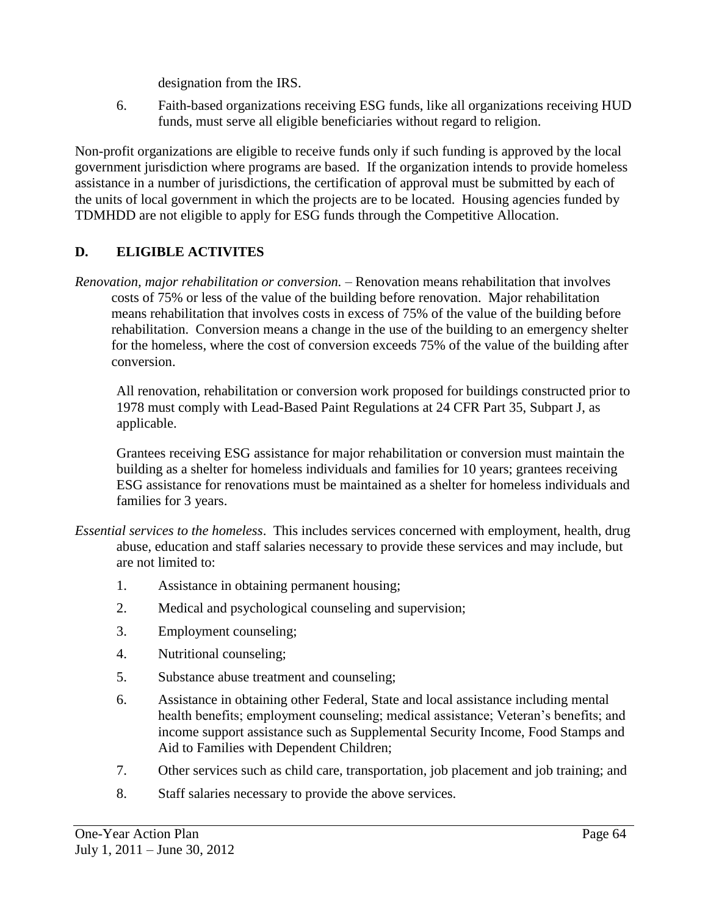designation from the IRS.

6. Faith-based organizations receiving ESG funds, like all organizations receiving HUD funds, must serve all eligible beneficiaries without regard to religion.

Non-profit organizations are eligible to receive funds only if such funding is approved by the local government jurisdiction where programs are based. If the organization intends to provide homeless assistance in a number of jurisdictions, the certification of approval must be submitted by each of the units of local government in which the projects are to be located. Housing agencies funded by TDMHDD are not eligible to apply for ESG funds through the Competitive Allocation.

## **D. ELIGIBLE ACTIVITES**

*Renovation, major rehabilitation or conversion.* – Renovation means rehabilitation that involves costs of 75% or less of the value of the building before renovation. Major rehabilitation means rehabilitation that involves costs in excess of 75% of the value of the building before rehabilitation. Conversion means a change in the use of the building to an emergency shelter for the homeless, where the cost of conversion exceeds 75% of the value of the building after conversion.

All renovation, rehabilitation or conversion work proposed for buildings constructed prior to 1978 must comply with Lead-Based Paint Regulations at 24 CFR Part 35, Subpart J, as applicable.

Grantees receiving ESG assistance for major rehabilitation or conversion must maintain the building as a shelter for homeless individuals and families for 10 years; grantees receiving ESG assistance for renovations must be maintained as a shelter for homeless individuals and families for 3 years.

- *Essential services to the homeless*. This includes services concerned with employment, health, drug abuse, education and staff salaries necessary to provide these services and may include, but are not limited to:
	- 1. Assistance in obtaining permanent housing;
	- 2. Medical and psychological counseling and supervision;
	- 3. Employment counseling;
	- 4. Nutritional counseling;
	- 5. Substance abuse treatment and counseling;
	- 6. Assistance in obtaining other Federal, State and local assistance including mental health benefits; employment counseling; medical assistance; Veteran's benefits; and income support assistance such as Supplemental Security Income, Food Stamps and Aid to Families with Dependent Children;
	- 7. Other services such as child care, transportation, job placement and job training; and
	- 8. Staff salaries necessary to provide the above services.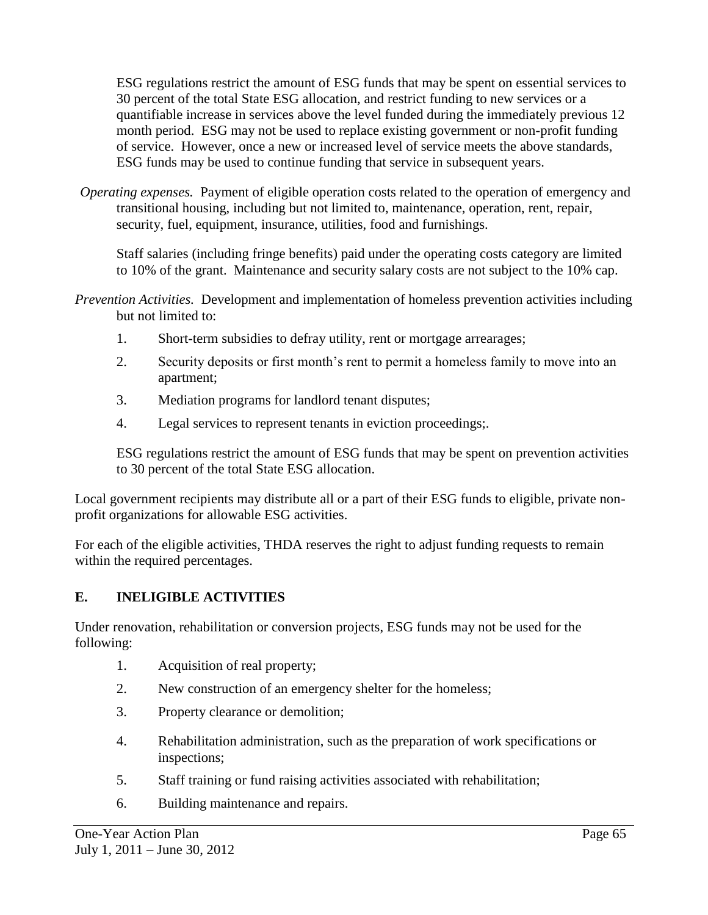ESG regulations restrict the amount of ESG funds that may be spent on essential services to 30 percent of the total State ESG allocation, and restrict funding to new services or a quantifiable increase in services above the level funded during the immediately previous 12 month period. ESG may not be used to replace existing government or non-profit funding of service. However, once a new or increased level of service meets the above standards, ESG funds may be used to continue funding that service in subsequent years.

*Operating expenses.* Payment of eligible operation costs related to the operation of emergency and transitional housing, including but not limited to, maintenance, operation, rent, repair, security, fuel, equipment, insurance, utilities, food and furnishings.

Staff salaries (including fringe benefits) paid under the operating costs category are limited to 10% of the grant. Maintenance and security salary costs are not subject to the 10% cap.

- *Prevention Activities.* Development and implementation of homeless prevention activities including but not limited to:
	- 1. Short-term subsidies to defray utility, rent or mortgage arrearages;
	- 2. Security deposits or first month's rent to permit a homeless family to move into an apartment;
	- 3. Mediation programs for landlord tenant disputes;
	- 4. Legal services to represent tenants in eviction proceedings;.

ESG regulations restrict the amount of ESG funds that may be spent on prevention activities to 30 percent of the total State ESG allocation.

Local government recipients may distribute all or a part of their ESG funds to eligible, private nonprofit organizations for allowable ESG activities.

For each of the eligible activities, THDA reserves the right to adjust funding requests to remain within the required percentages.

### **E. INELIGIBLE ACTIVITIES**

Under renovation, rehabilitation or conversion projects, ESG funds may not be used for the following:

- 1. Acquisition of real property;
- 2. New construction of an emergency shelter for the homeless;
- 3. Property clearance or demolition;
- 4. Rehabilitation administration, such as the preparation of work specifications or inspections;
- 5. Staff training or fund raising activities associated with rehabilitation;
- 6. Building maintenance and repairs.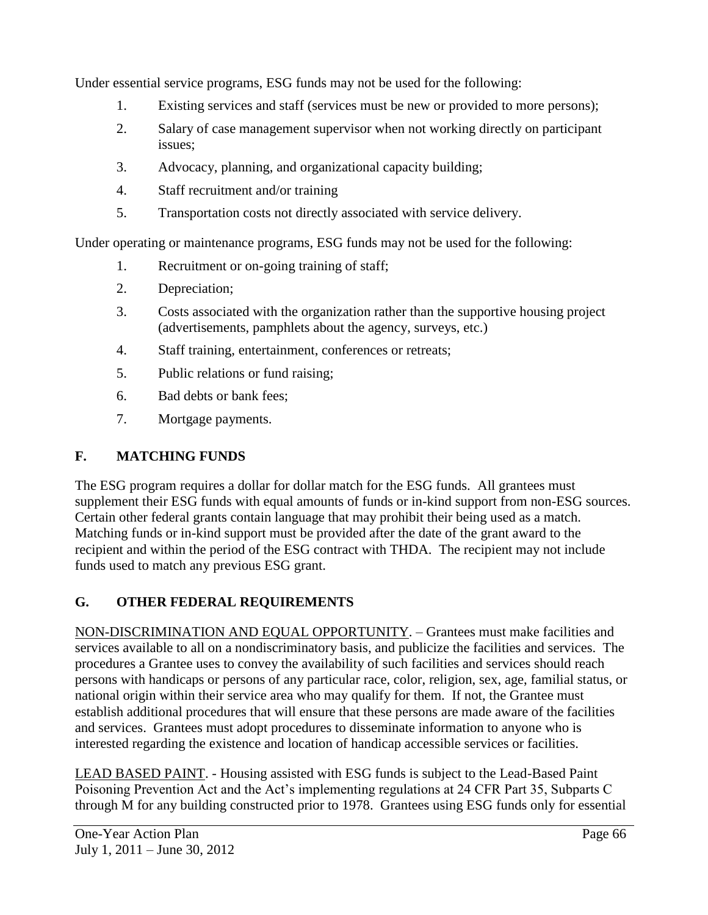Under essential service programs, ESG funds may not be used for the following:

- 1. Existing services and staff (services must be new or provided to more persons);
- 2. Salary of case management supervisor when not working directly on participant issues;
- 3. Advocacy, planning, and organizational capacity building;
- 4. Staff recruitment and/or training
- 5. Transportation costs not directly associated with service delivery.

Under operating or maintenance programs, ESG funds may not be used for the following:

- 1. Recruitment or on-going training of staff;
- 2. Depreciation;
- 3. Costs associated with the organization rather than the supportive housing project (advertisements, pamphlets about the agency, surveys, etc.)
- 4. Staff training, entertainment, conferences or retreats;
- 5. Public relations or fund raising;
- 6. Bad debts or bank fees;
- 7. Mortgage payments.

### **F. MATCHING FUNDS**

The ESG program requires a dollar for dollar match for the ESG funds.All grantees must supplement their ESG funds with equal amounts of funds or in-kind support from non-ESG sources. Certain other federal grants contain language that may prohibit their being used as a match. Matching funds or in-kind support must be provided after the date of the grant award to the recipient and within the period of the ESG contract with THDA. The recipient may not include funds used to match any previous ESG grant.

### **G. OTHER FEDERAL REQUIREMENTS**

NON-DISCRIMINATION AND EQUAL OPPORTUNITY. – Grantees must make facilities and services available to all on a nondiscriminatory basis, and publicize the facilities and services. The procedures a Grantee uses to convey the availability of such facilities and services should reach persons with handicaps or persons of any particular race, color, religion, sex, age, familial status, or national origin within their service area who may qualify for them. If not, the Grantee must establish additional procedures that will ensure that these persons are made aware of the facilities and services. Grantees must adopt procedures to disseminate information to anyone who is interested regarding the existence and location of handicap accessible services or facilities.

LEAD BASED PAINT. - Housing assisted with ESG funds is subject to the Lead-Based Paint Poisoning Prevention Act and the Act's implementing regulations at 24 CFR Part 35, Subparts C through M for any building constructed prior to 1978. Grantees using ESG funds only for essential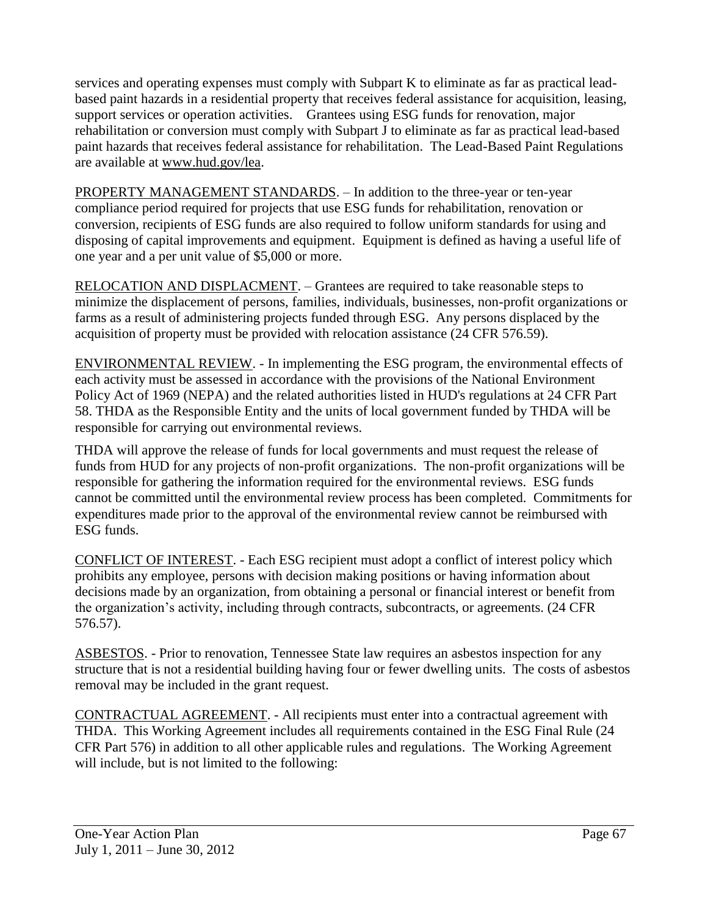services and operating expenses must comply with Subpart K to eliminate as far as practical leadbased paint hazards in a residential property that receives federal assistance for acquisition, leasing, support services or operation activities. Grantees using ESG funds for renovation, major rehabilitation or conversion must comply with Subpart J to eliminate as far as practical lead-based paint hazards that receives federal assistance for rehabilitation. The Lead-Based Paint Regulations are available at [www.hud.gov/lea.](http://www.hud.gov/lea)

PROPERTY MANAGEMENT STANDARDS. – In addition to the three-year or ten-year compliance period required for projects that use ESG funds for rehabilitation, renovation or conversion, recipients of ESG funds are also required to follow uniform standards for using and disposing of capital improvements and equipment. Equipment is defined as having a useful life of one year and a per unit value of \$5,000 or more.

RELOCATION AND DISPLACMENT. – Grantees are required to take reasonable steps to minimize the displacement of persons, families, individuals, businesses, non-profit organizations or farms as a result of administering projects funded through ESG. Any persons displaced by the acquisition of property must be provided with relocation assistance (24 CFR 576.59).

ENVIRONMENTAL REVIEW. - In implementing the ESG program, the environmental effects of each activity must be assessed in accordance with the provisions of the National Environment Policy Act of 1969 (NEPA) and the related authorities listed in HUD's regulations at 24 CFR Part 58. THDA as the Responsible Entity and the units of local government funded by THDA will be responsible for carrying out environmental reviews.

THDA will approve the release of funds for local governments and must request the release of funds from HUD for any projects of non-profit organizations. The non-profit organizations will be responsible for gathering the information required for the environmental reviews. ESG funds cannot be committed until the environmental review process has been completed. Commitments for expenditures made prior to the approval of the environmental review cannot be reimbursed with ESG funds.

CONFLICT OF INTEREST. - Each ESG recipient must adopt a conflict of interest policy which prohibits any employee, persons with decision making positions or having information about decisions made by an organization, from obtaining a personal or financial interest or benefit from the organization's activity, including through contracts, subcontracts, or agreements. (24 CFR 576.57).

ASBESTOS. - Prior to renovation, Tennessee State law requires an asbestos inspection for any structure that is not a residential building having four or fewer dwelling units. The costs of asbestos removal may be included in the grant request.

CONTRACTUAL AGREEMENT. - All recipients must enter into a contractual agreement with THDA. This Working Agreement includes all requirements contained in the ESG Final Rule (24 CFR Part 576) in addition to all other applicable rules and regulations. The Working Agreement will include, but is not limited to the following: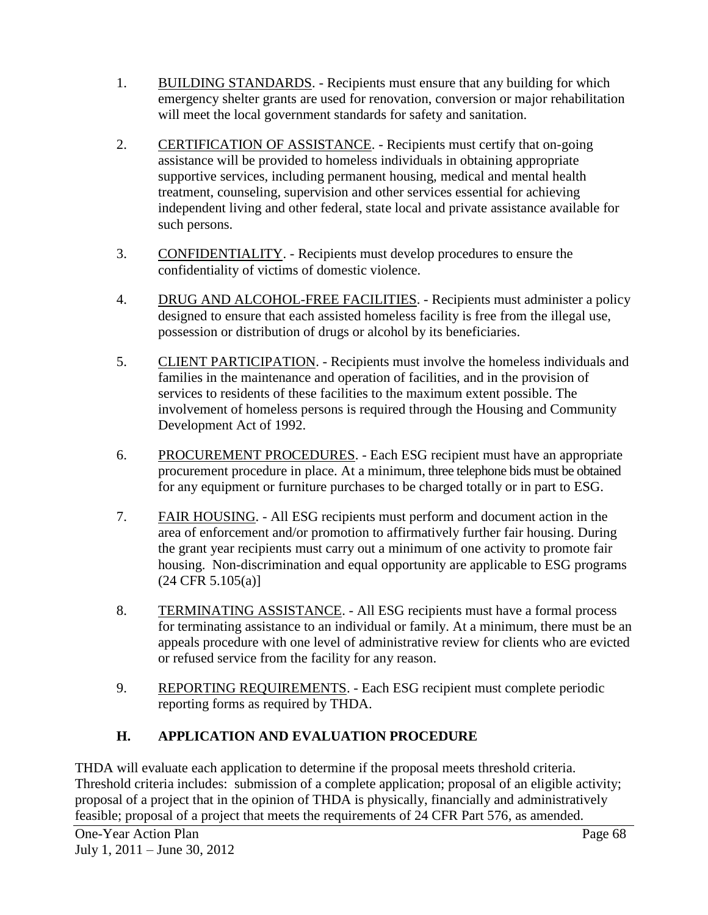- 1. BUILDING STANDARDS. Recipients must ensure that any building for which emergency shelter grants are used for renovation, conversion or major rehabilitation will meet the local government standards for safety and sanitation.
- 2. CERTIFICATION OF ASSISTANCE. Recipients must certify that on-going assistance will be provided to homeless individuals in obtaining appropriate supportive services, including permanent housing, medical and mental health treatment, counseling, supervision and other services essential for achieving independent living and other federal, state local and private assistance available for such persons.
- 3. CONFIDENTIALITY. Recipients must develop procedures to ensure the confidentiality of victims of domestic violence.
- 4. DRUG AND ALCOHOL-FREE FACILITIES. Recipients must administer a policy designed to ensure that each assisted homeless facility is free from the illegal use, possession or distribution of drugs or alcohol by its beneficiaries.
- 5. CLIENT PARTICIPATION. Recipients must involve the homeless individuals and families in the maintenance and operation of facilities, and in the provision of services to residents of these facilities to the maximum extent possible. The involvement of homeless persons is required through the Housing and Community Development Act of 1992.
- 6. PROCUREMENT PROCEDURES. Each ESG recipient must have an appropriate procurement procedure in place. At a minimum, three telephone bids must be obtained for any equipment or furniture purchases to be charged totally or in part to ESG.
- 7. FAIR HOUSING. All ESG recipients must perform and document action in the area of enforcement and/or promotion to affirmatively further fair housing. During the grant year recipients must carry out a minimum of one activity to promote fair housing. Non-discrimination and equal opportunity are applicable to ESG programs  $(24 \text{ CFR } 5.105(a)]$
- 8. TERMINATING ASSISTANCE. All ESG recipients must have a formal process for terminating assistance to an individual or family. At a minimum, there must be an appeals procedure with one level of administrative review for clients who are evicted or refused service from the facility for any reason.
- 9. REPORTING REQUIREMENTS. Each ESG recipient must complete periodic reporting forms as required by THDA.

## **H. APPLICATION AND EVALUATION PROCEDURE**

THDA will evaluate each application to determine if the proposal meets threshold criteria. Threshold criteria includes: submission of a complete application; proposal of an eligible activity; proposal of a project that in the opinion of THDA is physically, financially and administratively feasible; proposal of a project that meets the requirements of 24 CFR Part 576, as amended.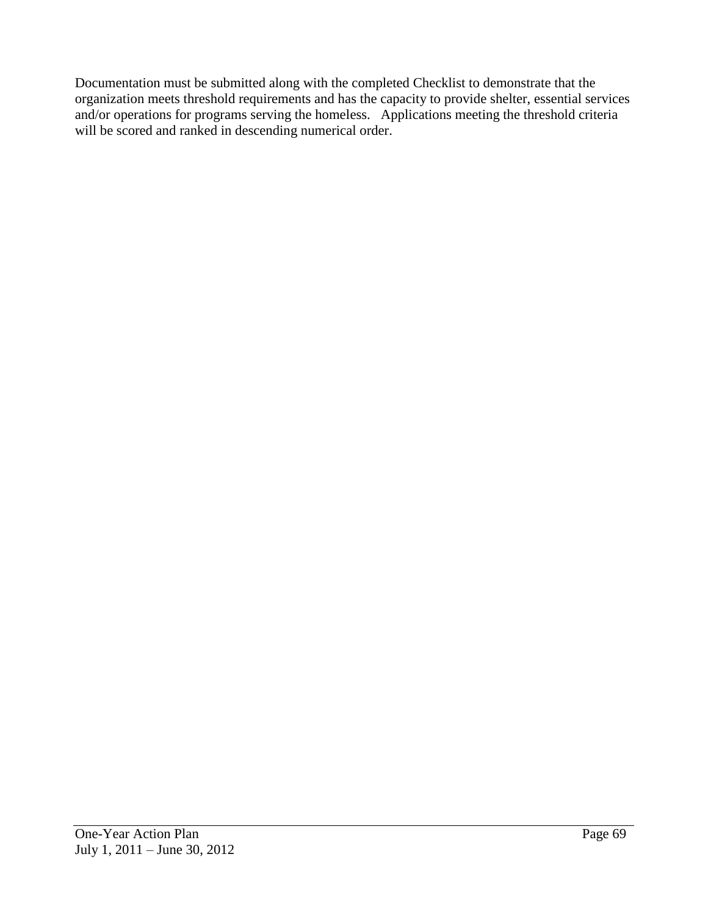Documentation must be submitted along with the completed Checklist to demonstrate that the organization meets threshold requirements and has the capacity to provide shelter, essential services and/or operations for programs serving the homeless. Applications meeting the threshold criteria will be scored and ranked in descending numerical order.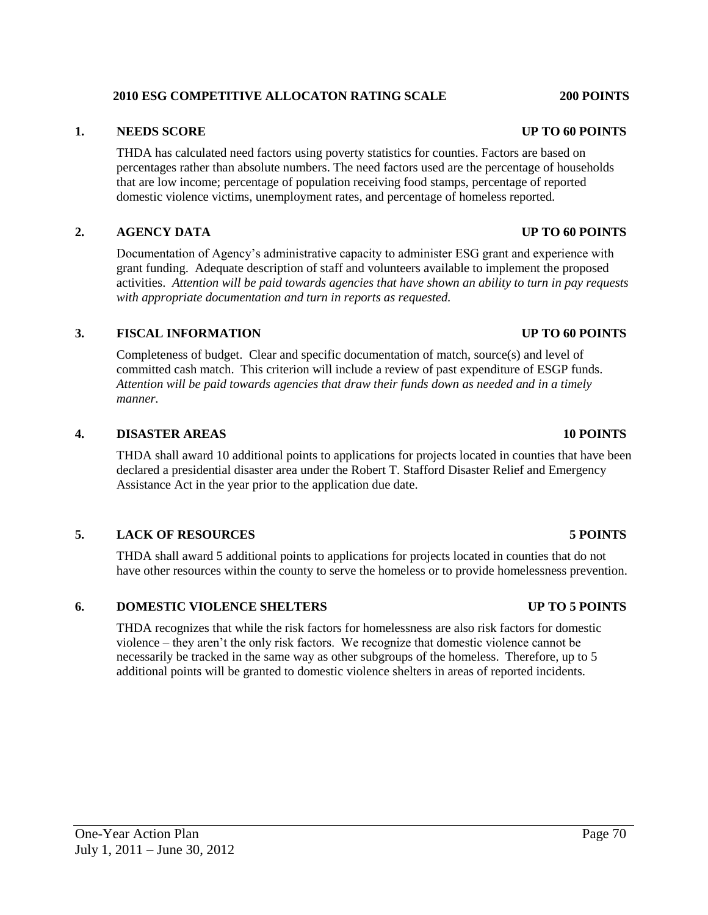#### **2010 ESG COMPETITIVE ALLOCATON RATING SCALE 200 POINTS**

#### **1. NEEDS SCORE UP TO 60 POINTS**

THDA has calculated need factors using poverty statistics for counties. Factors are based on percentages rather than absolute numbers. The need factors used are the percentage of households that are low income; percentage of population receiving food stamps, percentage of reported domestic violence victims, unemployment rates, and percentage of homeless reported.

#### **2. AGENCY DATA UP TO 60 POINTS**

Documentation of Agency's administrative capacity to administer ESG grant and experience with grant funding. Adequate description of staff and volunteers available to implement the proposed activities. *Attention will be paid towards agencies that have shown an ability to turn in pay requests with appropriate documentation and turn in reports as requested.*

#### **3. FISCAL INFORMATION UP TO 60 POINTS**

Completeness of budget. Clear and specific documentation of match, source(s) and level of committed cash match. This criterion will include a review of past expenditure of ESGP funds. *Attention will be paid towards agencies that draw their funds down as needed and in a timely manner.*

#### **4. DISASTER AREAS 10 POINTS**

THDA shall award 10 additional points to applications for projects located in counties that have been declared a presidential disaster area under the Robert T. Stafford Disaster Relief and Emergency Assistance Act in the year prior to the application due date.

#### **5. LACK OF RESOURCES 5 POINTS**

THDA shall award 5 additional points to applications for projects located in counties that do not have other resources within the county to serve the homeless or to provide homelessness prevention.

#### **6. DOMESTIC VIOLENCE SHELTERS UP TO 5 POINTS**

THDA recognizes that while the risk factors for homelessness are also risk factors for domestic violence – they aren't the only risk factors. We recognize that domestic violence cannot be necessarily be tracked in the same way as other subgroups of the homeless. Therefore, up to 5 additional points will be granted to domestic violence shelters in areas of reported incidents.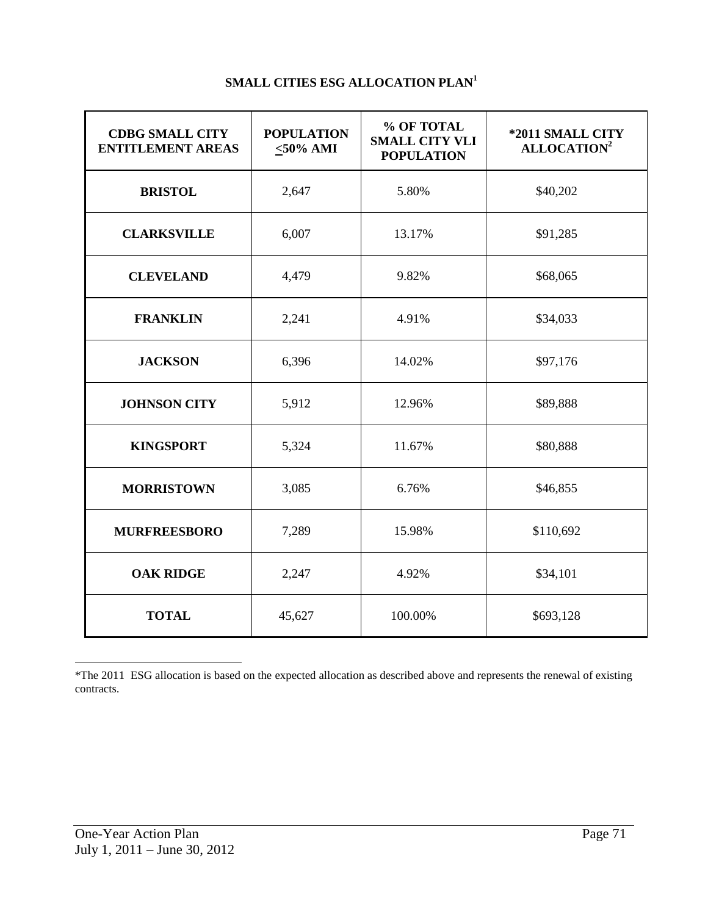| <b>CDBG SMALL CITY</b><br><b>ENTITLEMENT AREAS</b> | <b>POPULATION</b><br>$<$ 50% AMI | % OF TOTAL<br><b>SMALL CITY VLI</b><br><b>POPULATION</b> | *2011 SMALL CITY<br>ALLOCATION <sup>2</sup> |
|----------------------------------------------------|----------------------------------|----------------------------------------------------------|---------------------------------------------|
| <b>BRISTOL</b>                                     | 2,647                            | 5.80%                                                    | \$40,202                                    |
| <b>CLARKSVILLE</b>                                 | 6,007                            | 13.17%                                                   | \$91,285                                    |
| <b>CLEVELAND</b>                                   | 4,479                            | 9.82%                                                    | \$68,065                                    |
| <b>FRANKLIN</b>                                    | 2,241                            | 4.91%                                                    | \$34,033                                    |
| <b>JACKSON</b>                                     | 6,396                            | 14.02%                                                   | \$97,176                                    |
| <b>JOHNSON CITY</b>                                | 5,912                            | 12.96%                                                   | \$89,888                                    |
| <b>KINGSPORT</b>                                   | 5,324                            | 11.67%                                                   | \$80,888                                    |
| <b>MORRISTOWN</b>                                  | 3,085                            | 6.76%                                                    | \$46,855                                    |
| <b>MURFREESBORO</b>                                | 7,289                            | 15.98%                                                   | \$110,692                                   |
| <b>OAK RIDGE</b>                                   | 2,247                            | 4.92%                                                    | \$34,101                                    |
| <b>TOTAL</b>                                       | 45,627                           | 100.00%                                                  | \$693,128                                   |

# **SMALL CITIES ESG ALLOCATION PLAN<sup>1</sup>**

l

<sup>\*</sup>The 2011 ESG allocation is based on the expected allocation as described above and represents the renewal of existing contracts.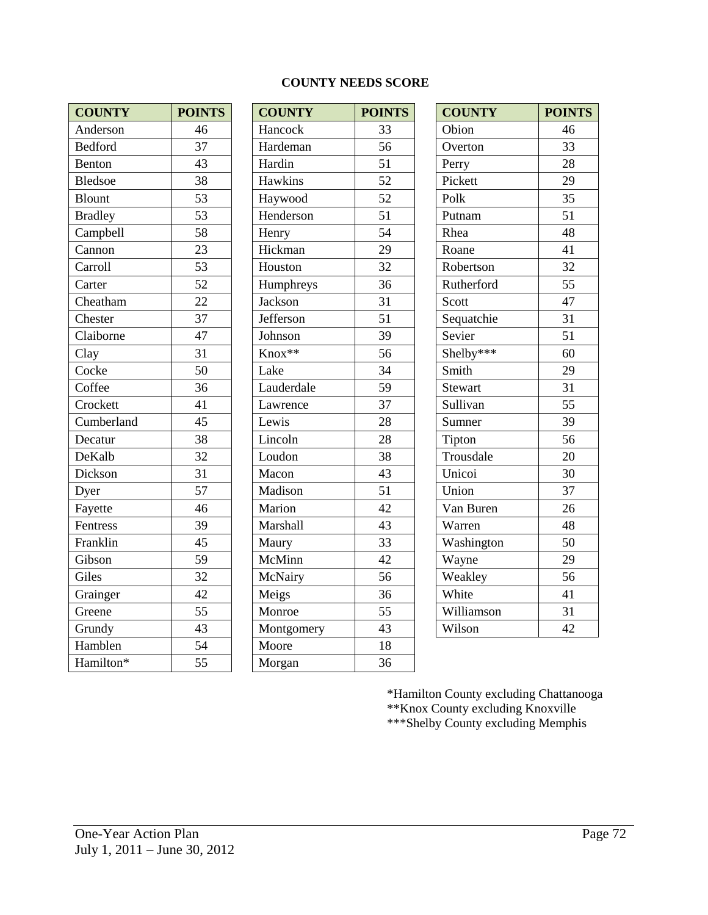| <b>COUNTY</b>  | <b>POINTS</b> | <b>COUNTY</b>  | <b>POIN</b> |
|----------------|---------------|----------------|-------------|
| Anderson       | 46            | Hancock        | 33          |
| <b>Bedford</b> | 37            | Hardeman       | 56          |
| Benton         | 43            | Hardin         | 51          |
| <b>Bledsoe</b> | 38            | Hawkins        | 52          |
| <b>Blount</b>  | 53            | Haywood        | 52          |
| <b>Bradley</b> | 53            | Henderson      | 51          |
| Campbell       | 58            | Henry          | 54          |
| Cannon         | 23            | Hickman        | 29          |
| Carroll        | 53            | Houston        | 32          |
| Carter         | 52            | Humphreys      | 36          |
| Cheatham       | 22            | <b>Jackson</b> | 31          |
| Chester        | 37            | Jefferson      | 51          |
| Claiborne      | 47            | Johnson        | 39          |
| Clay           | 31            | Knox**         | 56          |
| Cocke          | 50            | Lake           | 34          |
| Coffee         | 36            | Lauderdale     | 59          |
| Crockett       | 41            | Lawrence       | 37          |
| Cumberland     | 45            | Lewis          | 28          |
| Decatur        | 38            | Lincoln        | 28          |
| DeKalb         | 32            | Loudon         | 38          |
| Dickson        | 31            | Macon          | 43          |
| Dyer           | 57            | Madison        | 51          |
| Fayette        | 46            | Marion         | 42          |
| Fentress       | 39            | Marshall       | 43          |
| Franklin       | 45            | Maury          | 33          |
| Gibson         | 59            | McMinn         | 42          |
| Giles          | 32            | McNairy        | 56          |
| Grainger       | 42            | Meigs          | 36          |
| Greene         | 55            | Monroe         | 55          |
| Grundy         | 43            | Montgomery     | 43          |
| Hamblen        | 54            | Moore          | 18          |
| Hamilton*      | 55            | Morgan         | 36          |

#### **COUNTY NEEDS SCORE**

| <b>COUNTY</b>  | <b>POINTS</b> | <b>COUNTY</b> | <b>POINTS</b> | <b>COUNTY</b>  | <b>POINTS</b> |
|----------------|---------------|---------------|---------------|----------------|---------------|
| Anderson       | 46            | Hancock       | 33            | Obion          | 46            |
| <b>Bedford</b> | 37            | Hardeman      | 56            | Overton        | 33            |
| Benton         | 43            | Hardin        | 51            | Perry          | 28            |
| Bledsoe        | 38            | Hawkins       | 52            | Pickett        | 29            |
| <b>Blount</b>  | 53            | Haywood       | 52            | Polk           | 35            |
| <b>Bradley</b> | 53            | Henderson     | 51            | Putnam         | 51            |
| Campbell       | 58            | Henry         | 54            | Rhea           | 48            |
| Cannon         | 23            | Hickman       | 29            | Roane          | 41            |
| Carroll        | 53            | Houston       | 32            | Robertson      | 32            |
| Carter         | 52            | Humphreys     | 36            | Rutherford     | 55            |
| Cheatham       | 22            | Jackson       | 31            | Scott          | 47            |
| Chester        | 37            | Jefferson     | 51            | Sequatchie     | 31            |
| Claiborne      | 47            | Johnson       | 39            | Sevier         | 51            |
| Clay           | 31            | Knox**        | 56            | Shelby***      | 60            |
| Cocke          | 50            | Lake          | 34            | Smith          | 29            |
| Coffee         | 36            | Lauderdale    | 59            | <b>Stewart</b> | 31            |
| Crockett       | 41            | Lawrence      | 37            | Sullivan       | 55            |
| Cumberland     | 45            | Lewis         | 28            | Sumner         | 39            |
| Decatur        | 38            | Lincoln       | 28            | Tipton         | 56            |
| DeKalb         | 32            | Loudon        | 38            | Trousdale      | 20            |
| Dickson        | 31            | Macon         | 43            | Unicoi         | 30            |
| Dyer           | 57            | Madison       | 51            | Union          | 37            |
| Fayette        | 46            | Marion        | 42            | Van Buren      | 26            |
| Fentress       | 39            | Marshall      | 43            | Warren         | 48            |
| _<br>Franklin  | 45            | Maury         | 33            | Washington     | 50            |
| Gibson         | 59            | McMinn        | 42            | Wayne          | 29            |
| Giles          | 32            | McNairy       | 56            | Weakley        | 56            |
| Grainger       | 42            | Meigs         | 36            | White          | 41            |
| Greene         | 55            | Monroe        | 55            | Williamson     | 31            |
| Grundy         | 43            | Montgomery    | 43            | Wilson         | 42            |
| Hamblen        | 54            | Moore         | 18            |                |               |
| Hamilton*      | 55            | Morgan        | 36            |                |               |
|                |               |               |               |                |               |

| <b>COUNTY</b> | <b>POINTS</b> |
|---------------|---------------|
| Obion         | 46            |
| Overton       | 33            |
| Perry         | 28            |
| Pickett       | 29            |
| Polk          | 35            |
| Putnam        | 51            |
| Rhea          | 48            |
| Roane         | 41            |
| Robertson     | 32            |
| Rutherford    | 55            |
| Scott         | 47            |
| Sequatchie    | 31            |
| Sevier        | 51            |
| Shelby***     | 60            |
| Smith         | 29            |
| Stewart       | 31            |
| Sullivan      | 55            |
| Sumner        | 39            |
| Tipton        | 56            |
| Trousdale     | 20            |
| Unicoi        | 30            |
| Union         | 37            |
| Van Buren     | 26            |
| Warren        | 48            |
| Washington    | 50            |
| Wayne         | 29            |
| Weakley       | 56            |
| White         | 41            |
| Williamson    | 31            |
| Wilson        | 42            |

\*Hamilton County excluding Chattanooga \*\*Knox County excluding Knoxville \*\*\*Shelby County excluding Memphis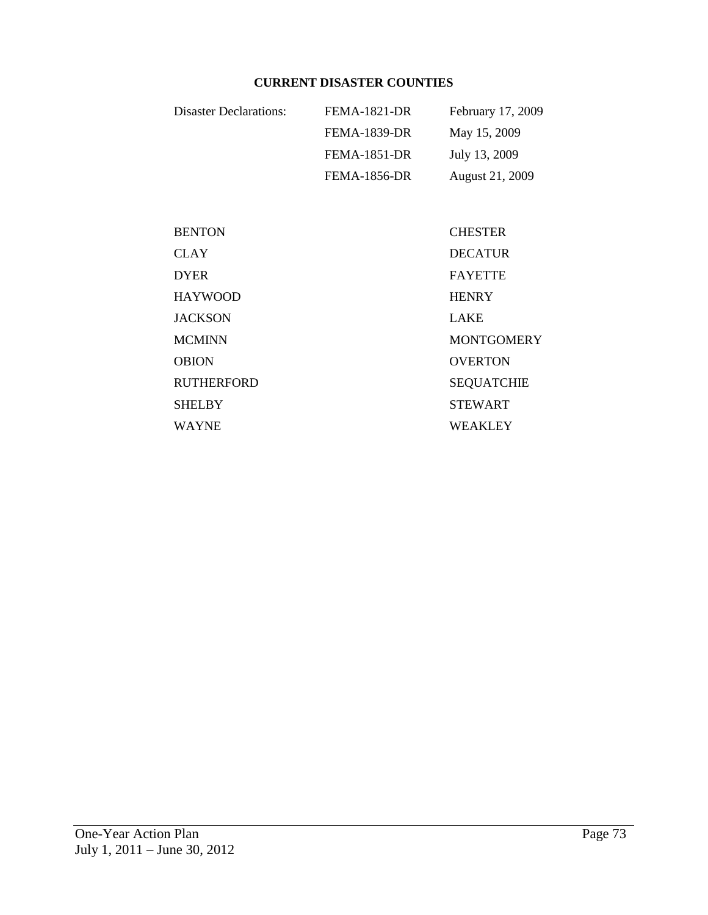# **CURRENT DISASTER COUNTIES**

| <b>Disaster Declarations:</b> | <b>FEMA-1821-DR</b> | February 17, 2009 |
|-------------------------------|---------------------|-------------------|
|                               | <b>FEMA-1839-DR</b> | May 15, 2009      |
|                               | <b>FEMA-1851-DR</b> | July 13, 2009     |
|                               | <b>FEMA-1856-DR</b> | August 21, 2009   |

| <b>CHESTER</b>    |
|-------------------|
| <b>DECATUR</b>    |
| <b>FAYETTE</b>    |
| <b>HENRY</b>      |
| <b>LAKE</b>       |
| <b>MONTGOMERY</b> |
| <b>OVERTON</b>    |
| <b>SEQUATCHIE</b> |
| <b>STEWART</b>    |
| <b>WEAKLEY</b>    |
|                   |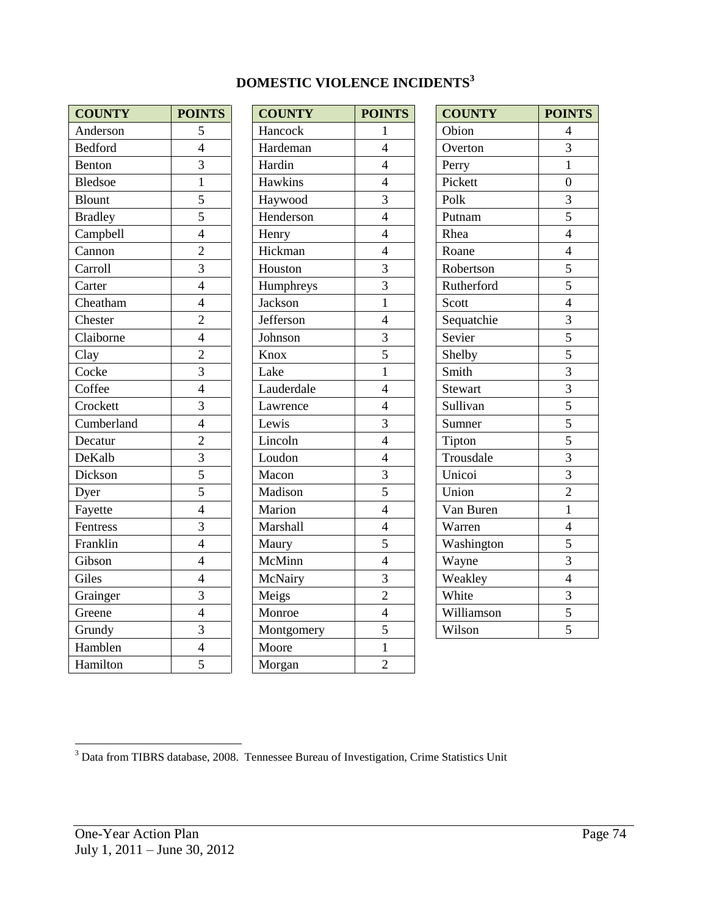| <b>COUNTY</b>  | <b>POINTS</b>  | <b>COUNTY</b> | <b>POINTS</b>  | <b>COUNTY</b>  | <b>POINTS</b>    |
|----------------|----------------|---------------|----------------|----------------|------------------|
| Anderson       | 5              | Hancock       | $\mathbf{1}$   | Obion          | $\overline{4}$   |
| <b>Bedford</b> | $\overline{4}$ | Hardeman      | $\overline{4}$ | Overton        | $\overline{3}$   |
| Benton         | $\overline{3}$ | Hardin        | $\overline{4}$ | Perry          | $\mathbf{1}$     |
| <b>Bledsoe</b> | $\mathbf{1}$   | Hawkins       | $\overline{4}$ | Pickett        | $\boldsymbol{0}$ |
| <b>Blount</b>  | $\overline{5}$ | Haywood       | $\overline{3}$ | Polk           | $\overline{3}$   |
| <b>Bradley</b> | 5              | Henderson     | $\overline{4}$ | Putnam         | 5                |
| Campbell       | $\overline{4}$ | Henry         | $\overline{4}$ | Rhea           | $\overline{4}$   |
| Cannon         | $\overline{2}$ | Hickman       | $\overline{4}$ | Roane          | $\overline{4}$   |
| Carroll        | $\overline{3}$ | Houston       | $\overline{3}$ | Robertson      | 5                |
| Carter         | $\overline{4}$ | Humphreys     | $\overline{3}$ | Rutherford     | 5                |
| Cheatham       | $\overline{4}$ | Jackson       | $\mathbf{1}$   | Scott          | $\overline{4}$   |
| Chester        | $\overline{2}$ | Jefferson     | $\overline{4}$ | Sequatchie     | 3                |
| Claiborne      | $\overline{4}$ | Johnson       | $\overline{3}$ | Sevier         | 5                |
| Clay           | $\overline{2}$ | Knox          | $\overline{5}$ | Shelby         | $\overline{5}$   |
| Cocke          | $\overline{3}$ | Lake          | $\mathbf{1}$   | Smith          | 3                |
| Coffee         | $\overline{4}$ | Lauderdale    | $\overline{4}$ | <b>Stewart</b> | $\overline{3}$   |
| Crockett       | $\overline{3}$ | Lawrence      | $\overline{4}$ | Sullivan       | $\overline{5}$   |
| Cumberland     | $\overline{4}$ | Lewis         | $\overline{3}$ | Sumner         | $\overline{5}$   |
| Decatur        | $\overline{2}$ | Lincoln       | $\overline{4}$ | Tipton         | 5                |
| DeKalb         | $\overline{3}$ | Loudon        | $\overline{4}$ | Trousdale      | $\overline{3}$   |
| Dickson        | $\overline{5}$ | Macon         | $\overline{3}$ | Unicoi         | $\overline{3}$   |
| Dyer           | $\overline{5}$ | Madison       | $\overline{5}$ | Union          | $\overline{2}$   |
| Fayette        | $\overline{4}$ | Marion        | $\overline{4}$ | Van Buren      | $\mathbf{1}$     |
| Fentress       | $\overline{3}$ | Marshall      | $\overline{4}$ | Warren         | $\overline{4}$   |
| Franklin       | $\overline{4}$ | Maury         | 5              | Washington     | 5                |
| Gibson         | $\overline{4}$ | McMinn        | $\overline{4}$ | Wayne          | $\overline{3}$   |
| Giles          | $\overline{4}$ | McNairy       | $\overline{3}$ | Weakley        | $\overline{4}$   |
| Grainger       | $\overline{3}$ | Meigs         | $\overline{2}$ | White          | 3                |
| Greene         | $\overline{4}$ | Monroe        | $\overline{4}$ | Williamson     | 5                |
| Grundy         | $\overline{3}$ | Montgomery    | 5              | Wilson         | 5                |
| Hamblen        | $\overline{4}$ | Moore         | $\mathbf{1}$   |                |                  |
| Hamilton       | $\overline{5}$ | Morgan        | $\overline{2}$ |                |                  |

| <b>COUNTY</b> | <b>POINTS</b>            |
|---------------|--------------------------|
| Hancock       | $\mathbf{1}$             |
| Hardeman      | $\overline{4}$           |
| Hardin        | $\overline{4}$           |
| Hawkins       | $\overline{4}$           |
| Haywood       | $\overline{3}$           |
| Henderson     | $\overline{4}$           |
| Henry         | $\overline{4}$           |
| Hickman       | $\overline{\mathcal{L}}$ |
| Houston       | $\overline{3}$           |
| Humphreys     | $\overline{3}$           |
| Jackson       | $\mathbf{1}$             |
| Jefferson     | $\overline{\mathcal{L}}$ |
| Johnson       | $\overline{\mathbf{3}}$  |
| Knox          | $\overline{5}$           |
| Lake          | $\mathbf{1}$             |
| Lauderdale    | $\overline{4}$           |
| Lawrence      | $\overline{4}$           |
| Lewis         | 3                        |
| Lincoln       | $\overline{4}$           |
| Loudon        | $\overline{4}$           |
| Macon         | $\overline{3}$           |
| Madison       | $\overline{5}$           |
| Marion        | $\overline{4}$           |
| Marshall      | $\overline{4}$           |
| Maury         | $\overline{5}$           |
| McMinn        | $\overline{4}$           |
| McNairy       | 3                        |
| Meigs         | $\overline{2}$           |
| Monroe        | $\overline{4}$           |
| Montgomery    | $\overline{5}$           |
| Moore         | $\mathbf{1}$             |
| Morgan        | $\overline{2}$           |

| <b>COUNTY</b> | <b>POINTS</b>                                                                                                   |
|---------------|-----------------------------------------------------------------------------------------------------------------|
| Obion         | $\overline{4}$                                                                                                  |
| Overton       | $\overline{3}$                                                                                                  |
| Perry         | $\overline{1}$                                                                                                  |
| Pickett       | $\overline{0}$                                                                                                  |
| Polk          | $\frac{3}{5}$                                                                                                   |
| Putnam        |                                                                                                                 |
| Rhea          | $\overline{4}$                                                                                                  |
| Roane         | $\overline{4}$                                                                                                  |
| Robertson     | $\overline{5}$                                                                                                  |
| Rutherford    |                                                                                                                 |
| Scott         |                                                                                                                 |
| Sequatchie    | $\frac{1}{5}$ $\frac{4}{3}$ $\frac{3}{5}$ $\frac{5}{3}$ $\frac{3}{5}$ $\frac{5}{5}$ $\frac{5}{3}$ $\frac{5}{3}$ |
| Sevier        |                                                                                                                 |
| Shelby        |                                                                                                                 |
| Smith         |                                                                                                                 |
| Stewart       |                                                                                                                 |
| Sullivan      |                                                                                                                 |
| Sumner        |                                                                                                                 |
| Tipton        |                                                                                                                 |
| Trousdale     |                                                                                                                 |
| Unicoi        | $\frac{3}{2}$                                                                                                   |
| Union         |                                                                                                                 |
| Van Buren     | $\overline{1}$                                                                                                  |
| Warren        | $\overline{4}$                                                                                                  |
| Washington    | 5                                                                                                               |
| Wayne         | $\overline{\mathbf{3}}$                                                                                         |
| Weakley       | $\overline{4}$                                                                                                  |
| White         |                                                                                                                 |
| Williamson    | $\frac{3}{5}$                                                                                                   |
| Wilson        |                                                                                                                 |

 $3$  Data from TIBRS database, 2008. Tennessee Bureau of Investigation, Crime Statistics Unit

l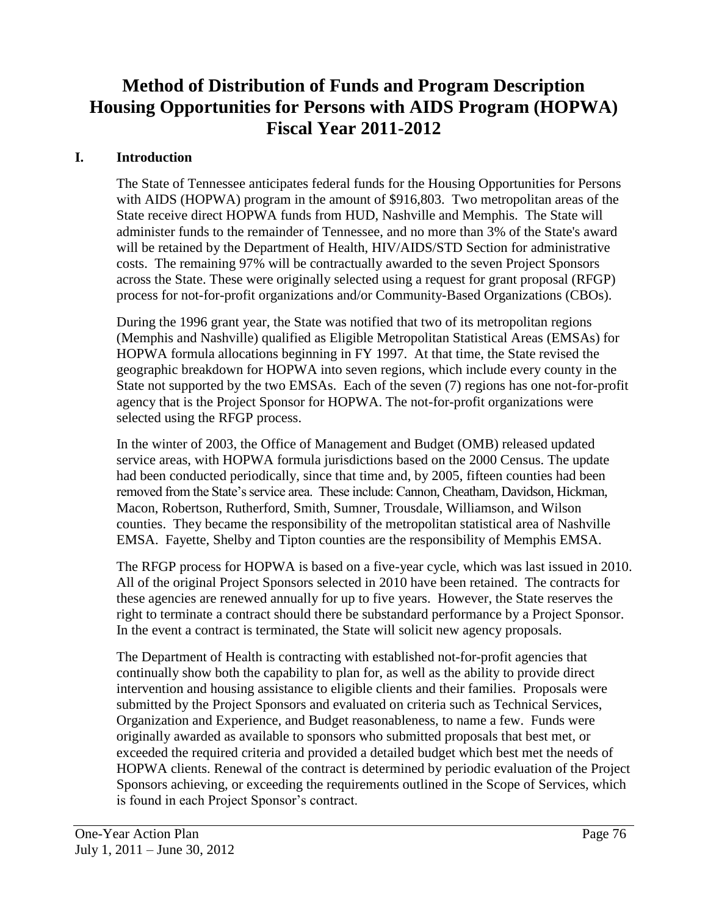# **Method of Distribution of Funds and Program Description Housing Opportunities for Persons with AIDS Program (HOPWA) Fiscal Year 2011-2012**

#### **I. Introduction**

The State of Tennessee anticipates federal funds for the Housing Opportunities for Persons with AIDS (HOPWA) program in the amount of \$916,803. Two metropolitan areas of the State receive direct HOPWA funds from HUD, Nashville and Memphis. The State will administer funds to the remainder of Tennessee, and no more than 3% of the State's award will be retained by the Department of Health, HIV/AIDS/STD Section for administrative costs. The remaining 97% will be contractually awarded to the seven Project Sponsors across the State. These were originally selected using a request for grant proposal (RFGP) process for not-for-profit organizations and/or Community-Based Organizations (CBOs).

During the 1996 grant year, the State was notified that two of its metropolitan regions (Memphis and Nashville) qualified as Eligible Metropolitan Statistical Areas (EMSAs) for HOPWA formula allocations beginning in FY 1997. At that time, the State revised the geographic breakdown for HOPWA into seven regions, which include every county in the State not supported by the two EMSAs. Each of the seven (7) regions has one not-for-profit agency that is the Project Sponsor for HOPWA. The not-for-profit organizations were selected using the RFGP process.

In the winter of 2003, the Office of Management and Budget (OMB) released updated service areas, with HOPWA formula jurisdictions based on the 2000 Census. The update had been conducted periodically, since that time and, by 2005, fifteen counties had been removed from the State's service area. These include: Cannon, Cheatham, Davidson, Hickman, Macon, Robertson, Rutherford, Smith, Sumner, Trousdale, Williamson, and Wilson counties. They became the responsibility of the metropolitan statistical area of Nashville EMSA. Fayette, Shelby and Tipton counties are the responsibility of Memphis EMSA.

The RFGP process for HOPWA is based on a five-year cycle, which was last issued in 2010. All of the original Project Sponsors selected in 2010 have been retained. The contracts for these agencies are renewed annually for up to five years. However, the State reserves the right to terminate a contract should there be substandard performance by a Project Sponsor. In the event a contract is terminated, the State will solicit new agency proposals.

The Department of Health is contracting with established not-for-profit agencies that continually show both the capability to plan for, as well as the ability to provide direct intervention and housing assistance to eligible clients and their families. Proposals were submitted by the Project Sponsors and evaluated on criteria such as Technical Services, Organization and Experience, and Budget reasonableness, to name a few. Funds were originally awarded as available to sponsors who submitted proposals that best met, or exceeded the required criteria and provided a detailed budget which best met the needs of HOPWA clients. Renewal of the contract is determined by periodic evaluation of the Project Sponsors achieving, or exceeding the requirements outlined in the Scope of Services, which is found in each Project Sponsor's contract.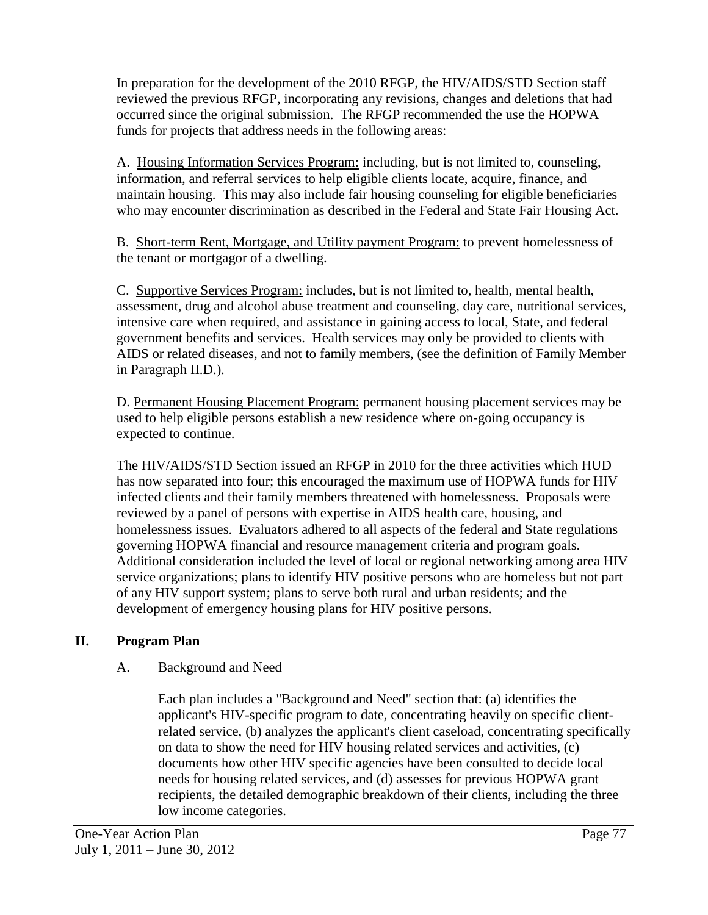In preparation for the development of the 2010 RFGP, the HIV/AIDS/STD Section staff reviewed the previous RFGP, incorporating any revisions, changes and deletions that had occurred since the original submission. The RFGP recommended the use the HOPWA funds for projects that address needs in the following areas:

A. Housing Information Services Program: including, but is not limited to, counseling, information, and referral services to help eligible clients locate, acquire, finance, and maintain housing. This may also include fair housing counseling for eligible beneficiaries who may encounter discrimination as described in the Federal and State Fair Housing Act.

B. Short-term Rent, Mortgage, and Utility payment Program: to prevent homelessness of the tenant or mortgagor of a dwelling.

C. Supportive Services Program: includes, but is not limited to, health, mental health, assessment, drug and alcohol abuse treatment and counseling, day care, nutritional services, intensive care when required, and assistance in gaining access to local, State, and federal government benefits and services. Health services may only be provided to clients with AIDS or related diseases, and not to family members, (see the definition of Family Member in Paragraph II.D.).

D. Permanent Housing Placement Program: permanent housing placement services may be used to help eligible persons establish a new residence where on-going occupancy is expected to continue.

The HIV/AIDS/STD Section issued an RFGP in 2010 for the three activities which HUD has now separated into four; this encouraged the maximum use of HOPWA funds for HIV infected clients and their family members threatened with homelessness. Proposals were reviewed by a panel of persons with expertise in AIDS health care, housing, and homelessness issues. Evaluators adhered to all aspects of the federal and State regulations governing HOPWA financial and resource management criteria and program goals. Additional consideration included the level of local or regional networking among area HIV service organizations; plans to identify HIV positive persons who are homeless but not part of any HIV support system; plans to serve both rural and urban residents; and the development of emergency housing plans for HIV positive persons.

# **II. Program Plan**

# A. Background and Need

Each plan includes a "Background and Need" section that: (a) identifies the applicant's HIV-specific program to date, concentrating heavily on specific clientrelated service, (b) analyzes the applicant's client caseload, concentrating specifically on data to show the need for HIV housing related services and activities, (c) documents how other HIV specific agencies have been consulted to decide local needs for housing related services, and (d) assesses for previous HOPWA grant recipients, the detailed demographic breakdown of their clients, including the three low income categories.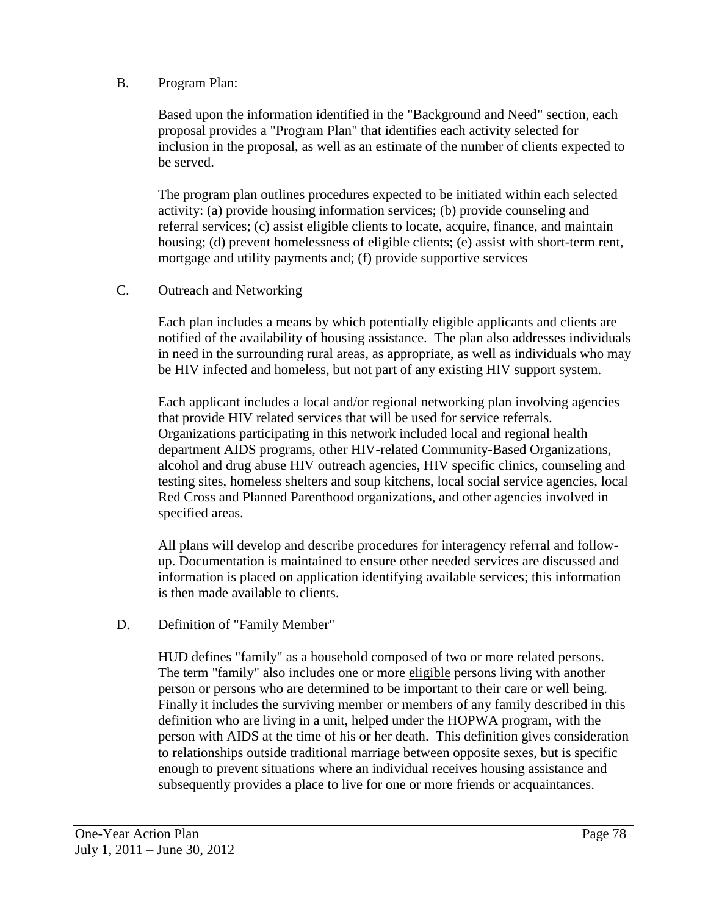#### B. Program Plan:

Based upon the information identified in the "Background and Need" section, each proposal provides a "Program Plan" that identifies each activity selected for inclusion in the proposal, as well as an estimate of the number of clients expected to be served.

The program plan outlines procedures expected to be initiated within each selected activity: (a) provide housing information services; (b) provide counseling and referral services; (c) assist eligible clients to locate, acquire, finance, and maintain housing; (d) prevent homelessness of eligible clients; (e) assist with short-term rent, mortgage and utility payments and; (f) provide supportive services

#### C. Outreach and Networking

Each plan includes a means by which potentially eligible applicants and clients are notified of the availability of housing assistance. The plan also addresses individuals in need in the surrounding rural areas, as appropriate, as well as individuals who may be HIV infected and homeless, but not part of any existing HIV support system.

Each applicant includes a local and/or regional networking plan involving agencies that provide HIV related services that will be used for service referrals. Organizations participating in this network included local and regional health department AIDS programs, other HIV-related Community-Based Organizations, alcohol and drug abuse HIV outreach agencies, HIV specific clinics, counseling and testing sites, homeless shelters and soup kitchens, local social service agencies, local Red Cross and Planned Parenthood organizations, and other agencies involved in specified areas.

All plans will develop and describe procedures for interagency referral and followup. Documentation is maintained to ensure other needed services are discussed and information is placed on application identifying available services; this information is then made available to clients.

#### D. Definition of "Family Member"

HUD defines "family" as a household composed of two or more related persons. The term "family" also includes one or more eligible persons living with another person or persons who are determined to be important to their care or well being. Finally it includes the surviving member or members of any family described in this definition who are living in a unit, helped under the HOPWA program, with the person with AIDS at the time of his or her death. This definition gives consideration to relationships outside traditional marriage between opposite sexes, but is specific enough to prevent situations where an individual receives housing assistance and subsequently provides a place to live for one or more friends or acquaintances.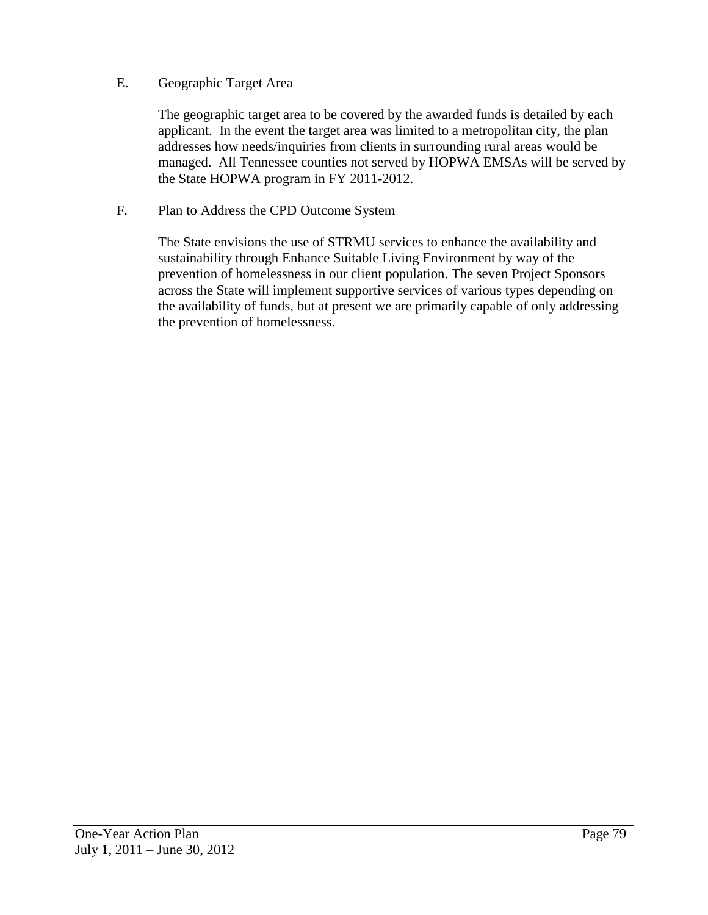#### E. Geographic Target Area

The geographic target area to be covered by the awarded funds is detailed by each applicant. In the event the target area was limited to a metropolitan city, the plan addresses how needs/inquiries from clients in surrounding rural areas would be managed. All Tennessee counties not served by HOPWA EMSAs will be served by the State HOPWA program in FY 2011-2012.

#### F. Plan to Address the CPD Outcome System

The State envisions the use of STRMU services to enhance the availability and sustainability through Enhance Suitable Living Environment by way of the prevention of homelessness in our client population. The seven Project Sponsors across the State will implement supportive services of various types depending on the availability of funds, but at present we are primarily capable of only addressing the prevention of homelessness.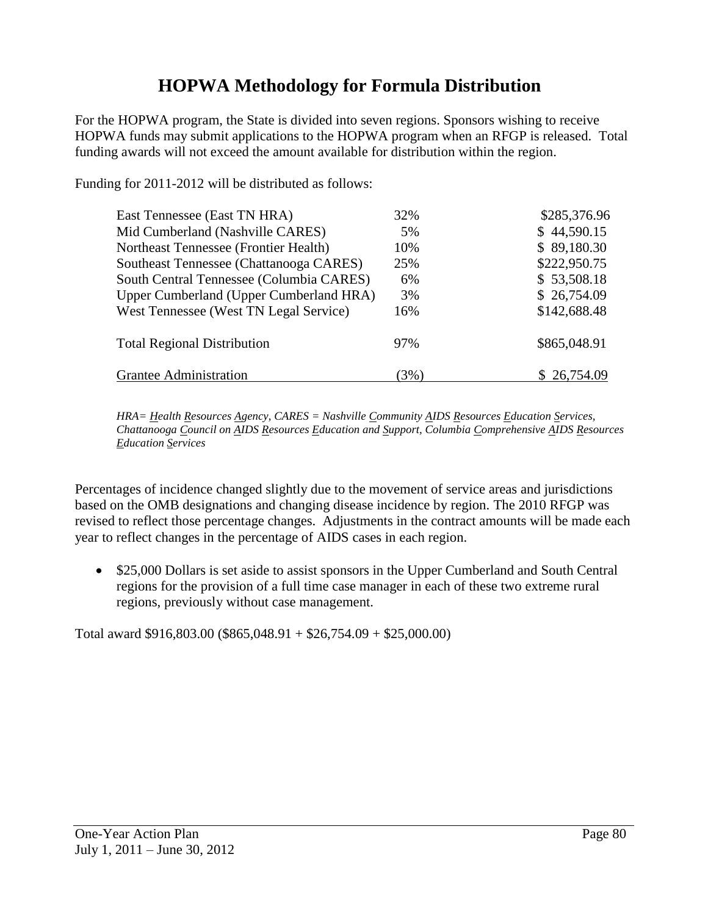# **HOPWA Methodology for Formula Distribution**

For the HOPWA program, the State is divided into seven regions. Sponsors wishing to receive HOPWA funds may submit applications to the HOPWA program when an RFGP is released. Total funding awards will not exceed the amount available for distribution within the region.

Funding for 2011-2012 will be distributed as follows:

| East Tennessee (East TN HRA)             | 32%    | \$285,376.96 |
|------------------------------------------|--------|--------------|
| Mid Cumberland (Nashville CARES)         | 5%     | \$44,590.15  |
| Northeast Tennessee (Frontier Health)    | 10%    | \$89,180.30  |
| Southeast Tennessee (Chattanooga CARES)  | 25%    | \$222,950.75 |
| South Central Tennessee (Columbia CARES) | 6%     | \$53,508.18  |
| Upper Cumberland (Upper Cumberland HRA)  | 3%     | \$26,754.09  |
| West Tennessee (West TN Legal Service)   | 16%    | \$142,688.48 |
| <b>Total Regional Distribution</b>       | 97%    | \$865,048.91 |
| Grantee Administration                   | $(3\%$ | \$26,754.09  |

*HRA= Health Resources Agency, CARES = Nashville Community AIDS Resources Education Services, Chattanooga Council on AIDS Resources Education and Support, Columbia Comprehensive AIDS Resources Education Services*

Percentages of incidence changed slightly due to the movement of service areas and jurisdictions based on the OMB designations and changing disease incidence by region. The 2010 RFGP was revised to reflect those percentage changes. Adjustments in the contract amounts will be made each year to reflect changes in the percentage of AIDS cases in each region.

• \$25,000 Dollars is set aside to assist sponsors in the Upper Cumberland and South Central regions for the provision of a full time case manager in each of these two extreme rural regions, previously without case management.

Total award \$916,803.00 (\$865,048.91 + \$26,754.09 + \$25,000.00)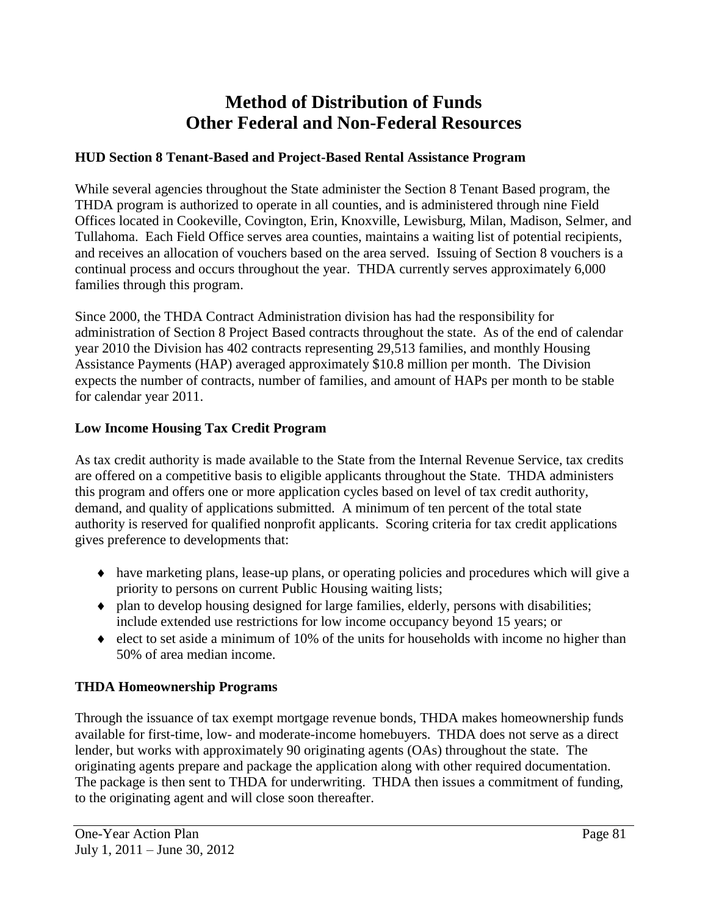# **Method of Distribution of Funds Other Federal and Non-Federal Resources**

### **HUD Section 8 Tenant-Based and Project-Based Rental Assistance Program**

While several agencies throughout the State administer the Section 8 Tenant Based program, the THDA program is authorized to operate in all counties, and is administered through nine Field Offices located in Cookeville, Covington, Erin, Knoxville, Lewisburg, Milan, Madison, Selmer, and Tullahoma. Each Field Office serves area counties, maintains a waiting list of potential recipients, and receives an allocation of vouchers based on the area served. Issuing of Section 8 vouchers is a continual process and occurs throughout the year. THDA currently serves approximately 6,000 families through this program.

Since 2000, the THDA Contract Administration division has had the responsibility for administration of Section 8 Project Based contracts throughout the state. As of the end of calendar year 2010 the Division has 402 contracts representing 29,513 families, and monthly Housing Assistance Payments (HAP) averaged approximately \$10.8 million per month. The Division expects the number of contracts, number of families, and amount of HAPs per month to be stable for calendar year 2011.

#### **Low Income Housing Tax Credit Program**

As tax credit authority is made available to the State from the Internal Revenue Service, tax credits are offered on a competitive basis to eligible applicants throughout the State. THDA administers this program and offers one or more application cycles based on level of tax credit authority, demand, and quality of applications submitted. A minimum of ten percent of the total state authority is reserved for qualified nonprofit applicants. Scoring criteria for tax credit applications gives preference to developments that:

- have marketing plans, lease-up plans, or operating policies and procedures which will give a priority to persons on current Public Housing waiting lists;
- $\bullet$  plan to develop housing designed for large families, elderly, persons with disabilities; include extended use restrictions for low income occupancy beyond 15 years; or
- $\bullet$  elect to set aside a minimum of 10% of the units for households with income no higher than 50% of area median income.

# **THDA Homeownership Programs**

Through the issuance of tax exempt mortgage revenue bonds, THDA makes homeownership funds available for first-time, low- and moderate-income homebuyers. THDA does not serve as a direct lender, but works with approximately 90 originating agents (OAs) throughout the state. The originating agents prepare and package the application along with other required documentation. The package is then sent to THDA for underwriting. THDA then issues a commitment of funding, to the originating agent and will close soon thereafter.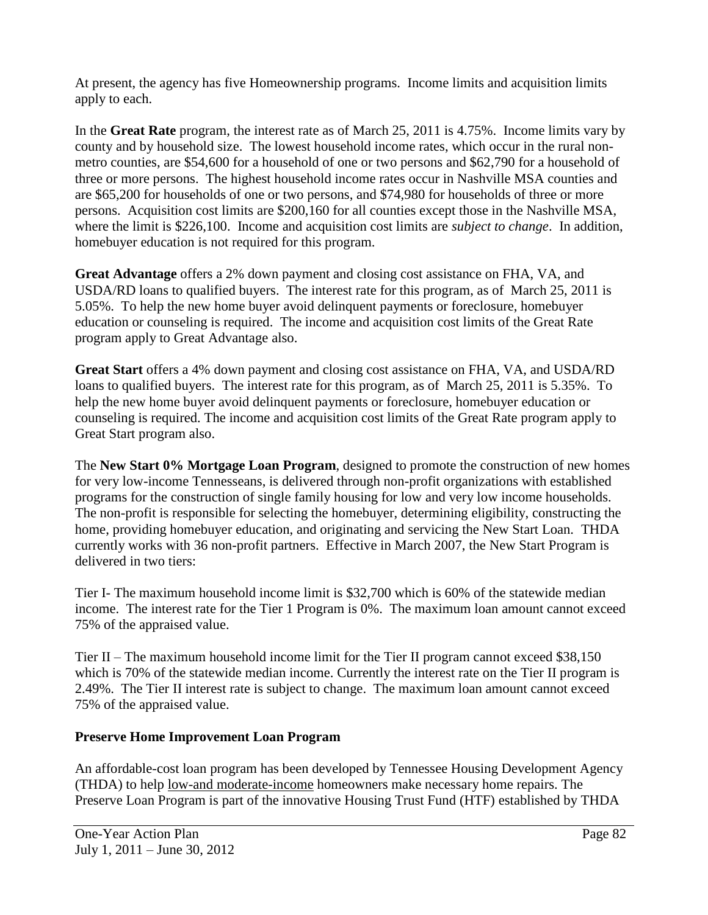At present, the agency has five Homeownership programs. Income limits and acquisition limits apply to each.

In the **Great Rate** program, the interest rate as of March 25, 2011 is 4.75%. Income limits vary by county and by household size. The lowest household income rates, which occur in the rural nonmetro counties, are \$54,600 for a household of one or two persons and \$62,790 for a household of three or more persons. The highest household income rates occur in Nashville MSA counties and are \$65,200 for households of one or two persons, and \$74,980 for households of three or more persons. Acquisition cost limits are \$200,160 for all counties except those in the Nashville MSA, where the limit is \$226,100. Income and acquisition cost limits are *subject to change*. In addition, homebuyer education is not required for this program.

**Great Advantage** offers a 2% down payment and closing cost assistance on FHA, VA, and USDA/RD loans to qualified buyers. The interest rate for this program, as of March 25, 2011 is 5.05%. To help the new home buyer avoid delinquent payments or foreclosure, homebuyer education or counseling is required. The income and acquisition cost limits of the Great Rate program apply to Great Advantage also.

**Great Start** offers a 4% down payment and closing cost assistance on FHA, VA, and USDA/RD loans to qualified buyers. The interest rate for this program, as of March 25, 2011 is 5.35%. To help the new home buyer avoid delinquent payments or foreclosure, homebuyer education or counseling is required. The income and acquisition cost limits of the Great Rate program apply to Great Start program also.

The **New Start 0% Mortgage Loan Program**, designed to promote the construction of new homes for very low-income Tennesseans, is delivered through non-profit organizations with established programs for the construction of single family housing for low and very low income households. The non-profit is responsible for selecting the homebuyer, determining eligibility, constructing the home, providing homebuyer education, and originating and servicing the New Start Loan. THDA currently works with 36 non-profit partners. Effective in March 2007, the New Start Program is delivered in two tiers:

Tier I- The maximum household income limit is \$32,700 which is 60% of the statewide median income. The interest rate for the Tier 1 Program is 0%. The maximum loan amount cannot exceed 75% of the appraised value.

Tier II – The maximum household income limit for the Tier II program cannot exceed \$38,150 which is 70% of the statewide median income. Currently the interest rate on the Tier II program is 2.49%. The Tier II interest rate is subject to change. The maximum loan amount cannot exceed 75% of the appraised value.

# **Preserve Home Improvement Loan Program**

An affordable-cost loan program has been developed by Tennessee Housing Development Agency (THDA) to help [low-and moderate-income](http://www.thda.org/singlefamily/acqinc.pdf) homeowners make necessary home repairs. The Preserve Loan Program is part of the innovative Housing Trust Fund (HTF) established by THDA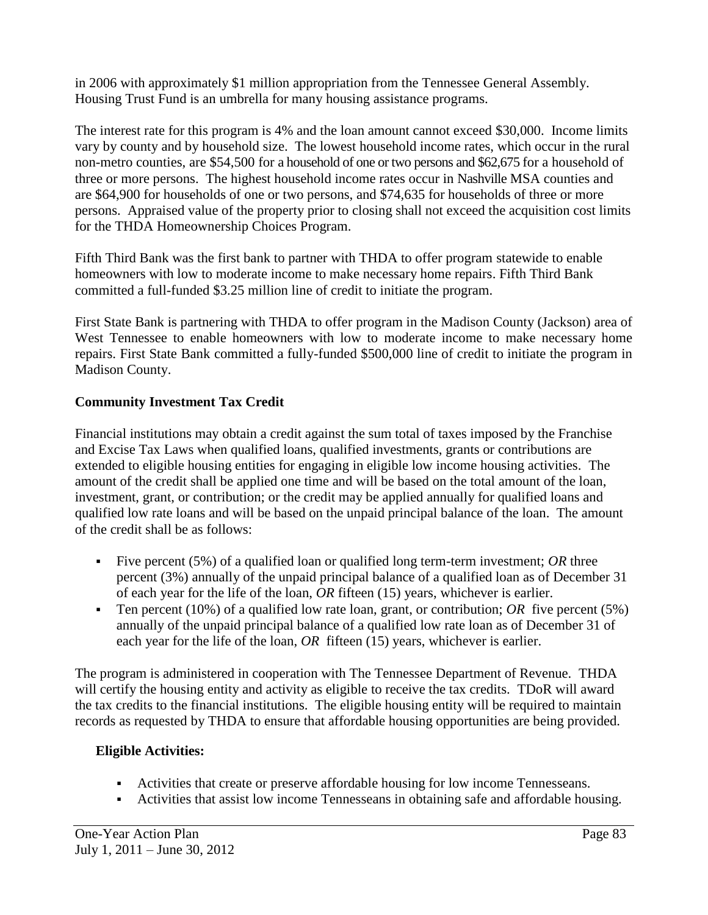in 2006 with approximately \$1 million appropriation from the Tennessee General Assembly. Housing Trust Fund is an umbrella for many housing assistance programs.

The interest rate for this program is 4% and the loan amount cannot exceed \$30,000. Income limits vary by county and by household size. The lowest household income rates, which occur in the rural non-metro counties, are \$54,500 for a household of one or two persons and \$62,675 for a household of three or more persons. The highest household income rates occur in Nashville MSA counties and are \$64,900 for households of one or two persons, and \$74,635 for households of three or more persons. Appraised value of the property prior to closing shall not exceed the acquisition cost limits for the THDA Homeownership Choices Program.

Fifth Third Bank was the first bank to partner with THDA to offer program statewide to enable homeowners with [low to moderate income](http://www.thda.org/singlefamily/acqinc.pdf) to make necessary home repairs. Fifth Third Bank committed a full-funded \$3.25 million line of credit to initiate the program.

First State Bank is partnering with THDA to offer program in the Madison County (Jackson) area of West Tennessee to enable homeowners with [low to moderate income](http://www.thda.org/singlefamily/acqinc.pdf) to make necessary home repairs. First State Bank committed a fully-funded \$500,000 line of credit to initiate the program in Madison County.

#### **Community Investment Tax Credit**

Financial institutions may obtain a credit against the sum total of taxes imposed by the Franchise and Excise Tax Laws when qualified loans, qualified investments, grants or contributions are extended to eligible housing entities for engaging in eligible low income housing activities. The amount of the credit shall be applied one time and will be based on the total amount of the loan, investment, grant, or contribution; or the credit may be applied annually for qualified loans and qualified low rate loans and will be based on the unpaid principal balance of the loan. The amount of the credit shall be as follows:

- Five percent (5%) of a qualified loan or qualified long term-term investment; *OR* three percent (3%) annually of the unpaid principal balance of a qualified loan as of December 31 of each year for the life of the loan, *OR* fifteen (15) years, whichever is earlier.
- Ten percent (10%) of a qualified low rate loan, grant, or contribution; OR five percent (5%) annually of the unpaid principal balance of a qualified low rate loan as of December 31 of each year for the life of the loan, *OR* fifteen (15) years, whichever is earlier.

The program is administered in cooperation with The Tennessee Department of Revenue. THDA will certify the housing entity and activity as eligible to receive the tax credits. TDoR will award the tax credits to the financial institutions. The eligible housing entity will be required to maintain records as requested by THDA to ensure that affordable housing opportunities are being provided.

#### **Eligible Activities:**

- Activities that create or preserve affordable housing for low income Tennesseans.
- Activities that assist low income Tennesseans in obtaining safe and affordable housing.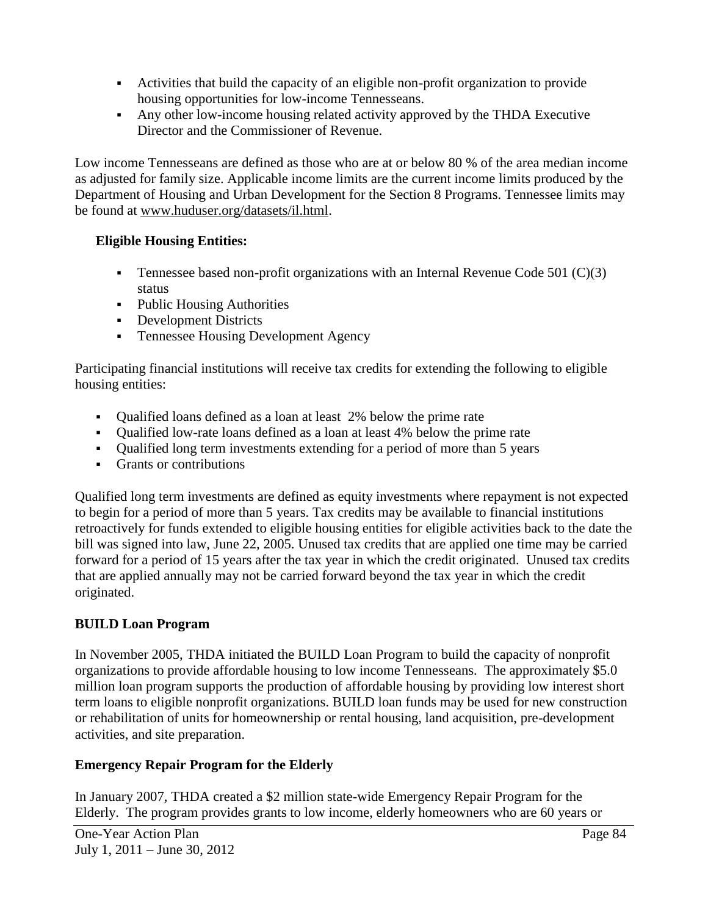- Activities that build the capacity of an eligible non-profit organization to provide housing opportunities for low-income Tennesseans.
- Any other low-income housing related activity approved by the THDA Executive Director and the Commissioner of Revenue.

Low income Tennesseans are defined as those who are at or below 80 % of the area median income as adjusted for family size. Applicable income limits are the current income limits produced by the Department of Housing and Urban Development for the Section 8 Programs. Tennessee limits may be found at [www.huduser.org/datasets/il.html.](http://www.huduser.org/datasets/il.html)

# **Eligible Housing Entities:**

- **Tennessee based non-profit organizations with an Internal Revenue Code 501 (C)(3)** status
- Public Housing Authorities
- Development Districts
- Tennessee Housing Development Agency

Participating financial institutions will receive tax credits for extending the following to eligible housing entities:

- Qualified loans defined as a loan at least 2% below the prime rate
- Qualified low-rate loans defined as a loan at least 4% below the prime rate
- Qualified long term investments extending for a period of more than 5 years
- Grants or contributions

Qualified long term investments are defined as equity investments where repayment is not expected to begin for a period of more than 5 years. Tax credits may be available to financial institutions retroactively for funds extended to eligible housing entities for eligible activities back to the date the bill was signed into law, June 22, 2005. Unused tax credits that are applied one time may be carried forward for a period of 15 years after the tax year in which the credit originated. Unused tax credits that are applied annually may not be carried forward beyond the tax year in which the credit originated.

# **BUILD Loan Program**

In November 2005, THDA initiated the BUILD Loan Program to build the capacity of nonprofit organizations to provide affordable housing to low income Tennesseans. The approximately \$5.0 million loan program supports the production of affordable housing by providing low interest short term loans to eligible nonprofit organizations. BUILD loan funds may be used for new construction or rehabilitation of units for homeownership or rental housing, land acquisition, pre-development activities, and site preparation.

# **Emergency Repair Program for the Elderly**

In January 2007, THDA created a \$2 million state-wide Emergency Repair Program for the Elderly. The program provides grants to low income, elderly homeowners who are 60 years or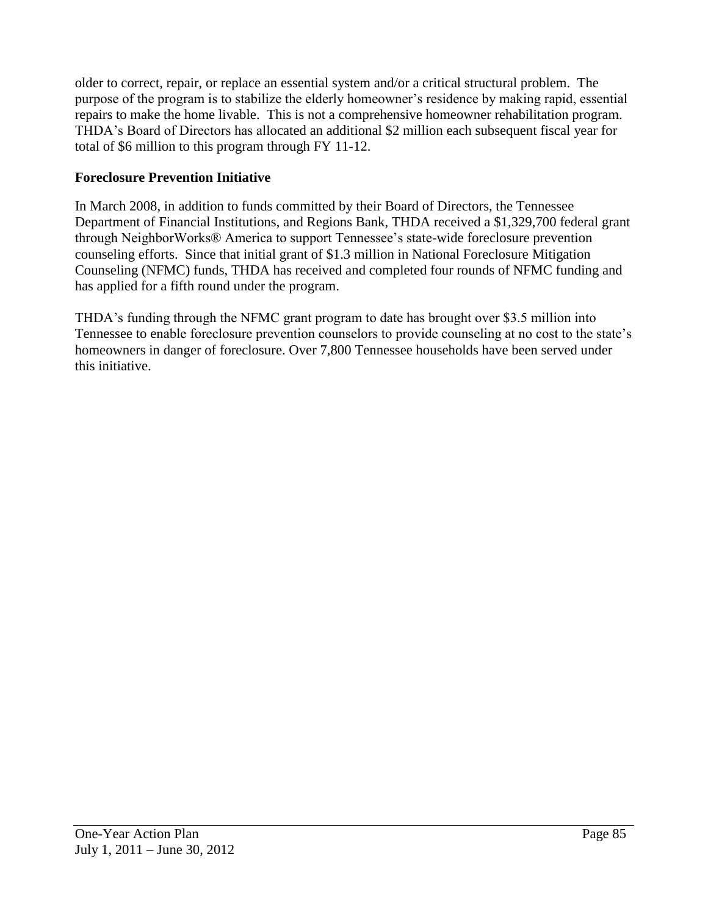older to correct, repair, or replace an essential system and/or a critical structural problem. The purpose of the program is to stabilize the elderly homeowner's residence by making rapid, essential repairs to make the home livable. This is not a comprehensive homeowner rehabilitation program. THDA's Board of Directors has allocated an additional \$2 million each subsequent fiscal year for total of \$6 million to this program through FY 11-12.

# **Foreclosure Prevention Initiative**

In March 2008, in addition to funds committed by their Board of Directors, the Tennessee Department of Financial Institutions, and Regions Bank, THDA received a \$1,329,700 federal grant through NeighborWorks® America to support Tennessee's state-wide foreclosure prevention counseling efforts. Since that initial grant of \$1.3 million in National Foreclosure Mitigation Counseling (NFMC) funds, THDA has received and completed four rounds of NFMC funding and has applied for a fifth round under the program.

THDA's funding through the NFMC grant program to date has brought over \$3.5 million into Tennessee to enable foreclosure prevention counselors to provide counseling at no cost to the state's homeowners in danger of foreclosure. Over 7,800 Tennessee households have been served under this initiative.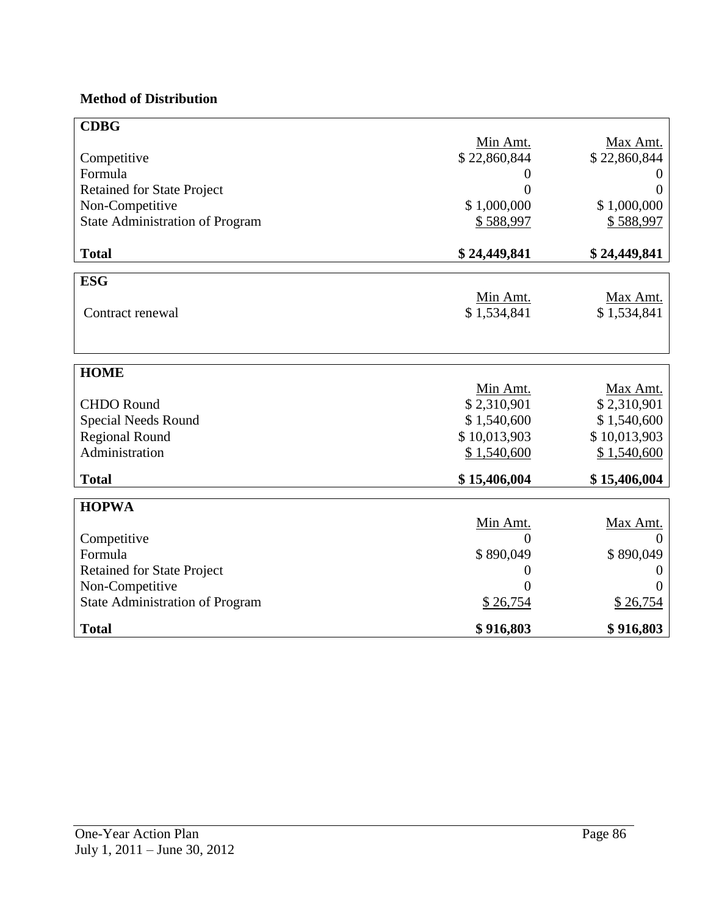# **Method of Distribution**

| <b>CDBG</b>                            |                |              |
|----------------------------------------|----------------|--------------|
|                                        | Min Amt.       | Max Amt.     |
| Competitive                            | \$22,860,844   | \$22,860,844 |
| Formula                                | $\overline{0}$ |              |
| <b>Retained for State Project</b>      | 0              | 0            |
| Non-Competitive                        | \$1,000,000    | \$1,000,000  |
| <b>State Administration of Program</b> | \$588,997      | \$588,997    |
|                                        |                |              |
| <b>Total</b>                           | \$24,449,841   | \$24,449,841 |
|                                        |                |              |
| <b>ESG</b>                             |                |              |
|                                        | Min Amt.       | Max Amt.     |
| Contract renewal                       | \$1,534,841    | \$1,534,841  |
|                                        |                |              |
|                                        |                |              |
| <b>HOME</b>                            |                |              |
|                                        | Min Amt.       | Max Amt.     |
| <b>CHDO</b> Round                      | \$2,310,901    | \$2,310,901  |
| Special Needs Round                    | \$1,540,600    | \$1,540,600  |
| <b>Regional Round</b>                  | \$10,013,903   | \$10,013,903 |
| Administration                         | \$1,540,600    | \$1,540,600  |
|                                        |                |              |
| <b>Total</b>                           | \$15,406,004   | \$15,406,004 |
|                                        |                |              |
| <b>HOPWA</b>                           |                |              |
|                                        | Min Amt.       | Max Amt.     |
| Competitive<br>Formula                 | 0              |              |
|                                        | \$890,049      | \$890,049    |
| <b>Retained for State Project</b>      | $\theta$       | O            |
| Non-Competitive                        | $\Omega$       |              |
| <b>State Administration of Program</b> | \$26,754       | \$26,754     |
| <b>Total</b>                           | \$916,803      | \$916,803    |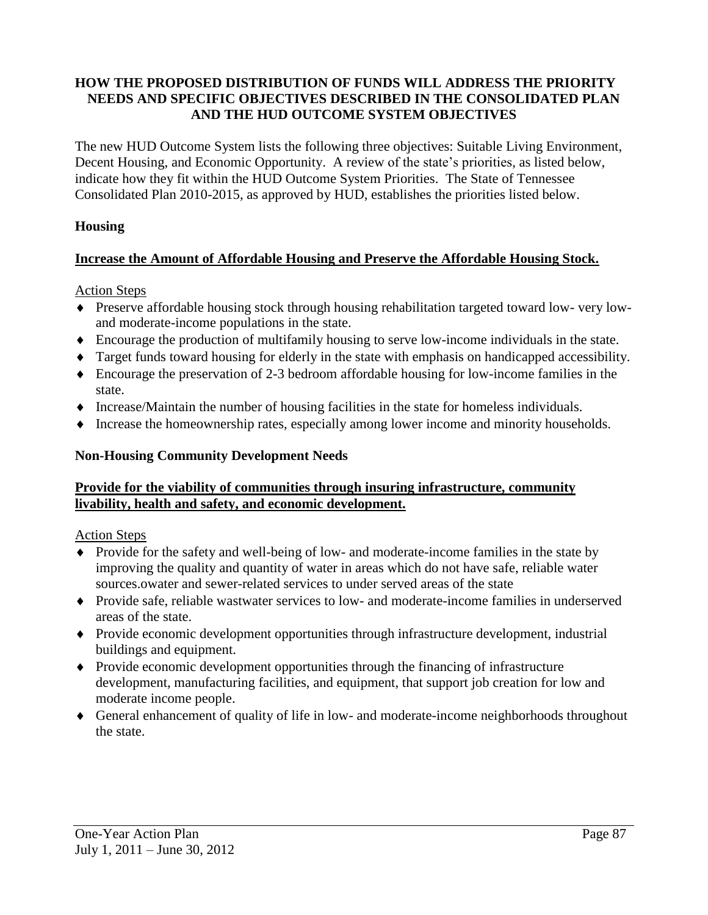#### **HOW THE PROPOSED DISTRIBUTION OF FUNDS WILL ADDRESS THE PRIORITY NEEDS AND SPECIFIC OBJECTIVES DESCRIBED IN THE CONSOLIDATED PLAN AND THE HUD OUTCOME SYSTEM OBJECTIVES**

The new HUD Outcome System lists the following three objectives: Suitable Living Environment, Decent Housing, and Economic Opportunity. A review of the state's priorities, as listed below, indicate how they fit within the HUD Outcome System Priorities. The State of Tennessee Consolidated Plan 2010-2015, as approved by HUD, establishes the priorities listed below.

#### **Housing**

#### **Increase the Amount of Affordable Housing and Preserve the Affordable Housing Stock.**

Action Steps

- Preserve affordable housing stock through housing rehabilitation targeted toward low- very lowand moderate-income populations in the state.
- Encourage the production of multifamily housing to serve low-income individuals in the state.
- Target funds toward housing for elderly in the state with emphasis on handicapped accessibility.
- Encourage the preservation of 2-3 bedroom affordable housing for low-income families in the state.
- $\blacklozenge$  Increase/Maintain the number of housing facilities in the state for homeless individuals.
- Increase the homeownership rates, especially among lower income and minority households.

#### **Non-Housing Community Development Needs**

#### **Provide for the viability of communities through insuring infrastructure, community livability, health and safety, and economic development.**

Action Steps

- Provide for the safety and well-being of low- and moderate-income families in the state by improving the quality and quantity of water in areas which do not have safe, reliable water sources.owater and sewer-related services to under served areas of the state
- Provide safe, reliable wastwater services to low- and moderate-income families in underserved areas of the state.
- Provide economic development opportunities through infrastructure development, industrial buildings and equipment.
- Provide economic development opportunities through the financing of infrastructure development, manufacturing facilities, and equipment, that support job creation for low and moderate income people.
- General enhancement of quality of life in low- and moderate-income neighborhoods throughout the state.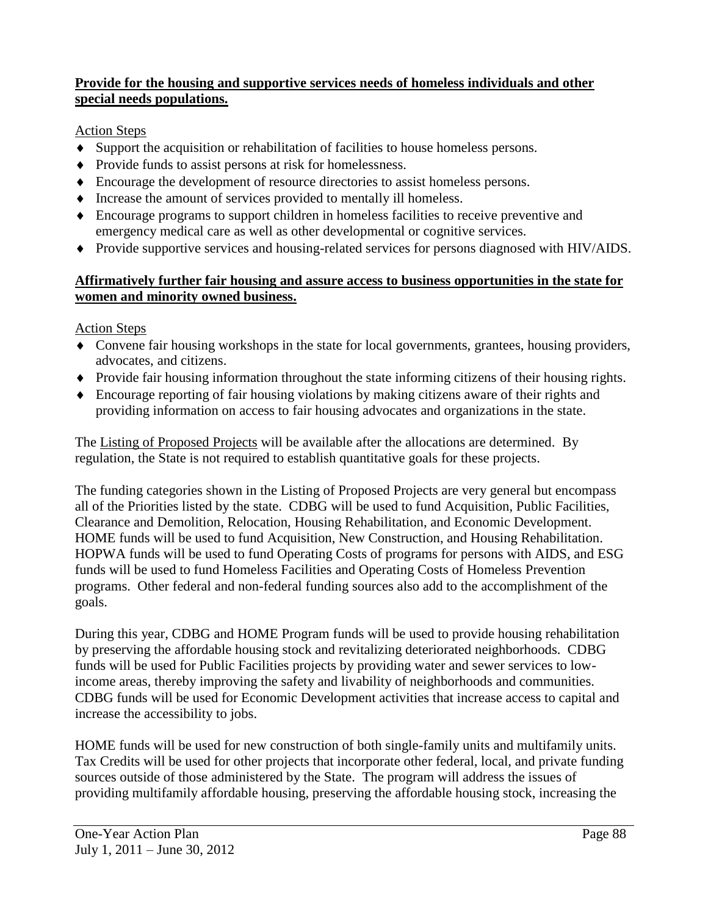#### **Provide for the housing and supportive services needs of homeless individuals and other special needs populations.**

# Action Steps

- Support the acquisition or rehabilitation of facilities to house homeless persons.
- Provide funds to assist persons at risk for homelessness.
- Encourage the development of resource directories to assist homeless persons.
- Increase the amount of services provided to mentally ill homeless.
- Encourage programs to support children in homeless facilities to receive preventive and emergency medical care as well as other developmental or cognitive services.
- Provide supportive services and housing-related services for persons diagnosed with HIV/AIDS.

#### **Affirmatively further fair housing and assure access to business opportunities in the state for women and minority owned business.**

Action Steps

- Convene fair housing workshops in the state for local governments, grantees, housing providers, advocates, and citizens.
- Provide fair housing information throughout the state informing citizens of their housing rights.
- Encourage reporting of fair housing violations by making citizens aware of their rights and providing information on access to fair housing advocates and organizations in the state.

The Listing of Proposed Projects will be available after the allocations are determined. By regulation, the State is not required to establish quantitative goals for these projects.

The funding categories shown in the Listing of Proposed Projects are very general but encompass all of the Priorities listed by the state. CDBG will be used to fund Acquisition, Public Facilities, Clearance and Demolition, Relocation, Housing Rehabilitation, and Economic Development. HOME funds will be used to fund Acquisition, New Construction, and Housing Rehabilitation. HOPWA funds will be used to fund Operating Costs of programs for persons with AIDS, and ESG funds will be used to fund Homeless Facilities and Operating Costs of Homeless Prevention programs. Other federal and non-federal funding sources also add to the accomplishment of the goals.

During this year, CDBG and HOME Program funds will be used to provide housing rehabilitation by preserving the affordable housing stock and revitalizing deteriorated neighborhoods. CDBG funds will be used for Public Facilities projects by providing water and sewer services to lowincome areas, thereby improving the safety and livability of neighborhoods and communities. CDBG funds will be used for Economic Development activities that increase access to capital and increase the accessibility to jobs.

HOME funds will be used for new construction of both single-family units and multifamily units. Tax Credits will be used for other projects that incorporate other federal, local, and private funding sources outside of those administered by the State. The program will address the issues of providing multifamily affordable housing, preserving the affordable housing stock, increasing the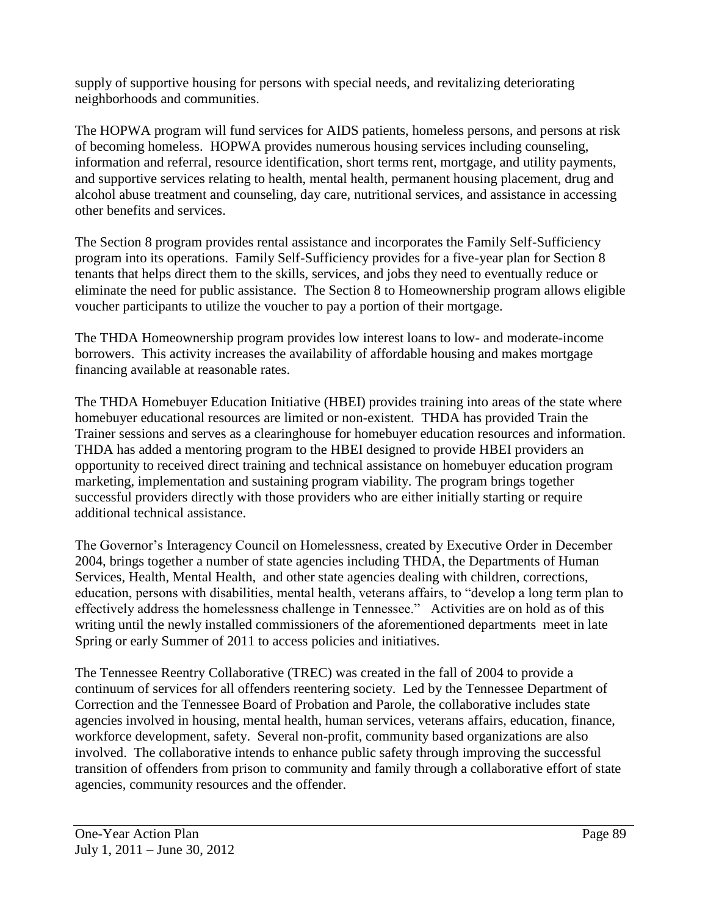supply of supportive housing for persons with special needs, and revitalizing deteriorating neighborhoods and communities.

The HOPWA program will fund services for AIDS patients, homeless persons, and persons at risk of becoming homeless. HOPWA provides numerous housing services including counseling, information and referral, resource identification, short terms rent, mortgage, and utility payments, and supportive services relating to health, mental health, permanent housing placement, drug and alcohol abuse treatment and counseling, day care, nutritional services, and assistance in accessing other benefits and services.

The Section 8 program provides rental assistance and incorporates the Family Self-Sufficiency program into its operations. Family Self-Sufficiency provides for a five-year plan for Section 8 tenants that helps direct them to the skills, services, and jobs they need to eventually reduce or eliminate the need for public assistance. The Section 8 to Homeownership program allows eligible voucher participants to utilize the voucher to pay a portion of their mortgage.

The THDA Homeownership program provides low interest loans to low- and moderate-income borrowers. This activity increases the availability of affordable housing and makes mortgage financing available at reasonable rates.

The THDA Homebuyer Education Initiative (HBEI) provides training into areas of the state where homebuyer educational resources are limited or non-existent. THDA has provided Train the Trainer sessions and serves as a clearinghouse for homebuyer education resources and information. THDA has added a mentoring program to the HBEI designed to provide HBEI providers an opportunity to received direct training and technical assistance on homebuyer education program marketing, implementation and sustaining program viability. The program brings together successful providers directly with those providers who are either initially starting or require additional technical assistance.

The Governor's Interagency Council on Homelessness, created by Executive Order in December 2004, brings together a number of state agencies including THDA, the Departments of Human Services, Health, Mental Health, and other state agencies dealing with children, corrections, education, persons with disabilities, mental health, veterans affairs, to "develop a long term plan to effectively address the homelessness challenge in Tennessee." Activities are on hold as of this writing until the newly installed commissioners of the aforementioned departments meet in late Spring or early Summer of 2011 to access policies and initiatives.

The Tennessee Reentry Collaborative (TREC) was created in the fall of 2004 to provide a continuum of services for all offenders reentering society. Led by the Tennessee Department of Correction and the Tennessee Board of Probation and Parole, the collaborative includes state agencies involved in housing, mental health, human services, veterans affairs, education, finance, workforce development, safety. Several non-profit, community based organizations are also involved. The collaborative intends to enhance public safety through improving the successful transition of offenders from prison to community and family through a collaborative effort of state agencies, community resources and the offender.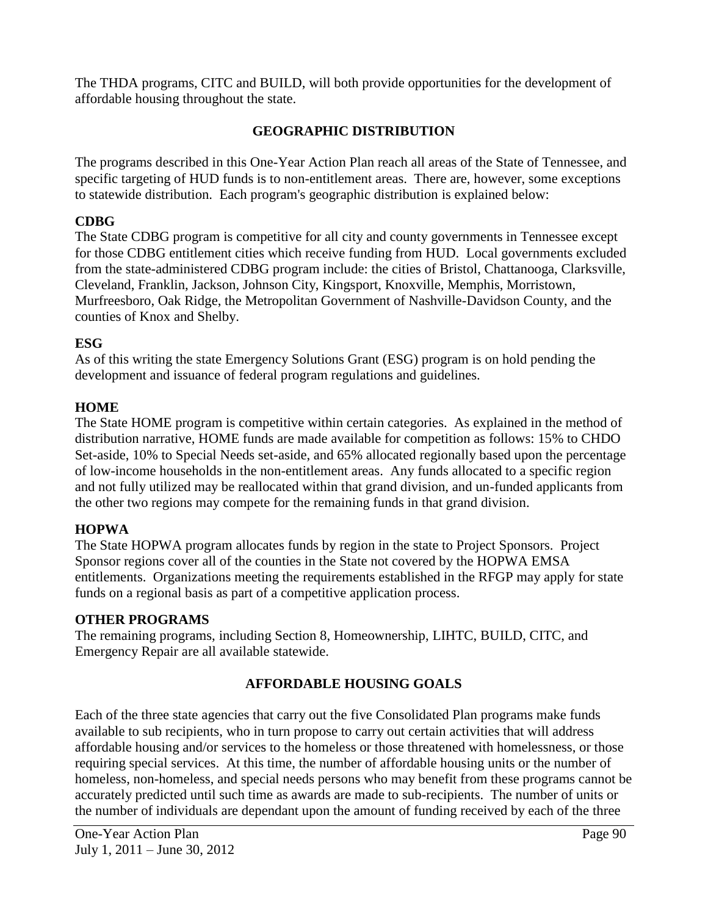The THDA programs, CITC and BUILD, will both provide opportunities for the development of affordable housing throughout the state.

# **GEOGRAPHIC DISTRIBUTION**

The programs described in this One-Year Action Plan reach all areas of the State of Tennessee, and specific targeting of HUD funds is to non-entitlement areas. There are, however, some exceptions to statewide distribution. Each program's geographic distribution is explained below:

#### **CDBG**

The State CDBG program is competitive for all city and county governments in Tennessee except for those CDBG entitlement cities which receive funding from HUD. Local governments excluded from the state-administered CDBG program include: the cities of Bristol, Chattanooga, Clarksville, Cleveland, Franklin, Jackson, Johnson City, Kingsport, Knoxville, Memphis, Morristown, Murfreesboro, Oak Ridge, the Metropolitan Government of Nashville-Davidson County, and the counties of Knox and Shelby.

# **ESG**

As of this writing the state Emergency Solutions Grant (ESG) program is on hold pending the development and issuance of federal program regulations and guidelines.

#### **HOME**

The State HOME program is competitive within certain categories. As explained in the method of distribution narrative, HOME funds are made available for competition as follows: 15% to CHDO Set-aside, 10% to Special Needs set-aside, and 65% allocated regionally based upon the percentage of low-income households in the non-entitlement areas. Any funds allocated to a specific region and not fully utilized may be reallocated within that grand division, and un-funded applicants from the other two regions may compete for the remaining funds in that grand division.

# **HOPWA**

The State HOPWA program allocates funds by region in the state to Project Sponsors. Project Sponsor regions cover all of the counties in the State not covered by the HOPWA EMSA entitlements. Organizations meeting the requirements established in the RFGP may apply for state funds on a regional basis as part of a competitive application process.

#### **OTHER PROGRAMS**

The remaining programs, including Section 8, Homeownership, LIHTC, BUILD, CITC, and Emergency Repair are all available statewide.

# **AFFORDABLE HOUSING GOALS**

Each of the three state agencies that carry out the five Consolidated Plan programs make funds available to sub recipients, who in turn propose to carry out certain activities that will address affordable housing and/or services to the homeless or those threatened with homelessness, or those requiring special services. At this time, the number of affordable housing units or the number of homeless, non-homeless, and special needs persons who may benefit from these programs cannot be accurately predicted until such time as awards are made to sub-recipients. The number of units or the number of individuals are dependant upon the amount of funding received by each of the three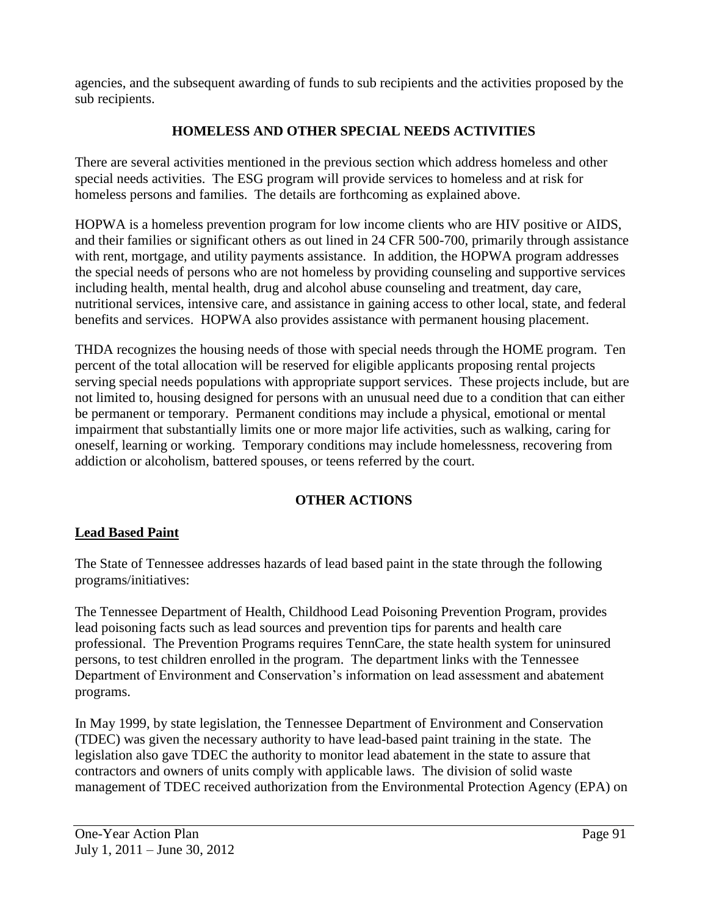agencies, and the subsequent awarding of funds to sub recipients and the activities proposed by the sub recipients.

# **HOMELESS AND OTHER SPECIAL NEEDS ACTIVITIES**

There are several activities mentioned in the previous section which address homeless and other special needs activities. The ESG program will provide services to homeless and at risk for homeless persons and families. The details are forthcoming as explained above.

HOPWA is a homeless prevention program for low income clients who are HIV positive or AIDS, and their families or significant others as out lined in 24 CFR 500-700, primarily through assistance with rent, mortgage, and utility payments assistance. In addition, the HOPWA program addresses the special needs of persons who are not homeless by providing counseling and supportive services including health, mental health, drug and alcohol abuse counseling and treatment, day care, nutritional services, intensive care, and assistance in gaining access to other local, state, and federal benefits and services. HOPWA also provides assistance with permanent housing placement.

THDA recognizes the housing needs of those with special needs through the HOME program. Ten percent of the total allocation will be reserved for eligible applicants proposing rental projects serving special needs populations with appropriate support services. These projects include, but are not limited to, housing designed for persons with an unusual need due to a condition that can either be permanent or temporary. Permanent conditions may include a physical, emotional or mental impairment that substantially limits one or more major life activities, such as walking, caring for oneself, learning or working. Temporary conditions may include homelessness, recovering from addiction or alcoholism, battered spouses, or teens referred by the court.

# **OTHER ACTIONS**

#### **Lead Based Paint**

The State of Tennessee addresses hazards of lead based paint in the state through the following programs/initiatives:

The Tennessee Department of Health, Childhood Lead Poisoning Prevention Program, provides lead poisoning facts such as lead sources and prevention tips for parents and health care professional. The Prevention Programs requires TennCare, the state health system for uninsured persons, to test children enrolled in the program. The department links with the Tennessee Department of Environment and Conservation's information on lead assessment and abatement programs.

In May 1999, by state legislation, the Tennessee Department of Environment and Conservation (TDEC) was given the necessary authority to have lead-based paint training in the state. The legislation also gave TDEC the authority to monitor lead abatement in the state to assure that contractors and owners of units comply with applicable laws. The division of solid waste management of TDEC received authorization from the Environmental Protection Agency (EPA) on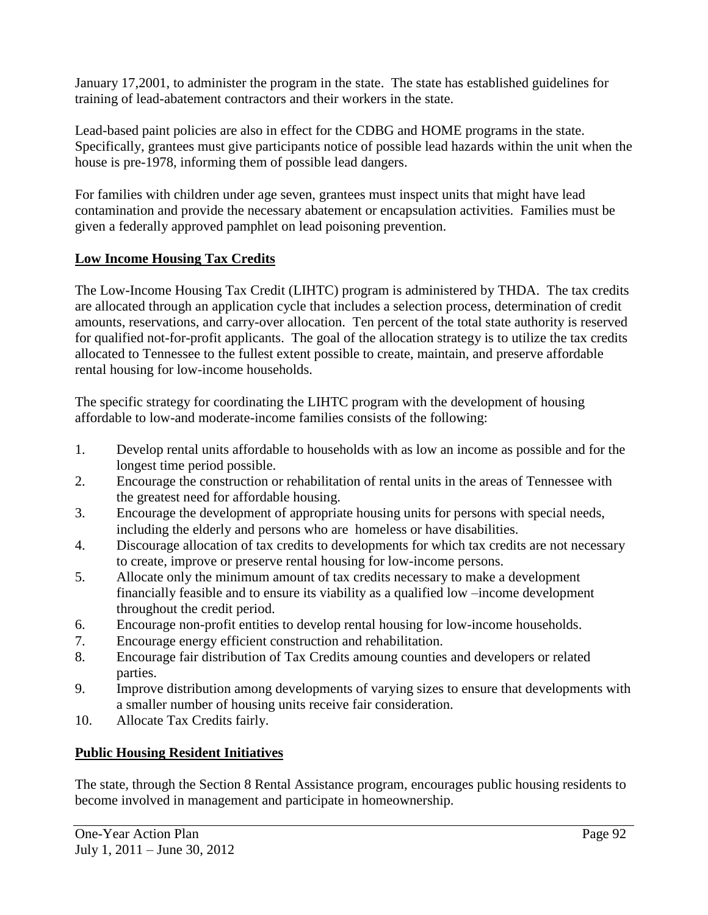January 17,2001, to administer the program in the state. The state has established guidelines for training of lead-abatement contractors and their workers in the state.

Lead-based paint policies are also in effect for the CDBG and HOME programs in the state. Specifically, grantees must give participants notice of possible lead hazards within the unit when the house is pre-1978, informing them of possible lead dangers.

For families with children under age seven, grantees must inspect units that might have lead contamination and provide the necessary abatement or encapsulation activities. Families must be given a federally approved pamphlet on lead poisoning prevention.

# **Low Income Housing Tax Credits**

The Low-Income Housing Tax Credit (LIHTC) program is administered by THDA. The tax credits are allocated through an application cycle that includes a selection process, determination of credit amounts, reservations, and carry-over allocation. Ten percent of the total state authority is reserved for qualified not-for-profit applicants. The goal of the allocation strategy is to utilize the tax credits allocated to Tennessee to the fullest extent possible to create, maintain, and preserve affordable rental housing for low-income households.

The specific strategy for coordinating the LIHTC program with the development of housing affordable to low-and moderate-income families consists of the following:

- 1. Develop rental units affordable to households with as low an income as possible and for the longest time period possible.
- 2. Encourage the construction or rehabilitation of rental units in the areas of Tennessee with the greatest need for affordable housing.
- 3. Encourage the development of appropriate housing units for persons with special needs, including the elderly and persons who are homeless or have disabilities.
- 4. Discourage allocation of tax credits to developments for which tax credits are not necessary to create, improve or preserve rental housing for low-income persons.
- 5. Allocate only the minimum amount of tax credits necessary to make a development financially feasible and to ensure its viability as a qualified low –income development throughout the credit period.
- 6. Encourage non-profit entities to develop rental housing for low-income households.
- 7. Encourage energy efficient construction and rehabilitation.
- 8. Encourage fair distribution of Tax Credits amoung counties and developers or related parties.
- 9. Improve distribution among developments of varying sizes to ensure that developments with a smaller number of housing units receive fair consideration.
- 10. Allocate Tax Credits fairly.

# **Public Housing Resident Initiatives**

The state, through the Section 8 Rental Assistance program, encourages public housing residents to become involved in management and participate in homeownership.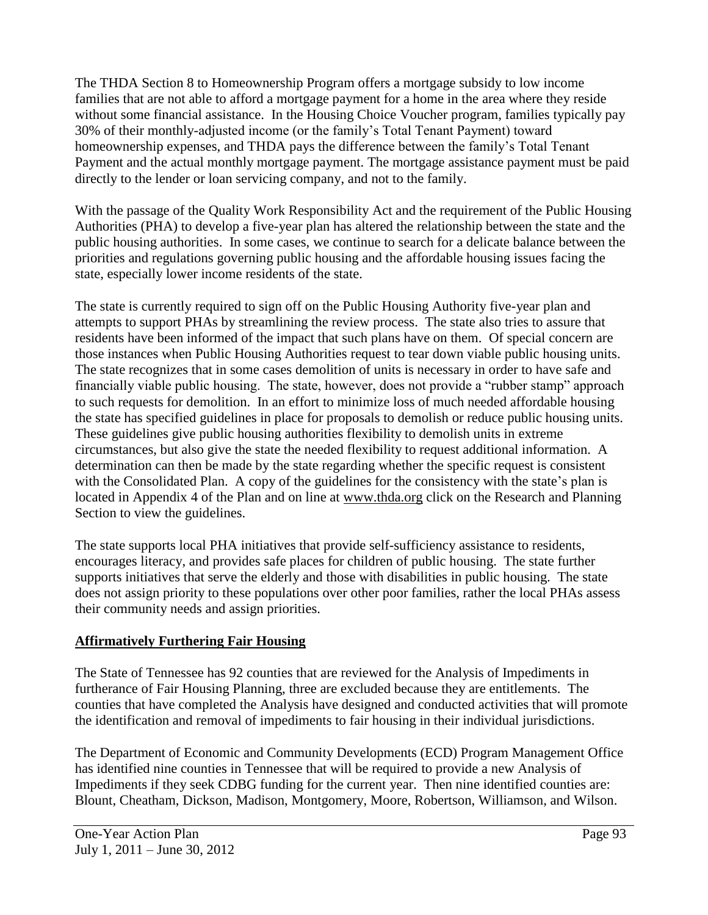The THDA Section 8 to Homeownership Program offers a mortgage subsidy to low income families that are not able to afford a mortgage payment for a home in the area where they reside without some financial assistance. In the Housing Choice Voucher program, families typically pay 30% of their monthly-adjusted income (or the family's Total Tenant Payment) toward homeownership expenses, and THDA pays the difference between the family's Total Tenant Payment and the actual monthly mortgage payment. The mortgage assistance payment must be paid directly to the lender or loan servicing company, and not to the family.

With the passage of the Quality Work Responsibility Act and the requirement of the Public Housing Authorities (PHA) to develop a five-year plan has altered the relationship between the state and the public housing authorities. In some cases, we continue to search for a delicate balance between the priorities and regulations governing public housing and the affordable housing issues facing the state, especially lower income residents of the state.

The state is currently required to sign off on the Public Housing Authority five-year plan and attempts to support PHAs by streamlining the review process. The state also tries to assure that residents have been informed of the impact that such plans have on them. Of special concern are those instances when Public Housing Authorities request to tear down viable public housing units. The state recognizes that in some cases demolition of units is necessary in order to have safe and financially viable public housing. The state, however, does not provide a "rubber stamp" approach to such requests for demolition. In an effort to minimize loss of much needed affordable housing the state has specified guidelines in place for proposals to demolish or reduce public housing units. These guidelines give public housing authorities flexibility to demolish units in extreme circumstances, but also give the state the needed flexibility to request additional information. A determination can then be made by the state regarding whether the specific request is consistent with the Consolidated Plan. A copy of the guidelines for the consistency with the state's plan is located in Appendix 4 of the Plan and on line at [www.thda.org](http://www.thda.org/) click on the Research and Planning Section to view the guidelines.

The state supports local PHA initiatives that provide self-sufficiency assistance to residents, encourages literacy, and provides safe places for children of public housing. The state further supports initiatives that serve the elderly and those with disabilities in public housing. The state does not assign priority to these populations over other poor families, rather the local PHAs assess their community needs and assign priorities.

# **Affirmatively Furthering Fair Housing**

The State of Tennessee has 92 counties that are reviewed for the Analysis of Impediments in furtherance of Fair Housing Planning, three are excluded because they are entitlements. The counties that have completed the Analysis have designed and conducted activities that will promote the identification and removal of impediments to fair housing in their individual jurisdictions.

The Department of Economic and Community Developments (ECD) Program Management Office has identified nine counties in Tennessee that will be required to provide a new Analysis of Impediments if they seek CDBG funding for the current year. Then nine identified counties are: Blount, Cheatham, Dickson, Madison, Montgomery, Moore, Robertson, Williamson, and Wilson.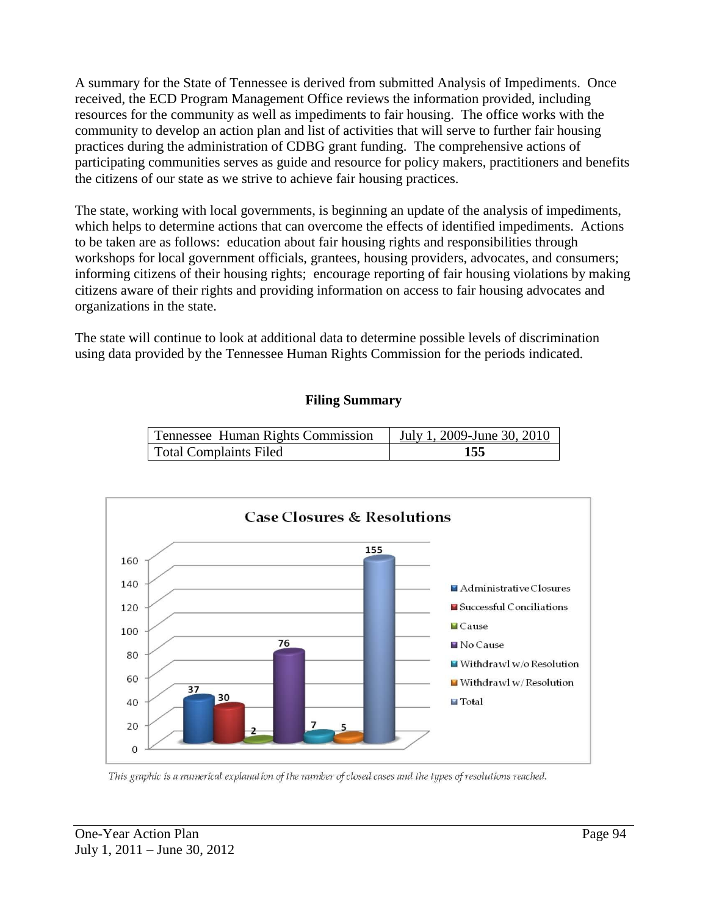A summary for the State of Tennessee is derived from submitted Analysis of Impediments. Once received, the ECD Program Management Office reviews the information provided, including resources for the community as well as impediments to fair housing. The office works with the community to develop an action plan and list of activities that will serve to further fair housing practices during the administration of CDBG grant funding. The comprehensive actions of participating communities serves as guide and resource for policy makers, practitioners and benefits the citizens of our state as we strive to achieve fair housing practices.

The state, working with local governments, is beginning an update of the analysis of impediments, which helps to determine actions that can overcome the effects of identified impediments. Actions to be taken are as follows: education about fair housing rights and responsibilities through workshops for local government officials, grantees, housing providers, advocates, and consumers; informing citizens of their housing rights; encourage reporting of fair housing violations by making citizens aware of their rights and providing information on access to fair housing advocates and organizations in the state.

The state will continue to look at additional data to determine possible levels of discrimination using data provided by the Tennessee Human Rights Commission for the periods indicated.

#### **Filing Summary**

| Tennessee Human Rights Commission | July 1, 2009-June 30, 2010 |
|-----------------------------------|----------------------------|
| <b>Total Complaints Filed</b>     | 155                        |



This graphic is a numerical explanation of the number of closed cases and the types of resolutions reached.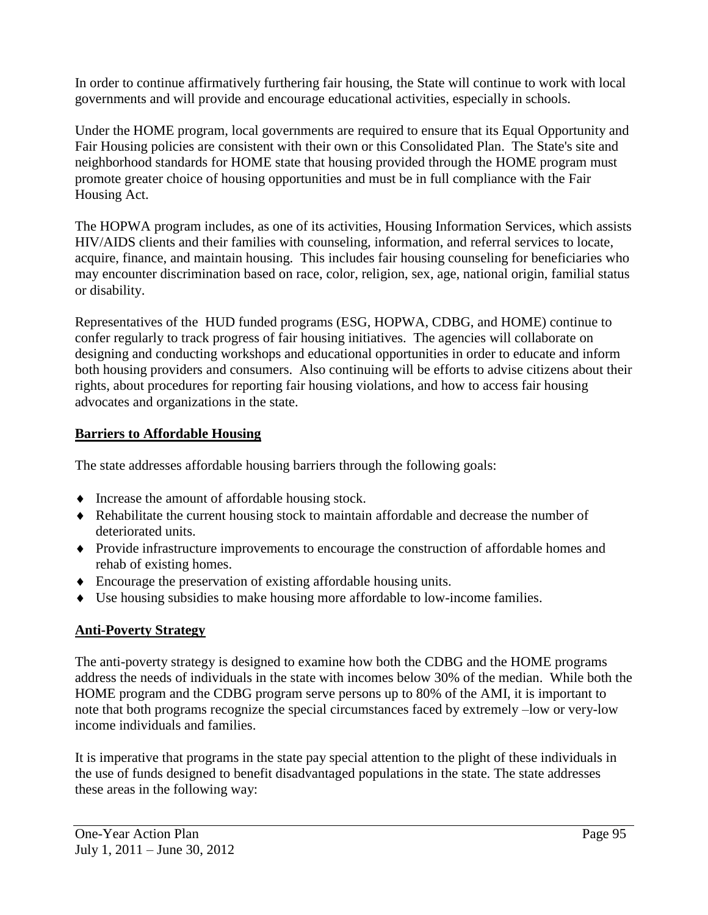In order to continue affirmatively furthering fair housing, the State will continue to work with local governments and will provide and encourage educational activities, especially in schools.

Under the HOME program, local governments are required to ensure that its Equal Opportunity and Fair Housing policies are consistent with their own or this Consolidated Plan. The State's site and neighborhood standards for HOME state that housing provided through the HOME program must promote greater choice of housing opportunities and must be in full compliance with the Fair Housing Act.

The HOPWA program includes, as one of its activities, Housing Information Services, which assists HIV/AIDS clients and their families with counseling, information, and referral services to locate, acquire, finance, and maintain housing. This includes fair housing counseling for beneficiaries who may encounter discrimination based on race, color, religion, sex, age, national origin, familial status or disability.

Representatives of the HUD funded programs (ESG, HOPWA, CDBG, and HOME) continue to confer regularly to track progress of fair housing initiatives. The agencies will collaborate on designing and conducting workshops and educational opportunities in order to educate and inform both housing providers and consumers. Also continuing will be efforts to advise citizens about their rights, about procedures for reporting fair housing violations, and how to access fair housing advocates and organizations in the state.

# **Barriers to Affordable Housing**

The state addresses affordable housing barriers through the following goals:

- $\bullet$  Increase the amount of affordable housing stock.
- Rehabilitate the current housing stock to maintain affordable and decrease the number of deteriorated units.
- Provide infrastructure improvements to encourage the construction of affordable homes and rehab of existing homes.
- Encourage the preservation of existing affordable housing units.
- Use housing subsidies to make housing more affordable to low-income families.

# **Anti-Poverty Strategy**

The anti-poverty strategy is designed to examine how both the CDBG and the HOME programs address the needs of individuals in the state with incomes below 30% of the median. While both the HOME program and the CDBG program serve persons up to 80% of the AMI, it is important to note that both programs recognize the special circumstances faced by extremely –low or very-low income individuals and families.

It is imperative that programs in the state pay special attention to the plight of these individuals in the use of funds designed to benefit disadvantaged populations in the state. The state addresses these areas in the following way: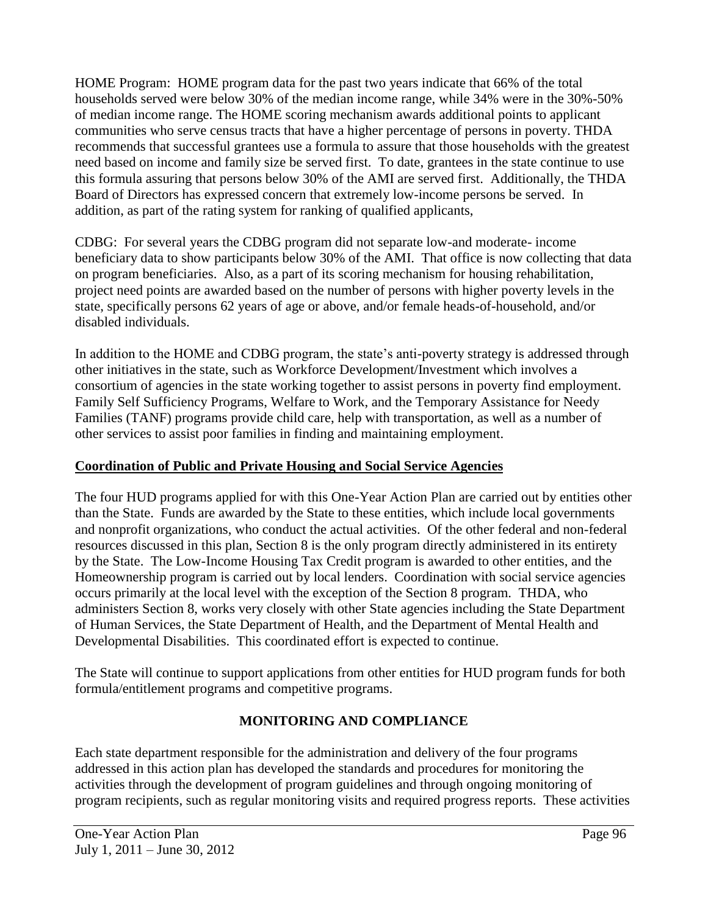HOME Program: HOME program data for the past two years indicate that 66% of the total households served were below 30% of the median income range, while 34% were in the 30%-50% of median income range. The HOME scoring mechanism awards additional points to applicant communities who serve census tracts that have a higher percentage of persons in poverty. THDA recommends that successful grantees use a formula to assure that those households with the greatest need based on income and family size be served first. To date, grantees in the state continue to use this formula assuring that persons below 30% of the AMI are served first. Additionally, the THDA Board of Directors has expressed concern that extremely low-income persons be served. In addition, as part of the rating system for ranking of qualified applicants,

CDBG: For several years the CDBG program did not separate low-and moderate- income beneficiary data to show participants below 30% of the AMI. That office is now collecting that data on program beneficiaries. Also, as a part of its scoring mechanism for housing rehabilitation, project need points are awarded based on the number of persons with higher poverty levels in the state, specifically persons 62 years of age or above, and/or female heads-of-household, and/or disabled individuals.

In addition to the HOME and CDBG program, the state's anti-poverty strategy is addressed through other initiatives in the state, such as Workforce Development/Investment which involves a consortium of agencies in the state working together to assist persons in poverty find employment. Family Self Sufficiency Programs, Welfare to Work, and the Temporary Assistance for Needy Families (TANF) programs provide child care, help with transportation, as well as a number of other services to assist poor families in finding and maintaining employment.

# **Coordination of Public and Private Housing and Social Service Agencies**

The four HUD programs applied for with this One-Year Action Plan are carried out by entities other than the State. Funds are awarded by the State to these entities, which include local governments and nonprofit organizations, who conduct the actual activities. Of the other federal and non-federal resources discussed in this plan, Section 8 is the only program directly administered in its entirety by the State. The Low-Income Housing Tax Credit program is awarded to other entities, and the Homeownership program is carried out by local lenders. Coordination with social service agencies occurs primarily at the local level with the exception of the Section 8 program. THDA, who administers Section 8, works very closely with other State agencies including the State Department of Human Services, the State Department of Health, and the Department of Mental Health and Developmental Disabilities. This coordinated effort is expected to continue.

The State will continue to support applications from other entities for HUD program funds for both formula/entitlement programs and competitive programs.

# **MONITORING AND COMPLIANCE**

Each state department responsible for the administration and delivery of the four programs addressed in this action plan has developed the standards and procedures for monitoring the activities through the development of program guidelines and through ongoing monitoring of program recipients, such as regular monitoring visits and required progress reports. These activities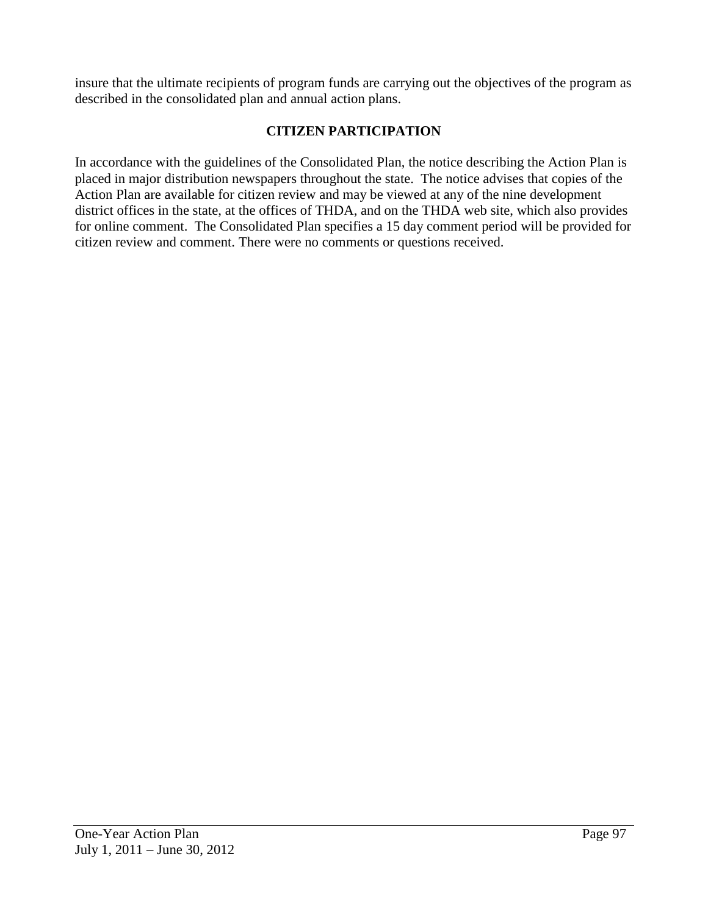insure that the ultimate recipients of program funds are carrying out the objectives of the program as described in the consolidated plan and annual action plans.

# **CITIZEN PARTICIPATION**

In accordance with the guidelines of the Consolidated Plan, the notice describing the Action Plan is placed in major distribution newspapers throughout the state. The notice advises that copies of the Action Plan are available for citizen review and may be viewed at any of the nine development district offices in the state, at the offices of THDA, and on the THDA web site, which also provides for online comment. The Consolidated Plan specifies a 15 day comment period will be provided for citizen review and comment. There were no comments or questions received.